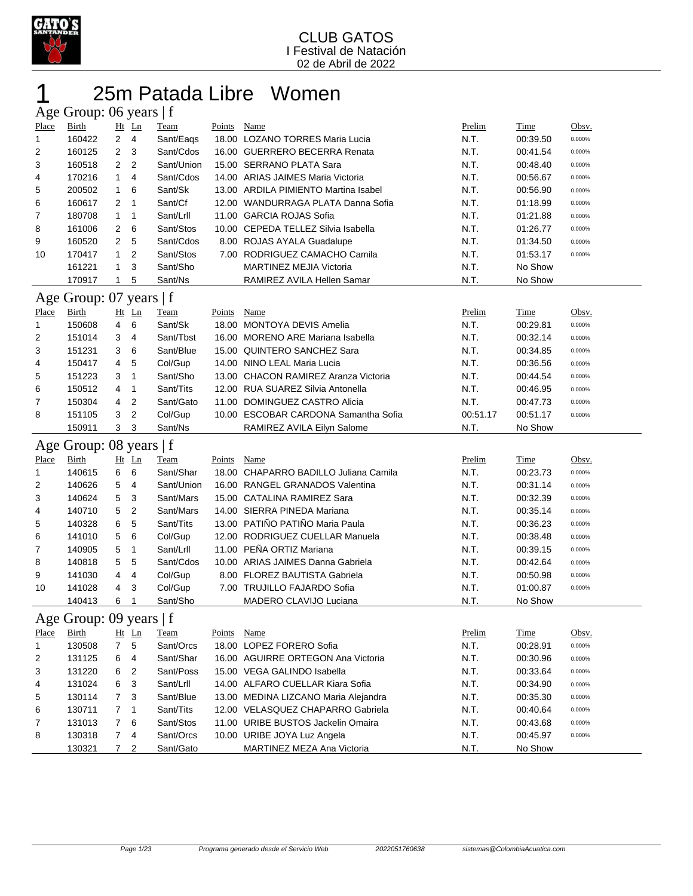

## 25m Patada Libre Women Age Group: 06 years  $|f|$

|              | $1.80$ Oroup. 00 years $1$ |                     |                     |                        |               |                                                           |              |                     |              |
|--------------|----------------------------|---------------------|---------------------|------------------------|---------------|-----------------------------------------------------------|--------------|---------------------|--------------|
| <b>Place</b> | Birth                      |                     | $Ht$ Ln             | <b>Team</b>            | <b>Points</b> | Name                                                      | Prelim       | Time                | Obsv.        |
| 1            | 160422                     | $\overline{2}$      | $\overline{4}$      | Sant/Eags              |               | 18.00 LOZANO TORRES Maria Lucia                           | N.T.         | 00:39.50            | 0.000%       |
| 2            | 160125                     | $\overline{c}$      | 3                   | Sant/Cdos              |               | 16.00 GUERRERO BECERRA Renata                             | N.T.         | 00:41.54            | 0.000%       |
| 3            | 160518                     | 2                   | $\overline{2}$      | Sant/Union             |               | 15.00 SERRANO PLATA Sara                                  | N.T.         | 00:48.40            | 0.000%       |
| 4            | 170216                     | $\mathbf{1}$        | 4                   | Sant/Cdos              |               | 14.00 ARIAS JAIMES Maria Victoria                         | N.T.         | 00:56.67            | 0.000%       |
| 5            | 200502                     | $\mathbf{1}$        | 6                   | Sant/Sk                |               | 13.00 ARDILA PIMIENTO Martina Isabel                      | N.T.         | 00:56.90            | 0.000%       |
| 6            | 160617                     | 2                   | $\mathbf{1}$        | Sant/Cf                |               | 12.00 WANDURRAGA PLATA Danna Sofia                        | N.T.         | 01:18.99            | 0.000%       |
| 7            | 180708                     | $\mathbf{1}$        | $\mathbf{1}$        | Sant/Lrll              |               | 11.00 GARCIA ROJAS Sofia                                  | N.T.         | 01:21.88            | 0.000%       |
| 8            | 161006                     | 2                   | 6                   | Sant/Stos              |               | 10.00 CEPEDA TELLEZ Silvia Isabella                       | N.T.         | 01:26.77            | 0.000%       |
| 9            | 160520                     | 2                   | 5                   | Sant/Cdos              |               | 8.00 ROJAS AYALA Guadalupe                                | N.T.         | 01:34.50            | 0.000%       |
| 10           | 170417                     | $\mathbf{1}$        | $\overline{2}$      | Sant/Stos              |               | 7.00 RODRIGUEZ CAMACHO Camila                             | N.T.         | 01:53.17            | 0.000%       |
|              | 161221                     | 1                   | 3                   | Sant/Sho               |               | <b>MARTINEZ MEJIA Victoria</b>                            | N.T.         | No Show             |              |
|              | 170917                     | 1                   | 5                   | Sant/Ns                |               | RAMIREZ AVILA Hellen Samar                                | N.T.         | No Show             |              |
|              | Age Group: 07 years   f    |                     |                     |                        |               |                                                           |              |                     |              |
| Place        | <b>Birth</b>               |                     | Ht Ln               | <b>Team</b>            | Points        | Name                                                      | Prelim       | <b>Time</b>         | Obsv.        |
| 1            | 150608                     | 4                   | 6                   | Sant/Sk                |               | 18.00 MONTOYA DEVIS Amelia                                | N.T.         | 00:29.81            | 0.000%       |
| 2            | 151014                     | 3                   | 4                   | Sant/Tbst              |               | 16.00 MORENO ARE Mariana Isabella                         | N.T.         | 00:32.14            | 0.000%       |
| 3            | 151231                     | 3                   | 6                   | Sant/Blue              |               | 15.00 QUINTERO SANCHEZ Sara                               | N.T.         | 00:34.85            | 0.000%       |
| 4            | 150417                     | 4                   | 5                   | Col/Gup                |               | 14.00 NINO LEAL Maria Lucia                               | N.T.         | 00:36.56            | 0.000%       |
| 5            | 151223                     | 3                   | 1                   | Sant/Sho               |               | 13.00 CHACON RAMIREZ Aranza Victoria                      | N.T.         | 00:44.54            | 0.000%       |
| 6            | 150512                     | 4                   | 1                   | Sant/Tits              |               | 12.00 RUA SUAREZ Silvia Antonella                         | N.T.         | 00:46.95            | 0.000%       |
| 7            | 150304                     | 4                   | $\overline{c}$      | Sant/Gato              |               | 11.00 DOMINGUEZ CASTRO Alicia                             | N.T.         | 00:47.73            | 0.000%       |
| 8            | 151105                     | 3                   | $\overline{c}$      | Col/Gup                |               | 10.00 ESCOBAR CARDONA Samantha Sofia                      | 00:51.17     | 00:51.17            | 0.000%       |
|              | 150911                     | 3                   | 3                   | Sant/Ns                |               | RAMIREZ AVILA Eilyn Salome                                | N.T.         | No Show             |              |
|              |                            |                     |                     |                        |               |                                                           |              |                     |              |
|              |                            |                     |                     |                        |               |                                                           |              |                     |              |
|              | Age Group: 08 years   f    |                     |                     |                        |               |                                                           |              |                     |              |
| Place        | Birth                      |                     | Ht Ln               | Team                   | Points        | Name                                                      | Prelim       | Time                | Obsv.        |
| $\mathbf{1}$ | 140615                     | 6                   | 6                   | Sant/Shar              |               | 18.00 CHAPARRO BADILLO Juliana Camila                     | N.T.         | 00:23.73            | 0.000%       |
| 2            | 140626                     | 5                   | 4                   | Sant/Union             |               | 16.00 RANGEL GRANADOS Valentina                           | N.T.         | 00:31.14            | 0.000%       |
| 3            | 140624                     | 5                   | 3                   | Sant/Mars              |               | 15.00 CATALINA RAMIREZ Sara                               | N.T.         | 00:32.39            | 0.000%       |
| 4            | 140710                     | 5                   | $\overline{c}$      | Sant/Mars              |               | 14.00 SIERRA PINEDA Mariana                               | N.T.         | 00:35.14            | 0.000%       |
| 5            | 140328                     | 6                   | 5                   | Sant/Tits              |               | 13.00 PATIÑO PATIÑO Maria Paula                           | N.T.         | 00:36.23            | 0.000%       |
| 6            | 141010                     | 5                   | 6                   | Col/Gup                |               | 12.00 RODRIGUEZ CUELLAR Manuela                           | N.T.         | 00:38.48            | 0.000%       |
| 7            | 140905                     | 5                   | 1                   | Sant/Lrll              |               | 11.00 PEÑA ORTIZ Mariana                                  | N.T.         | 00:39.15            | 0.000%       |
| 8            | 140818                     | 5                   | 5                   | Sant/Cdos              |               | 10.00 ARIAS JAIMES Danna Gabriela                         | N.T.         | 00:42.64            | 0.000%       |
| 9            | 141030                     | 4                   | 4                   | Col/Gup                |               | 8.00 FLOREZ BAUTISTA Gabriela                             | N.T.         | 00:50.98            | 0.000%       |
| 10           | 141028                     | 4                   | 3                   | Col/Gup                |               |                                                           | N.T.         | 01:00.87            | 0.000%       |
|              |                            |                     | $\mathbf{1}$        |                        |               | 7.00 TRUJILLO FAJARDO Sofia                               |              |                     |              |
|              | 140413                     | 6                   |                     | Sant/Sho               |               | MADERO CLAVIJO Luciana                                    | N.T.         | No Show             |              |
|              | Age Group: 09 years   f    |                     |                     |                        |               |                                                           |              |                     |              |
| Place        | <b>Birth</b>               |                     | $Ht$ Ln             | <b>Team</b>            | Points        | <b>Name</b>                                               | Prelim       | <b>Time</b>         | <u>Obsv.</u> |
| 1            | 130508                     | 7                   | 5                   | Sant/Orcs              |               | 18.00 LOPEZ FORERO Sofia                                  | N.T.         | 00:28.91            | 0.000%       |
| 2            | 131125                     | 6                   | 4                   | Sant/Shar              |               | 16.00 AGUIRRE ORTEGON Ana Victoria                        | N.T.         | 00:30.96            | 0.000%       |
| 3            | 131220                     | 6                   | 2                   | Sant/Poss              |               | 15.00 VEGA GALINDO Isabella                               | N.T.         | 00:33.64            | 0.000%       |
| 4            | 131024                     | 6                   | 3                   | Sant/Lrll              |               | 14.00 ALFARO CUELLAR Kiara Sofia                          | N.T.         | 00:34.90            | 0.000%       |
| 5            | 130114                     | 7                   | 3                   | Sant/Blue              |               | 13.00 MEDINA LIZCANO Maria Alejandra                      | N.T.         | 00:35.30            | 0.000%       |
| 6            | 130711                     | 7                   | $\mathbf{1}$        | Sant/Tits              |               | 12.00 VELASQUEZ CHAPARRO Gabriela                         | N.T.         | 00:40.64            | 0.000%       |
| 7            | 131013                     | $\overline{7}$      | 6                   | Sant/Stos              |               | 11.00 URIBE BUSTOS Jackelin Omaira                        | N.T.         | 00:43.68            | 0.000%       |
| 8            | 130318<br>130321           | $\overline{7}$<br>7 | 4<br>$\overline{2}$ | Sant/Orcs<br>Sant/Gato |               | 10.00 URIBE JOYA Luz Angela<br>MARTINEZ MEZA Ana Victoria | N.T.<br>N.T. | 00:45.97<br>No Show | 0.000%       |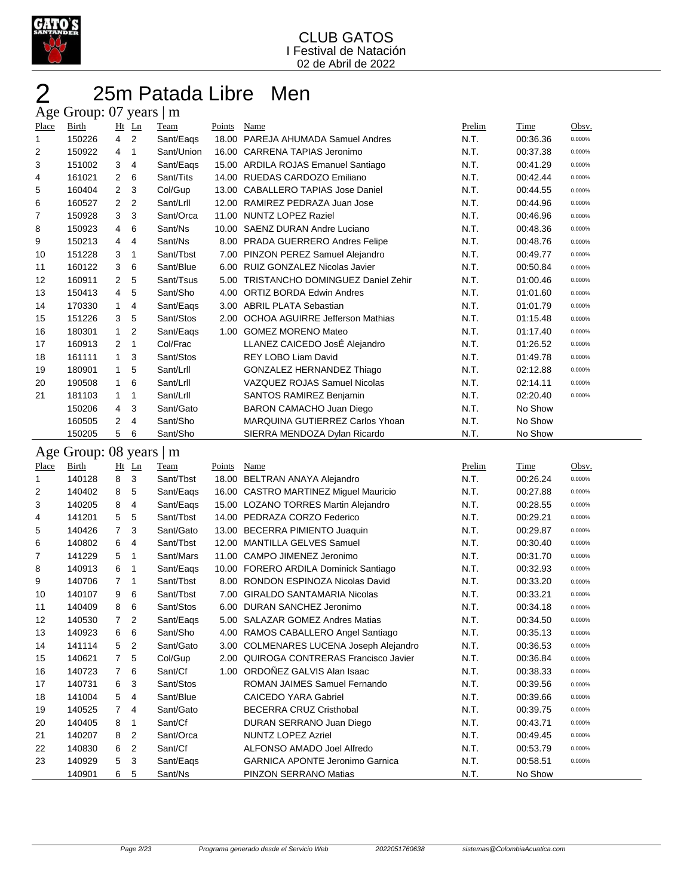

## 25m Patada Libre Men Age Group: 07 years | m

| Place    | Birth                   |                | Ht Ln                                              | Team                 | Points | Name                                                    | Prelim       | Time                 | Obsv.  |
|----------|-------------------------|----------------|----------------------------------------------------|----------------------|--------|---------------------------------------------------------|--------------|----------------------|--------|
| 1        | 150226                  | $\overline{4}$ | $\overline{2}$                                     | Sant/Eags            |        | 18.00 PAREJA AHUMADA Samuel Andres                      | N.T.         | 00:36.36             | 0.000% |
| 2        | 150922                  | 4              | $\mathbf{1}$                                       | Sant/Union           |        | 16.00 CARRENA TAPIAS Jeronimo                           | N.T.         | 00:37.38             | 0.000% |
| 3        | 151002                  | 3              | $\overline{4}$                                     | Sant/Eags            |        | 15.00 ARDILA ROJAS Emanuel Santiago                     | N.T.         | 00:41.29             | 0.000% |
| 4        | 161021                  | $\overline{2}$ | 6                                                  | Sant/Tits            |        | 14.00 RUEDAS CARDOZO Emiliano                           | N.T.         | 00:42.44             | 0.000% |
| 5        | 160404                  | $\overline{c}$ | 3                                                  | Col/Gup              |        | 13.00 CABALLERO TAPIAS Jose Daniel                      | N.T.         | 00:44.55             | 0.000% |
| 6        | 160527                  | $\overline{c}$ | $\overline{2}$                                     | Sant/Lrll            |        | 12.00 RAMIREZ PEDRAZA Juan Jose                         | N.T.         | 00:44.96             | 0.000% |
| 7        | 150928                  | 3              | 3                                                  | Sant/Orca            |        | 11.00 NUNTZ LOPEZ Raziel                                | N.T.         | 00:46.96             | 0.000% |
| 8        | 150923                  | 4              | 6                                                  | Sant/Ns              |        | 10.00 SAENZ DURAN Andre Luciano                         | N.T.         | 00:48.36             | 0.000% |
| 9        | 150213                  | 4              | 4                                                  | Sant/Ns              |        | 8.00 PRADA GUERRERO Andres Felipe                       | N.T.         | 00:48.76             | 0.000% |
| 10       | 151228                  | 3              | $\mathbf{1}$                                       | Sant/Tbst            |        | 7.00 PINZON PEREZ Samuel Alejandro                      | N.T.         | 00:49.77             | 0.000% |
| 11       | 160122                  | 3              | 6                                                  | Sant/Blue            |        | 6.00 RUIZ GONZALEZ Nicolas Javier                       | N.T.         | 00:50.84             | 0.000% |
| 12       | 160911                  | $\overline{2}$ | 5                                                  | Sant/Tsus            |        | 5.00 TRISTANCHO DOMINGUEZ Daniel Zehir                  | N.T.         | 01:00.46             | 0.000% |
| 13       | 150413                  | 4              | 5                                                  | Sant/Sho             |        | 4.00 ORTIZ BORDA Edwin Andres                           | N.T.         | 01:01.60             | 0.000% |
| 14       | 170330                  | $\mathbf{1}$   | 4                                                  | Sant/Eags            |        | 3.00 ABRIL PLATA Sebastian                              | N.T.         | 01:01.79             | 0.000% |
| 15       | 151226                  | 3              | 5                                                  | Sant/Stos            |        | 2.00 OCHOA AGUIRRE Jefferson Mathias                    | N.T.         | 01:15.48             | 0.000% |
| 16       | 180301                  | $\mathbf{1}$   | $\boldsymbol{2}$                                   | Sant/Eags            |        | 1.00 GOMEZ MORENO Mateo                                 | N.T.         | 01:17.40             | 0.000% |
| 17       | 160913                  | $\overline{2}$ | $\mathbf{1}$                                       | Col/Frac             |        | LLANEZ CAICEDO JosÉ Alejandro                           | N.T.         | 01:26.52             | 0.000% |
| 18       | 161111                  | $\mathbf{1}$   | 3                                                  | Sant/Stos            |        | REY LOBO Liam David                                     | N.T.         | 01:49.78             | 0.000% |
| 19       | 180901                  | $\mathbf{1}$   | 5                                                  | Sant/Lrll            |        | <b>GONZALEZ HERNANDEZ Thiago</b>                        | N.T.         | 02:12.88             | 0.000% |
| 20       | 190508                  | $\mathbf{1}$   | 6                                                  | Sant/Lrll            |        | VAZQUEZ ROJAS Samuel Nicolas                            | N.T.         | 02:14.11             | 0.000% |
| 21       | 181103                  | $\mathbf{1}$   | $\mathbf{1}$                                       | Sant/Lrll            |        | SANTOS RAMIREZ Benjamin                                 | N.T.         | 02:20.40             | 0.000% |
|          | 150206                  | 4              | 3                                                  | Sant/Gato            |        | BARON CAMACHO Juan Diego                                | N.T.         | No Show              |        |
|          | 160505                  | 2              | $\overline{4}$                                     | Sant/Sho             |        | MARQUINA GUTIERREZ Carlos Yhoan                         | N.T.         | No Show              |        |
|          | 150205                  | 5              | 6                                                  | Sant/Sho             |        | SIERRA MENDOZA Dylan Ricardo                            | N.T.         | No Show              |        |
|          |                         |                |                                                    |                      |        |                                                         |              |                      |        |
|          | Age Group: 08 years   m |                |                                                    |                      |        |                                                         |              |                      |        |
|          |                         |                |                                                    |                      |        |                                                         |              |                      |        |
| Place    | Birth                   | Ht Ln          |                                                    | Team                 | Points | Name                                                    | Prelim       | Time                 | Obsv.  |
| 1        | 140128                  | 8              | 3                                                  | Sant/Tbst            |        | 18.00 BELTRAN ANAYA Alejandro                           | N.T.         | 00:26.24             | 0.000% |
| 2        | 140402                  | 8              | 5                                                  | Sant/Eags            |        | 16.00 CASTRO MARTINEZ Miguel Mauricio                   | N.T.         | 00:27.88             | 0.000% |
| 3        | 140205                  | 8              | $\overline{4}$                                     | Sant/Eags            |        | 15.00 LOZANO TORRES Martin Alejandro                    | N.T.         | 00:28.55             | 0.000% |
| 4        | 141201                  | 5              | 5                                                  | Sant/Tbst            |        | 14.00 PEDRAZA CORZO Federico                            | N.T.         | 00:29.21             | 0.000% |
| 5        | 140426                  | $\overline{7}$ | 3                                                  | Sant/Gato            |        | 13.00 BECERRA PIMIENTO Juaquin                          | N.T.         | 00:29.87             | 0.000% |
| 6        | 140802                  | 6              | 4                                                  | Sant/Tbst            |        | 12.00 MANTILLA GELVES Samuel                            | N.T.         | 00:30.40             | 0.000% |
| 7        | 141229                  | 5              | 1                                                  | Sant/Mars            |        | 11.00 CAMPO JIMENEZ Jeronimo                            | N.T.         | 00:31.70             | 0.000% |
| 8        | 140913                  | 6              | $\mathbf{1}$                                       | Sant/Eags            |        | 10.00 FORERO ARDILA Dominick Santiago                   | N.T.         | 00:32.93             | 0.000% |
| 9        | 140706                  | $\overline{7}$ | 1                                                  | Sant/Tbst            |        | 8.00 RONDON ESPINOZA Nicolas David                      | N.T.         | 00:33.20             | 0.000% |
| 10       | 140107                  | 9              | 6                                                  | Sant/Tbst            |        | 7.00 GIRALDO SANTAMARIA Nicolas                         | N.T.         | 00:33.21             | 0.000% |
| 11       | 140409                  | 8              | 6                                                  | Sant/Stos            |        | 6.00 DURAN SANCHEZ Jeronimo                             | N.T.         | 00:34.18             | 0.000% |
| 12       | 140530                  | $\overline{7}$ | $\overline{2}$                                     | Sant/Eaqs            |        | 5.00 SALAZAR GOMEZ Andres Matias                        | N.T.         | 00:34.50             | 0.000% |
| 13       | 140923                  | 6              | 6                                                  | Sant/Sho             |        | 4.00 RAMOS CABALLERO Angel Santiago                     | N.T.         | 00:35.13             | 0.000% |
| 14       | 141114                  | 5              | $\overline{2}$                                     | Sant/Gato            |        | 3.00 COLMENARES LUCENA Joseph Alejandro                 | N.T.         | 00:36.53             | 0.000% |
| 15       | 140621                  | 7              | 5                                                  | Col/Gup              |        | 2.00 QUIROGA CONTRERAS Francisco Javier                 | N.T.         | 00:36.84             | 0.000% |
|          | 140723                  | 7              | 6                                                  | Sant/Cf              |        | 1.00 ORDOÑEZ GALVIS Alan Isaac                          | N.T.         | 00:38.33             | 0.000% |
| 16<br>17 |                         | 6              | 3                                                  | Sant/Stos            |        | ROMAN JAIMES Samuel Fernando                            |              | 00:39.56             | 0.000% |
| 18       | 140731<br>141004        | 5              | 4                                                  | Sant/Blue            |        | <b>CAICEDO YARA Gabriel</b>                             | N.T.<br>N.T. | 00:39.66             | 0.000% |
|          | 140525                  | $\overline{7}$ | 4                                                  | Sant/Gato            |        | BECERRA CRUZ Cristhobal                                 |              | 00:39.75             | 0.000% |
| 19       | 140405                  |                | 1                                                  | Sant/Cf              |        | DURAN SERRANO Juan Diego                                | N.T.<br>N.T. | 00:43.71             | 0.000% |
| 20       |                         | 8              |                                                    |                      |        |                                                         |              |                      | 0.000% |
| 21<br>22 | 140207<br>140830        | 8<br>6         | $\overline{\mathbf{c}}$<br>$\overline{\mathbf{c}}$ | Sant/Orca<br>Sant/Cf |        | <b>NUNTZ LOPEZ Azriel</b><br>ALFONSO AMADO Joel Alfredo | N.T.<br>N.T. | 00:49.45<br>00:53.79 | 0.000% |

140901 6 5 Sant/Ns PINZON SERRANO Matias N.T. No Show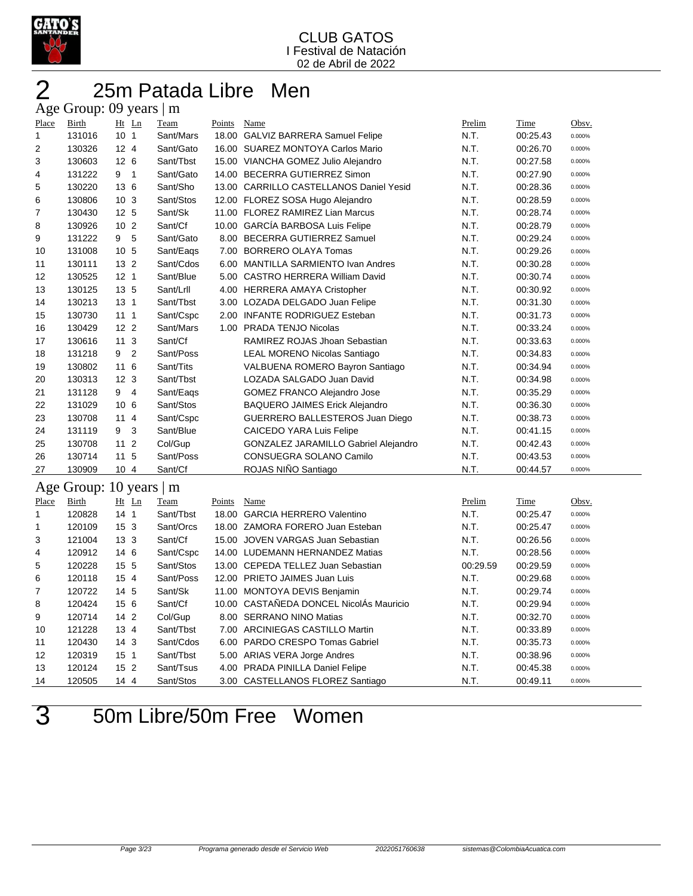

## 25m Patada Libre Men Age Group: 09 years | m

| Place        | <b>Birth</b> | Ht Ln                     | Team      | Points | Name                                        | Prelim   | Time     | Obsv.  |
|--------------|--------------|---------------------------|-----------|--------|---------------------------------------------|----------|----------|--------|
| $\mathbf{1}$ | 131016       | 10 <sub>1</sub>           | Sant/Mars |        | 18.00 GALVIZ BARRERA Samuel Felipe          | N.T.     | 00:25.43 | 0.000% |
| 2            | 130326       | 12 <sub>4</sub>           | Sant/Gato |        | 16.00 SUAREZ MONTOYA Carlos Mario           | N.T.     | 00:26.70 | 0.000% |
| 3            | 130603       | 12 <sub>6</sub>           | Sant/Tbst |        | 15.00 VIANCHA GOMEZ Julio Alejandro         | N.T.     | 00:27.58 | 0.000% |
| 4            | 131222       | 9 <sub>1</sub>            | Sant/Gato |        | 14.00 BECERRA GUTIERREZ Simon               | N.T.     | 00:27.90 | 0.000% |
| 5            | 130220       | 13 6                      | Sant/Sho  |        | 13.00 CARRILLO CASTELLANOS Daniel Yesid     | N.T.     | 00:28.36 | 0.000% |
| 6            | 130806       | 10 <sub>3</sub>           | Sant/Stos |        | 12.00 FLOREZ SOSA Hugo Alejandro            | N.T.     | 00:28.59 | 0.000% |
| 7            | 130430       | 12 <sub>5</sub>           | Sant/Sk   |        | 11.00 FLOREZ RAMIREZ Lian Marcus            | N.T.     | 00:28.74 | 0.000% |
| 8            | 130926       | 10 <sub>2</sub>           | Sant/Cf   |        | 10.00 GARCÍA BARBOSA Luis Felipe            | N.T.     | 00:28.79 | 0.000% |
| 9            | 131222       | 9 5                       | Sant/Gato |        | 8.00 BECERRA GUTIERREZ Samuel               | N.T.     | 00:29.24 | 0.000% |
| 10           | 131008       | 10 5                      | Sant/Eags |        | 7.00 BORRERO OLAYA Tomas                    | N.T.     | 00:29.26 | 0.000% |
| 11           | 130111       | 13 <sub>2</sub>           | Sant/Cdos |        | 6.00 MANTILLA SARMIENTO Ivan Andres         | N.T.     | 00:30.28 | 0.000% |
| 12           | 130525       | 12 <sub>1</sub>           | Sant/Blue |        | 5.00 CASTRO HERRERA William David           | N.T.     | 00:30.74 | 0.000% |
| 13           | 130125       | 13 5                      | Sant/Lrll |        | 4.00 HERRERA AMAYA Cristopher               | N.T.     | 00:30.92 | 0.000% |
| 14           | 130213       | 13 <sub>1</sub>           | Sant/Tbst |        | 3.00 LOZADA DELGADO Juan Felipe             | N.T.     | 00:31.30 | 0.000% |
| 15           | 130730       | 111                       | Sant/Cspc |        | 2.00 INFANTE RODRIGUEZ Esteban              | N.T.     | 00:31.73 | 0.000% |
| 16           | 130429       | 12 <sub>2</sub>           | Sant/Mars |        | 1.00 PRADA TENJO Nicolas                    | N.T.     | 00:33.24 | 0.000% |
| 17           | 130616       | 11 <sub>3</sub>           | Sant/Cf   |        | RAMIREZ ROJAS Jhoan Sebastian               | N.T.     | 00:33.63 | 0.000% |
| 18           | 131218       | $\overline{2}$<br>9       | Sant/Poss |        | <b>LEAL MORENO Nicolas Santiago</b>         | N.T.     | 00:34.83 | 0.000% |
| 19           | 130802       | 11 6                      | Sant/Tits |        | VALBUENA ROMERO Bayron Santiago             | N.T.     | 00:34.94 | 0.000% |
| 20           | 130313       | 12 <sub>3</sub>           | Sant/Tbst |        | LOZADA SALGADO Juan David                   | N.T.     | 00:34.98 | 0.000% |
| 21           | 131128       | 9<br>$\overline{4}$       | Sant/Eags |        | GOMEZ FRANCO Alejandro Jose                 | N.T.     | 00:35.29 | 0.000% |
| 22           | 131029       | 10 6                      | Sant/Stos |        | <b>BAQUERO JAIMES Erick Alejandro</b>       | N.T.     | 00:36.30 | 0.000% |
| 23           | 130708       | 114                       | Sant/Cspc |        | GUERRERO BALLESTEROS Juan Diego             | N.T.     | 00:38.73 | 0.000% |
| 24           | 131119       | 9<br>3                    | Sant/Blue |        | <b>CAICEDO YARA Luis Felipe</b>             | N.T.     | 00:41.15 | 0.000% |
| 25           | 130708       | 11 <sub>2</sub>           | Col/Gup   |        | <b>GONZALEZ JARAMILLO Gabriel Alejandro</b> | N.T.     | 00:42.43 | 0.000% |
| 26           | 130714       | 11 <sub>5</sub>           | Sant/Poss |        | CONSUEGRA SOLANO Camilo                     | N.T.     | 00:43.53 | 0.000% |
| 27           | 130909       | 10 4                      | Sant/Cf   |        | ROJAS NIÑO Santiago                         | N.T.     | 00:44.57 | 0.000% |
| Age          |              | Group: 10 years $\vert$ m |           |        |                                             |          |          |        |
| Place        | Birth        | Ht Ln                     | Team      | Points | Name                                        | Prelim   | Time     | Obsv.  |
| 1            | 120828       | 14 <sub>1</sub>           | Sant/Tbst |        | 18.00 GARCIA HERRERO Valentino              | N.T.     | 00:25.47 | 0.000% |
| 1            | 120109       | 15 3                      | Sant/Orcs |        | 18.00 ZAMORA FORERO Juan Esteban            | N.T.     | 00:25.47 | 0.000% |
| 3            | 121004       | 13 <sub>3</sub>           | Sant/Cf   |        | 15.00 JOVEN VARGAS Juan Sebastian           | N.T.     | 00:26.56 | 0.000% |
| 4            | 120912       | 14 6                      | Sant/Cspc |        | 14.00 LUDEMANN HERNANDEZ Matias             | N.T.     | 00:28.56 | 0.000% |
| 5            | 120228       | 15 5                      | Sant/Stos |        | 13.00 CEPEDA TELLEZ Juan Sebastian          | 00:29.59 | 00:29.59 | 0.000% |
| 6            | 120118       | 15 4                      | Sant/Poss |        | 12.00 PRIETO JAIMES Juan Luis               | N.T.     | 00:29.68 | 0.000% |
| 7            | 120722       | 14 5                      | Sant/Sk   |        | 11.00 MONTOYA DEVIS Benjamin                | N.T.     | 00:29.74 | 0.000% |
| 8            | 120424       | 15 6                      | Sant/Cf   |        | 10.00 CASTAÑEDA DONCEL NicolÁs Mauricio     | N.T.     | 00:29.94 | 0.000% |
| 9            | 120714       | $142$                     | Col/Gup   |        | 8.00 SERRANO NINO Matias                    | N.T.     | 00:32.70 | 0.000% |
| 10           | 121228       | 13 4                      | Sant/Tbst |        | 7.00 ARCINIEGAS CASTILLO Martin             | N.T.     | 00:33.89 | 0.000% |
| 11           | 120430       | 14 <sub>3</sub>           | Sant/Cdos |        | 6.00 PARDO CRESPO Tomas Gabriel             | N.T.     | 00:35.73 | 0.000% |

 120319 15 1 Sant/Tbst 5.00 ARIAS VERA Jorge Andres N.T. 00:38.96 0.000% 120124 15 2 Sant/Tsus 4.00 PRADA PINILLA Daniel Felipe N.T. 00:45.38 0.000% 14 120505 14 4 Sant/Stos 3.00 CASTELLANOS FLOREZ Santiago N.T. 00:49.11 0.000%

50m Libre/50m Free Women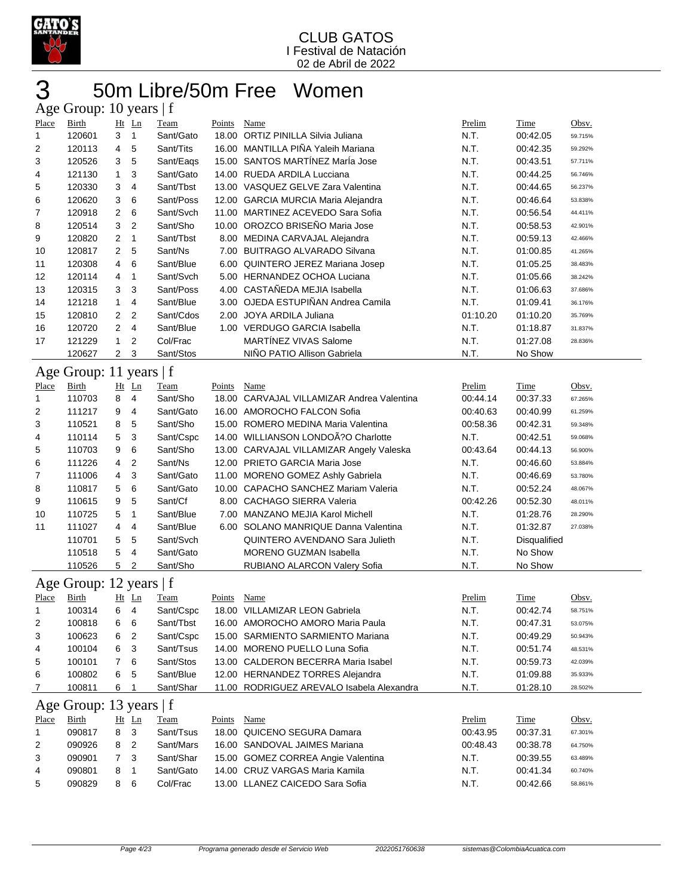

## 50m Libre/50m Free Women  $\overline{Age}$  Group: 10 years  $|f|$

| - 0            | ---<br>$\mathbf{r}$ . $\mathbf{r}$ |                |                |             |               |                                            |          |              |         |
|----------------|------------------------------------|----------------|----------------|-------------|---------------|--------------------------------------------|----------|--------------|---------|
| Place          | Birth                              |                | $Ht$ Ln        | Team        | Points        | Name                                       | Prelim   | Time         | Obsv.   |
| 1              | 120601                             | 3              | 1              | Sant/Gato   |               | 18.00 ORTIZ PINILLA Silvia Juliana         | N.T.     | 00:42.05     | 59.715% |
| 2              | 120113                             | 4              | 5              | Sant/Tits   |               | 16.00 MANTILLA PIÑA Yaleih Mariana         | N.T.     | 00:42.35     | 59.292% |
| 3              | 120526                             | 3              | 5              | Sant/Eags   |               | 15.00 SANTOS MARTÍNEZ MarÍa Jose           | N.T.     | 00:43.51     | 57.711% |
| 4              | 121130                             | 1              | 3              | Sant/Gato   |               | 14.00 RUEDA ARDILA Lucciana                | N.T.     | 00:44.25     | 56.746% |
| 5              | 120330                             | 3              | $\overline{4}$ | Sant/Tbst   |               | 13.00 VASQUEZ GELVE Zara Valentina         | N.T.     | 00:44.65     | 56.237% |
| 6              | 120620                             | 3              | 6              | Sant/Poss   |               | 12.00 GARCIA MURCIA Maria Alejandra        | N.T.     | 00:46.64     | 53.838% |
| 7              | 120918                             | 2              | 6              | Sant/Svch   |               | 11.00 MARTINEZ ACEVEDO Sara Sofia          | N.T.     | 00:56.54     | 44.411% |
| 8              | 120514                             | 3              | $\overline{2}$ | Sant/Sho    |               | 10.00 OROZCO BRISEÑO Maria Jose            | N.T.     | 00:58.53     | 42.901% |
| 9              | 120820                             | 2              | $\mathbf{1}$   | Sant/Tbst   |               | 8.00 MEDINA CARVAJAL Alejandra             | N.T.     | 00:59.13     | 42.466% |
| 10             | 120817                             | 2              | 5              | Sant/Ns     |               | 7.00 BUITRAGO ALVARADO Silvana             | N.T.     | 01:00.85     | 41.265% |
| 11             | 120308                             | 4              | 6              | Sant/Blue   |               | 6.00 QUINTERO JEREZ Mariana Josep          | N.T.     | 01:05.25     | 38.483% |
| 12             | 120114                             | 4              | 1              | Sant/Svch   |               | 5.00 HERNANDEZ OCHOA Luciana               | N.T.     | 01:05.66     | 38.242% |
| 13             | 120315                             | 3              | 3              | Sant/Poss   |               | 4.00 CASTAÑEDA MEJIA Isabella              | N.T.     | 01:06.63     | 37.686% |
| 14             | 121218                             | 1              | 4              | Sant/Blue   |               | 3.00 OJEDA ESTUPIÑAN Andrea Camila         | N.T.     | 01:09.41     | 36.176% |
| 15             | 120810                             | 2              | 2              | Sant/Cdos   |               | 2.00 JOYA ARDILA Juliana                   | 01:10.20 | 01:10.20     | 35.769% |
| 16             | 120720                             | 2              | 4              | Sant/Blue   |               | 1.00 VERDUGO GARCIA Isabella               | N.T.     | 01:18.87     | 31.837% |
| 17             | 121229                             | 1              | 2              | Col/Frac    |               | <b>MARTÍNEZ VIVAS Salome</b>               | N.T.     | 01:27.08     | 28.836% |
|                | 120627                             | $\overline{2}$ | 3              | Sant/Stos   |               | NIÑO PATIO Allison Gabriela                | N.T.     | No Show      |         |
| Age            | Group: 11 years $ f $              |                |                |             |               |                                            |          |              |         |
| Place          | <b>Birth</b>                       |                | $Ht$ Ln        | <b>Team</b> | <b>Points</b> | <b>Name</b>                                | Prelim   | <b>Time</b>  | Obsv.   |
| 1              | 110703                             | 8              | 4              | Sant/Sho    |               | 18.00 CARVAJAL VILLAMIZAR Andrea Valentina | 00:44.14 | 00:37.33     | 67.265% |
| $\overline{2}$ | 111217                             |                | 4              | Sant/Gato   |               | 16.00 AMOROCHO FALCON Sofia                | 00:40.63 | 00:40.99     | 61.259% |
|                |                                    | 9              |                | Sant/Sho    |               | 15.00 ROMERO MEDINA Maria Valentina        |          |              |         |
| 3              | 110521                             | 8              | 5              |             |               |                                            | 00:58.36 | 00:42.31     | 59.348% |
| 4              | 110114                             | 5              | 3              | Sant/Cspc   |               | 14.00 WILLIANSON LONDOA?O Charlotte        | N.T.     | 00:42.51     | 59.068% |
| 5              | 110703                             | 9              | 6              | Sant/Sho    |               | 13.00 CARVAJAL VILLAMIZAR Angely Valeska   | 00:43.64 | 00:44.13     | 56.900% |
| 6              | 111226                             | 4              | $\overline{2}$ | Sant/Ns     |               | 12.00 PRIETO GARCIA Maria Jose             | N.T.     | 00:46.60     | 53.884% |
| 7              | 111006                             | 4              | 3              | Sant/Gato   |               | 11.00 MORENO GOMEZ Ashly Gabriela          | N.T.     | 00:46.69     | 53.780% |
| 8              | 110817                             | 5              | 6              | Sant/Gato   |               | 10.00 CAPACHO SANCHEZ Mariam Valeria       | N.T.     | 00:52.24     | 48.067% |
| 9              | 110615                             | 9              | 5              | Sant/Cf     |               | 8.00 CACHAGO SIERRA Valeria                | 00:42.26 | 00:52.30     | 48.011% |
| 10             | 110725                             | 5              | 1              | Sant/Blue   |               | 7.00 MANZANO MEJIA Karol Michell           | N.T.     | 01:28.76     | 28.290% |
| 11             | 111027                             | 4              | 4              | Sant/Blue   |               | 6.00 SOLANO MANRIQUE Danna Valentina       | N.T.     | 01:32.87     | 27.038% |
|                | 110701                             | 5              | 5              | Sant/Svch   |               | <b>QUINTERO AVENDANO Sara Julieth</b>      | N.T.     | Disqualified |         |
|                | 110518                             | 5              | $\overline{4}$ | Sant/Gato   |               | <b>MORENO GUZMAN Isabella</b>              | N.T.     | No Show      |         |
|                | 110526                             | 5              | 2              | Sant/Sho    |               | RUBIANO ALARCON Valery Sofia               | N.T.     | No Show      |         |
|                | Age Group: 12 years   f            |                |                |             |               |                                            |          |              |         |
| Place          | Birth                              |                | $Ht$ Ln        | Team        | Points        | Name                                       | Prelim   | Time         | Obsv.   |
| 1              | 100314                             | 6              | $\overline{4}$ | Sant/Cspc   |               | 18.00 VILLAMIZAR LEON Gabriela             | N.T.     | 00:42.74     | 58.751% |
| 2              | 100818                             | 6              | 6              | Sant/Tbst   |               | 16.00 AMOROCHO AMORO Maria Paula           | N.T.     | 00:47.31     | 53.075% |
| 3              | 100623                             | 6              | 2              | Sant/Cspc   |               | 15.00 SARMIENTO SARMIENTO Mariana          | N.T.     | 00:49.29     | 50.943% |
| 4              | 100104                             | 6              | 3              | Sant/Tsus   |               | 14.00 MORENO PUELLO Luna Sofia             | N.T.     | 00:51.74     | 48.531% |
| 5              | 100101                             | 7              | 6              | Sant/Stos   |               | 13.00 CALDERON BECERRA Maria Isabel        | N.T.     | 00:59.73     | 42.039% |
| 6              | 100802                             | 6              | 5              | Sant/Blue   |               | 12.00 HERNANDEZ TORRES Alejandra           | N.T.     | 01:09.88     | 35.933% |
| 7              | 100811                             | 6              | 1              | Sant/Shar   |               | 11.00 RODRIGUEZ AREVALO Isabela Alexandra  | N.T.     | 01:28.10     | 28.502% |
|                |                                    |                |                |             |               |                                            |          |              |         |
|                | Age Group: 13 years   f            |                |                |             |               |                                            |          |              |         |
| Place          | Birth                              |                | $Ht$ Ln        | <b>Team</b> | Points        | Name                                       | Prelim   | <b>Time</b>  | Obsv.   |
| 1              | 090817                             | 8              | 3              | Sant/Tsus   |               | 18.00 QUICENO SEGURA Damara                | 00:43.95 | 00:37.31     | 67.301% |
| 2              | 090926                             | 8              | 2              | Sant/Mars   |               | 16.00 SANDOVAL JAIMES Mariana              | 00:48.43 | 00:38.78     | 64.750% |
| 3              | 090901                             | 7              | 3              | Sant/Shar   |               | 15.00 GOMEZ CORREA Angie Valentina         | N.T.     | 00:39.55     | 63.489% |
| 4              | 090801                             | 8              | $\mathbf{1}$   | Sant/Gato   |               | 14.00 CRUZ VARGAS Maria Kamila             | N.T.     | 00:41.34     | 60.740% |
| 5              | 090829                             | 8              | 6              | Col/Frac    |               | 13.00 LLANEZ CAICEDO Sara Sofia            | N.T.     | 00:42.66     | 58.861% |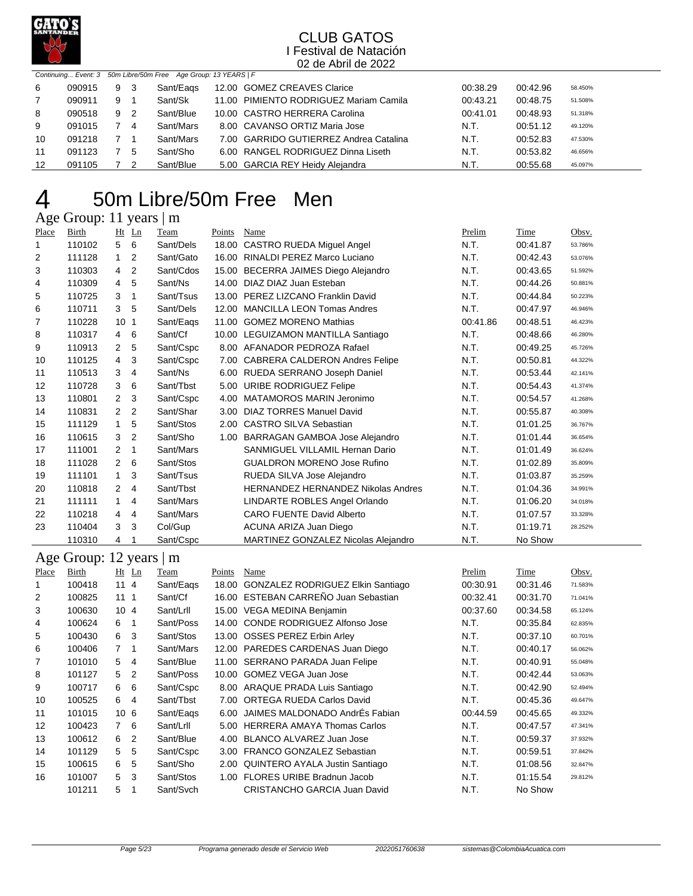

|    |        |   |                | Continuing Event: 3 50m Libre/50m Free Age Group: 13 YEARS   F |                                        |          |          |         |
|----|--------|---|----------------|----------------------------------------------------------------|----------------------------------------|----------|----------|---------|
| -6 | 090915 | 9 | - 3            | Sant/Eags                                                      | 12.00 GOMEZ CREAVES Clarice            | 00:38.29 | 00:42.96 | 58.450% |
|    | 090911 | 9 |                | Sant/Sk                                                        | 11.00 PIMIENTO RODRIGUEZ Mariam Camila | 00:43.21 | 00:48.75 | 51.508% |
| 8  | 090518 | 9 | $\overline{2}$ | Sant/Blue                                                      | 10.00 CASTRO HERRERA Carolina          | 00:41.01 | 00:48.93 | 51.318% |
| 9  | 091015 |   | -4             | Sant/Mars                                                      | 8.00 CAVANSO ORTIZ Maria Jose          | N.T.     | 00:51.12 | 49.120% |
| 10 | 091218 |   |                | Sant/Mars                                                      | 7.00 GARRIDO GUTIERREZ Andrea Catalina | N.T.     | 00:52.83 | 47.530% |
| 11 | 091123 |   | 5              | Sant/Sho                                                       | 6.00 RANGEL RODRIGUEZ Dinna Liseth     | N.T.     | 00:53.82 | 46.656% |
| 12 | 091105 |   |                | Sant/Blue                                                      | 5.00 GARCIA REY Heidy Alejandra        | N.T.     | 00:55.68 | 45.097% |

## 50m Libre/50m Free Men 4 50m Libre

| Place                 | <b>Birth</b>            | $Ht$ Ln                          | Team      | Points | Name                                                              | Prelim       | Time                 | Obsv.   |
|-----------------------|-------------------------|----------------------------------|-----------|--------|-------------------------------------------------------------------|--------------|----------------------|---------|
| $\mathbf{1}$          | 110102                  | 6<br>5                           | Sant/Dels |        | 18.00 CASTRO RUEDA Miguel Angel                                   | N.T.         | 00:41.87             | 53.786% |
| 2                     | 111128                  | $\overline{2}$<br>$\mathbf{1}$   | Sant/Gato |        | 16.00 RINALDI PEREZ Marco Luciano                                 | N.T.         | 00:42.43             | 53.076% |
| 3                     | 110303                  | $\overline{2}$<br>4              | Sant/Cdos |        | 15.00 BECERRA JAIMES Diego Alejandro                              | N.T.         | 00:43.65             | 51.592% |
| 4                     | 110309                  | 5<br>4                           | Sant/Ns   |        | 14.00 DIAZ DIAZ Juan Esteban                                      | N.T.         | 00:44.26             | 50.881% |
| 5                     | 110725                  | $\mathbf{1}$<br>3                | Sant/Tsus |        | 13.00 PEREZ LIZCANO Franklin David                                | N.T.         | 00:44.84             | 50.223% |
| 6                     | 110711                  | 3<br>5                           | Sant/Dels |        | 12.00 MANCILLA LEON Tomas Andres                                  | N.T.         | 00:47.97             | 46.946% |
| 7                     | 110228                  | 10 <sub>1</sub>                  | Sant/Eags |        | 11.00 GOMEZ MORENO Mathias                                        | 00:41.86     | 00:48.51             | 46.423% |
| 8                     | 110317                  | 6<br>4                           | Sant/Cf   |        | 10.00 LEGUIZAMON MANTILLA Santiago                                | N.T.         | 00:48.66             | 46.280% |
| 9                     | 110913                  | $\overline{2}$<br>5              | Sant/Cspc |        | 8.00 AFANADOR PEDROZA Rafael                                      | N.T.         | 00:49.25             | 45.726% |
| 10                    | 110125                  | 3<br>4                           | Sant/Cspc |        | 7.00 CABRERA CALDERON Andres Felipe                               | N.T.         | 00:50.81             | 44.322% |
| 11                    | 110513                  | 3<br>$\overline{4}$              | Sant/Ns   |        | 6.00 RUEDA SERRANO Joseph Daniel                                  | N.T.         | 00:53.44             | 42.141% |
| 12                    | 110728                  | 3<br>6                           | Sant/Tbst |        | 5.00 URIBE RODRIGUEZ Felipe                                       | N.T.         | 00:54.43             | 41.374% |
| 13                    | 110801                  | $\overline{2}$<br>3              | Sant/Cspc |        | 4.00 MATAMOROS MARIN Jeronimo                                     | N.T.         | 00:54.57             | 41.268% |
| 14                    | 110831                  | $\overline{2}$<br>$\overline{2}$ | Sant/Shar |        | 3.00 DIAZ TORRES Manuel David                                     | N.T.         | 00:55.87             | 40.308% |
| 15                    | 111129                  | 5<br>$\mathbf{1}$                | Sant/Stos |        | 2.00 CASTRO SILVA Sebastian                                       | N.T.         | 01:01.25             | 36.767% |
| 16                    | 110615                  | $\overline{2}$<br>3              | Sant/Sho  | 1.00   | <b>BARRAGAN GAMBOA Jose Alejandro</b>                             | N.T.         | 01:01.44             | 36.654% |
| 17                    | 111001                  | $\overline{2}$<br>$\mathbf{1}$   | Sant/Mars |        | SANMIGUEL VILLAMIL Hernan Dario                                   | N.T.         | 01:01.49             | 36.624% |
| 18                    | 111028                  | $\overline{2}$<br>6              | Sant/Stos |        | <b>GUALDRON MORENO Jose Rufino</b>                                | N.T.         | 01:02.89             | 35.809% |
| 19                    | 111101                  | $\mathbf{1}$<br>3                | Sant/Tsus |        | RUEDA SILVA Jose Alejandro                                        | N.T.         | 01:03.87             | 35.259% |
| 20                    | 110818                  | 2<br>4                           | Sant/Tbst |        | HERNANDEZ HERNANDEZ Nikolas Andres                                | N.T.         | 01:04.36             | 34.991% |
| 21                    | 111111                  | $\mathbf{1}$<br>4                | Sant/Mars |        | LINDARTE ROBLES Angel Orlando                                     | N.T.         | 01:06.20             | 34.018% |
| 22                    | 110218                  | 4<br>$\overline{4}$              | Sant/Mars |        | <b>CARO FUENTE David Alberto</b>                                  | N.T.         | 01:07.57             | 33.328% |
| 23                    | 110404                  | 3<br>3                           | Col/Gup   |        | ACUNA ARIZA Juan Diego                                            | N.T.         | 01:19.71             | 28.252% |
|                       | 110310                  | 4<br>1                           | Sant/Cspc |        | MARTINEZ GONZALEZ Nicolas Alejandro                               | N.T.         | No Show              |         |
|                       | Age Group: 12 years   m |                                  |           |        |                                                                   |              |                      |         |
|                       | <b>Birth</b>            | Ht Ln                            | Team      | Points | <b>Name</b>                                                       | Prelim       | <b>Time</b>          | Obsv.   |
| Place<br>$\mathbf{1}$ | 100418                  | 114                              | Sant/Eags |        | 18.00 GONZALEZ RODRIGUEZ Elkin Santiago                           | 00:30.91     | 00:31.46             | 71.583% |
| $\overline{2}$        | 100825                  | 111                              | Sant/Cf   |        | 16.00 ESTEBAN CARREÑO Juan Sebastian                              | 00:32.41     | 00:31.70             | 71.041% |
| 3                     | 100630                  | 104                              | Sant/Lrll |        | 15.00 VEGA MEDINA Benjamin                                        | 00:37.60     | 00:34.58             | 65.124% |
| 4                     | 100624                  | $\mathbf{1}$<br>6                | Sant/Poss |        | 14.00 CONDE RODRIGUEZ Alfonso Jose                                |              |                      | 62.835% |
| 5                     | 100430                  | 3<br>6                           | Sant/Stos |        | 13.00 OSSES PEREZ Erbin Arley                                     | N.T.<br>N.T. | 00:35.84<br>00:37.10 | 60.701% |
| 6                     | 100406                  | $\overline{7}$<br>$\mathbf{1}$   | Sant/Mars |        | 12.00 PAREDES CARDENAS Juan Diego                                 | N.T.         | 00:40.17             | 56.062% |
| 7                     | 101010                  | 5<br>4                           | Sant/Blue |        | 11.00 SERRANO PARADA Juan Felipe                                  | N.T.         |                      | 55.048% |
| 8                     | 101127                  | $\overline{2}$<br>5              | Sant/Poss |        | 10.00 GOMEZ VEGA Juan Jose                                        | N.T.         | 00:40.91<br>00:42.44 | 53.063% |
| 9                     | 100717                  | 6<br>6                           | Sant/Cspc |        |                                                                   | N.T.         | 00:42.90             | 52.494% |
| 10                    | 100525                  | 6<br>$\overline{4}$              | Sant/Tbst |        | 8.00 ARAQUE PRADA Luis Santiago<br>7.00 ORTEGA RUEDA Carlos David | N.T.         | 00:45.36             |         |
|                       |                         | 10<br>6                          |           |        | 6.00 JAIMES MALDONADO AndrÉs Fabian                               |              |                      | 49.647% |
| 11                    | 101015                  |                                  | Sant/Eags |        |                                                                   | 00:44.59     | 00:45.65             | 49.332% |
| 12                    | 100423                  | $\overline{7}$<br>6              | Sant/Lrll |        | 5.00 HERRERA AMAYA Thomas Carlos                                  | N.T.         | 00:47.57             | 47.341% |
| 13                    | 100612                  | 6<br>$\overline{2}$              | Sant/Blue |        | 4.00 BLANCO ALVAREZ Juan Jose                                     | N.T.         | 00:59.37             | 37.932% |
| 14                    | 101129                  | 5<br>5                           | Sant/Cspc |        | 3.00 FRANCO GONZALEZ Sebastian                                    | N.T.         | 00:59.51             | 37.842% |
| 15                    | 100615                  | 5<br>6                           | Sant/Sho  |        | 2.00 QUINTERO AYALA Justin Santiago                               | N.T.         | 01:08.56             | 32.847% |
| 16                    | 101007                  | 5<br>3                           | Sant/Stos |        | 1.00 FLORES URIBE Bradnun Jacob                                   | N.T.         | 01:15.54             | 29.812% |
|                       | 101211                  | 5<br>$\mathbf{1}$                | Sant/Svch |        | <b>CRISTANCHO GARCIA Juan David</b>                               | N.T.         | No Show              |         |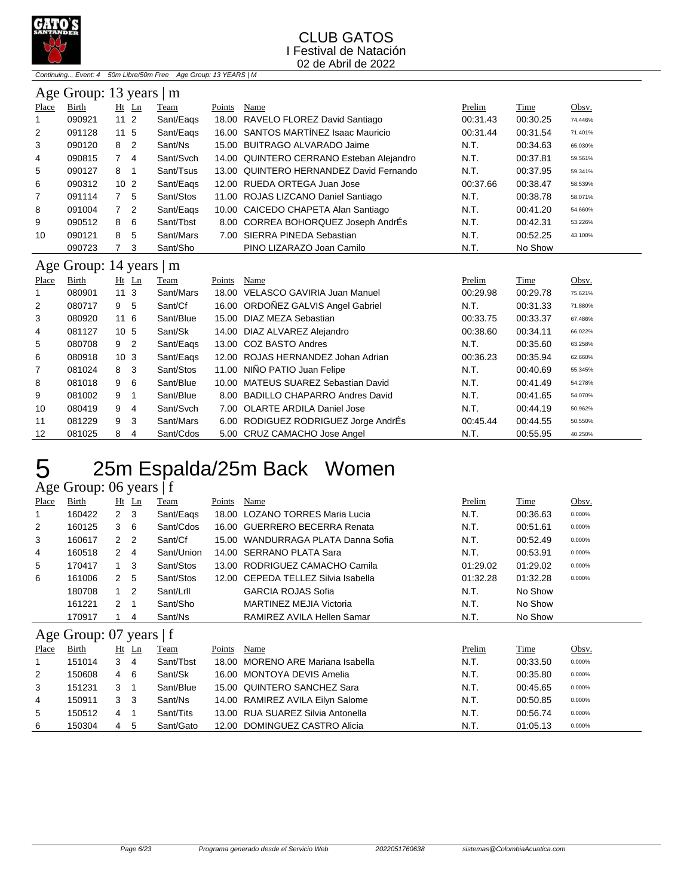

Continuing... Event: 4 50m Libre/50m Free Age Group: 13 YEARS | M

|       | Age Group: 13 years   m       |                 |                |           |        |                                          |          |          |         |  |  |  |
|-------|-------------------------------|-----------------|----------------|-----------|--------|------------------------------------------|----------|----------|---------|--|--|--|
| Place | Birth                         |                 | $Ht$ Ln        | Team      | Points | Name                                     | Prelim   | Time     | Obsv.   |  |  |  |
|       | 090921                        | 11 <sub>2</sub> |                | Sant/Eags |        | 18.00 RAVELO FLOREZ David Santiago       | 00:31.43 | 00:30.25 | 74.446% |  |  |  |
| 2     | 091128                        | 11 <sub>5</sub> |                | Sant/Eags |        | 16.00 SANTOS MARTÍNEZ Isaac Mauricio     | 00:31.44 | 00:31.54 | 71.401% |  |  |  |
| 3     | 090120                        | 8               | $\overline{2}$ | Sant/Ns   |        | 15.00 BUITRAGO ALVARADO Jaime            | N.T.     | 00:34.63 | 65.030% |  |  |  |
| 4     | 090815                        |                 | 4              | Sant/Svch |        | 14.00 QUINTERO CERRANO Esteban Alejandro | N.T.     | 00:37.81 | 59.561% |  |  |  |
| 5     | 090127                        | 8               | -1             | Sant/Tsus |        | 13.00 QUINTERO HERNANDEZ David Fernando  | N.T.     | 00:37.95 | 59.341% |  |  |  |
| 6     | 090312                        | 10 <sub>2</sub> |                | Sant/Eags |        | 12.00 RUEDA ORTEGA Juan Jose             | 00:37.66 | 00:38.47 | 58.539% |  |  |  |
| 7     | 091114                        |                 | -5             | Sant/Stos |        | 11.00 ROJAS LIZCANO Daniel Santiago      | N.T.     | 00:38.78 | 58.071% |  |  |  |
| 8     | 091004                        | 7 <sup>2</sup>  |                | Sant/Eags |        | 10.00 CAICEDO CHAPETA Alan Santiago      | N.T.     | 00:41.20 | 54.660% |  |  |  |
| 9     | 090512                        | 8               | 6              | Sant/Tbst |        | 8.00 CORREA BOHORQUEZ Joseph AndrEs      | N.T.     | 00:42.31 | 53.226% |  |  |  |
| 10    | 090121                        | 8               | 5              | Sant/Mars | 7.00   | SIERRA PINEDA Sebastian                  | N.T.     | 00:52.25 | 43.100% |  |  |  |
|       | 090723                        |                 | -3             | Sant/Sho  |        | PINO LIZARAZO Joan Camilo                | N.T.     | No Show  |         |  |  |  |
|       | Age Group: 14 years $\vert$ m |                 |                |           |        |                                          |          |          |         |  |  |  |

## Age Group: 14 years | m

| $\Delta$ gu Oroup. $1 +$ yuars $\Delta$ in |        |                 |                |           |        |                                      |          |             |         |  |  |  |
|--------------------------------------------|--------|-----------------|----------------|-----------|--------|--------------------------------------|----------|-------------|---------|--|--|--|
| Place                                      | Birth  | $Ht$ Ln         |                | Team      | Points | Name                                 | Prelim   | <b>Time</b> | Obsv.   |  |  |  |
|                                            | 080901 | 113             |                | Sant/Mars |        | 18.00 VELASCO GAVIRIA Juan Manuel    | 00:29.98 | 00:29.78    | 75.621% |  |  |  |
| 2                                          | 080717 | 9               | 5              | Sant/Cf   |        | 16.00 ORDOÑEZ GALVIS Angel Gabriel   | N.T.     | 00:31.33    | 71.880% |  |  |  |
| 3                                          | 080920 | 116             |                | Sant/Blue |        | 15.00 DIAZ MEZA Sebastian            | 00:33.75 | 00:33.37    | 67.486% |  |  |  |
| 4                                          | 081127 | 10 <sub>5</sub> |                | Sant/Sk   |        | 14.00 DIAZ ALVAREZ Alejandro         | 00:38.60 | 00:34.11    | 66.022% |  |  |  |
| 5                                          | 080708 | 9               | $\overline{2}$ | Sant/Eags |        | 13.00 COZ BASTO Andres               | N.T.     | 00:35.60    | 63.258% |  |  |  |
| 6                                          | 080918 | 10 <sub>3</sub> |                | Sant/Eags |        | 12.00 ROJAS HERNANDEZ Johan Adrian   | 00:36.23 | 00:35.94    | 62.660% |  |  |  |
| 7                                          | 081024 | 8               | - 3            | Sant/Stos |        | 11.00 NIÑO PATIO Juan Felipe         | N.T.     | 00:40.69    | 55.345% |  |  |  |
| 8                                          | 081018 | 9               | - 6            | Sant/Blue |        | 10.00 MATEUS SUAREZ Sebastian David  | N.T.     | 00:41.49    | 54.278% |  |  |  |
| 9                                          | 081002 | 9               |                | Sant/Blue |        | 8.00 BADILLO CHAPARRO Andres David   | N.T.     | 00:41.65    | 54.070% |  |  |  |
| 10                                         | 080419 | 9               | -4             | Sant/Svch |        | 7.00 OLARTE ARDILA Daniel Jose       | N.T.     | 00:44.19    | 50.962% |  |  |  |
| 11                                         | 081229 | 9               | -3             | Sant/Mars |        | 6.00 RODIGUEZ RODRIGUEZ Jorge AndrÉs | 00:45.44 | 00:44.55    | 50.550% |  |  |  |
| 12                                         | 081025 | 8               | 4              | Sant/Cdos |        | 5.00 CRUZ CAMACHO Jose Angel         | N.T.     | 00:55.95    | 40.250% |  |  |  |

## 25m Espalda/25m Back Women

Age Group: 06 years | f

| Place | Birth                       | Ht             | Ln             | Team       | Points | Name                              | Prelim   | Time     | Obsv.  |
|-------|-----------------------------|----------------|----------------|------------|--------|-----------------------------------|----------|----------|--------|
| 1     | 160422                      | $\mathbf{2}$   | 3              | Sant/Eags  | 18.00  | <b>LOZANO TORRES Maria Lucia</b>  | N.T.     | 00:36.63 | 0.000% |
| 2     | 160125                      | 3              | 6              | Sant/Cdos  | 16.00  | <b>GUERRERO BECERRA Renata</b>    | N.T.     | 00:51.61 | 0.000% |
| 3     | 160617                      | $\mathbf{2}$   | $\overline{2}$ | Sant/Cf    | 15.00  | WANDURRAGA PLATA Danna Sofia      | N.T.     | 00:52.49 | 0.000% |
| 4     | 160518                      | 2              | $\overline{4}$ | Sant/Union |        | 14.00 SERRANO PLATA Sara          | N.T.     | 00:53.91 | 0.000% |
| 5     | 170417                      |                | 3              | Sant/Stos  |        | 13.00 RODRIGUEZ CAMACHO Camila    | 01:29.02 | 01:29.02 | 0.000% |
| 6     | 161006                      | 2              | 5              | Sant/Stos  | 12.00  | CEPEDA TELLEZ Silvia Isabella     | 01:32.28 | 01:32.28 | 0.000% |
|       | 180708                      | $\mathbf{1}$   | $\overline{2}$ | Sant/Lrll  |        | <b>GARCIA ROJAS Sofia</b>         | N.T.     | No Show  |        |
|       | 161221                      | 2              | 1              | Sant/Sho   |        | MARTINEZ MEJIA Victoria           | N.T.     | No Show  |        |
|       | 170917                      |                | 4              | Sant/Ns    |        | RAMIREZ AVILA Hellen Samar        | N.T.     | No Show  |        |
|       | Age Group: $07$ years $ f $ |                |                |            |        |                                   |          |          |        |
| Place | Birth                       |                | $Ht$ Ln        | Team       | Points | Name                              | Prelim   | Time     | Obsv.  |
| 1     | 151014                      | 3              | 4              | Sant/Tbst  | 18.00  | MORENO ARE Mariana Isabella       | N.T.     | 00:33.50 | 0.000% |
| 2     | 150608                      | 4              | 6              | Sant/Sk    |        | 16.00 MONTOYA DEVIS Amelia        | N.T.     | 00:35.80 | 0.000% |
| 3     | 151231                      | 3              | -1             | Sant/Blue  |        | 15.00 QUINTERO SANCHEZ Sara       | N.T.     | 00:45.65 | 0.000% |
| 4     | 150911                      | 3 <sub>3</sub> |                | Sant/Ns    |        | 14.00 RAMIREZ AVILA Eilyn Salome  | N.T.     | 00:50.85 | 0.000% |
| 5     | 150512                      | $\overline{4}$ | -1             | Sant/Tits  |        | 13.00 RUA SUAREZ Silvia Antonella | N.T.     | 00:56.74 | 0.000% |
| 6     | 150304                      | $\overline{4}$ | 5              | Sant/Gato  |        | 12.00 DOMINGUEZ CASTRO Alicia     | N.T.     | 01:05.13 | 0.000% |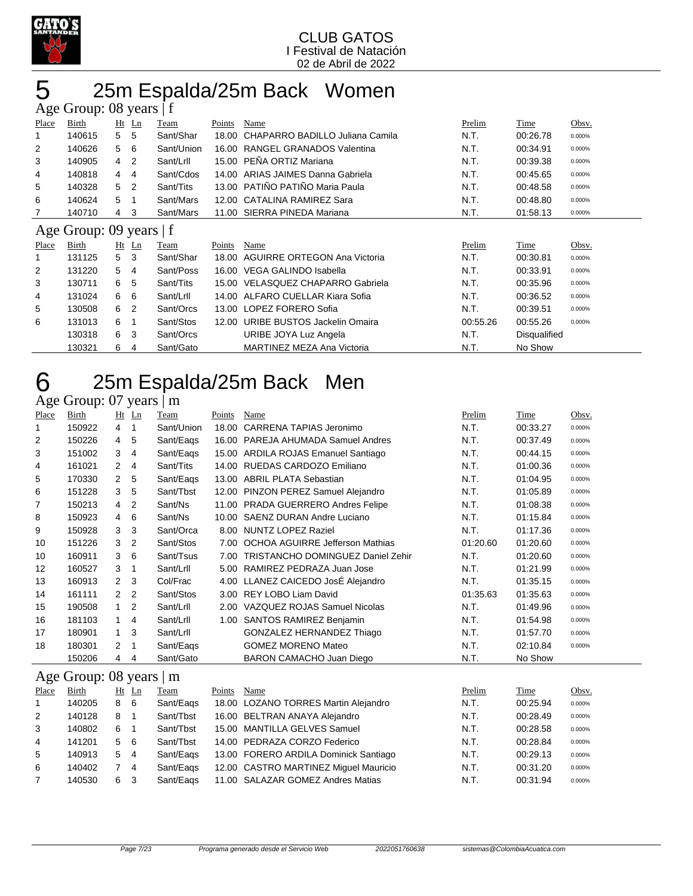

## 25m Espalda/25m Back Women

|       | Age Group: 08 years   f |   |                |            |        |                                     |          |              |        |  |  |
|-------|-------------------------|---|----------------|------------|--------|-------------------------------------|----------|--------------|--------|--|--|
| Place | Birth                   |   | $Ht$ Ln        | Team       | Points | Name                                | Prelim   | Time         | Obsv.  |  |  |
| 1     | 140615                  | 5 | 5              | Sant/Shar  | 18.00  | CHAPARRO BADILLO Juliana Camila     | N.T.     | 00:26.78     | 0.000% |  |  |
| 2     | 140626                  | 5 | 6              | Sant/Union | 16.00  | <b>RANGEL GRANADOS Valentina</b>    | N.T.     | 00:34.91     | 0.000% |  |  |
| 3     | 140905                  | 4 | $\overline{2}$ | Sant/Lrll  | 15.00  | PEÑA ORTIZ Mariana                  | N.T.     | 00:39.38     | 0.000% |  |  |
| 4     | 140818                  | 4 | 4              | Sant/Cdos  | 14.00  | ARIAS JAIMES Danna Gabriela         | N.T.     | 00:45.65     | 0.000% |  |  |
| 5     | 140328                  | 5 | $\overline{2}$ | Sant/Tits  |        | 13.00 PATIÑO PATIÑO Maria Paula     | N.T.     | 00:48.58     | 0.000% |  |  |
| 6     | 140624                  | 5 |                | Sant/Mars  | 12.00  | CATALINA RAMIREZ Sara               | N.T.     | 00:48.80     | 0.000% |  |  |
| 7     | 140710                  | 4 | 3              | Sant/Mars  | 11.00  | SIERRA PINEDA Mariana               | N.T.     | 01:58.13     | 0.000% |  |  |
|       | Age Group: 09 years   f |   |                |            |        |                                     |          |              |        |  |  |
| Place | Birth                   |   | $Ht$ Ln        | Team       | Points | Name                                | Prelim   | Time         | Obsv.  |  |  |
| 1     | 131125                  | 5 | 3              | Sant/Shar  | 18.00  | AGUIRRE ORTEGON Ana Victoria        | N.T.     | 00:30.81     | 0.000% |  |  |
| 2     | 131220                  | 5 | 4              | Sant/Poss  | 16.00  | VEGA GALINDO Isabella               | N.T.     | 00:33.91     | 0.000% |  |  |
| 3     | 130711                  | 6 | 5              | Sant/Tits  | 15.00  | <b>VELASQUEZ CHAPARRO Gabriela</b>  | N.T.     | 00:35.96     | 0.000% |  |  |
| 4     | 131024                  | 6 | 6              | Sant/Lrll  | 14.00  | ALFARO CUELLAR Kiara Sofia          | N.T.     | 00:36.52     | 0.000% |  |  |
| 5     | 130508                  | 6 | 2              | Sant/Orcs  |        | 13.00 LOPEZ FORERO Sofia            | N.T.     | 00:39.51     | 0.000% |  |  |
| 6     | 131013                  | 6 |                | Sant/Stos  | 12.00  | <b>URIBE BUSTOS Jackelin Omaira</b> | 00:55.26 | 00:55.26     | 0.000% |  |  |
|       | 130318                  | 6 | 3              | Sant/Orcs  |        | URIBE JOYA Luz Angela               | N.T.     | Disqualified |        |  |  |
|       | 130321                  | 6 | 4              | Sant/Gato  |        | MARTINEZ MEZA Ana Victoria          | N.T.     | No Show      |        |  |  |

## 25m Espalda/25m Back Men

## Age Group: 07 years | m

| Place | Birth  |                | $Ht$ Ln        | Team       | Points | Name                                     | Prelim   | Time     | Obsv.  |
|-------|--------|----------------|----------------|------------|--------|------------------------------------------|----------|----------|--------|
| 1     | 150922 | 4              | 1              | Sant/Union | 18.00  | CARRENA TAPIAS Jeronimo                  | N.T.     | 00:33.27 | 0.000% |
| 2     | 150226 | 4              | 5              | Sant/Eags  |        | 16.00 PAREJA AHUMADA Samuel Andres       | N.T.     | 00:37.49 | 0.000% |
| 3     | 151002 | 3              | 4              | Sant/Eags  |        | 15.00 ARDILA ROJAS Emanuel Santiago      | N.T.     | 00:44.15 | 0.000% |
| 4     | 161021 | $\overline{2}$ | 4              | Sant/Tits  |        | 14.00 RUEDAS CARDOZO Emiliano            | N.T.     | 01:00.36 | 0.000% |
| 5     | 170330 | $\overline{2}$ | 5              | Sant/Eags  |        | 13.00 ABRIL PLATA Sebastian              | N.T.     | 01:04.95 | 0.000% |
| 6     | 151228 | 3              | 5              | Sant/Tbst  |        | 12.00 PINZON PEREZ Samuel Alejandro      | N.T.     | 01:05.89 | 0.000% |
| 7     | 150213 | 4              | $\overline{2}$ | Sant/Ns    |        | 11.00 PRADA GUERRERO Andres Felipe       | N.T.     | 01:08.38 | 0.000% |
| 8     | 150923 | 4              | 6              | Sant/Ns    |        | 10.00 SAENZ DURAN Andre Luciano          | N.T.     | 01:15.84 | 0.000% |
| 9     | 150928 | 3              | 3              | Sant/Orca  |        | 8.00 NUNTZ LOPEZ Raziel                  | N.T.     | 01:17.36 | 0.000% |
| 10    | 151226 | 3              | $\overline{2}$ | Sant/Stos  |        | 7.00 OCHOA AGUIRRE Jefferson Mathias     | 01:20.60 | 01:20.60 | 0.000% |
| 10    | 160911 | 3              | 6              | Sant/Tsus  | 7.00   | <b>TRISTANCHO DOMINGUEZ Daniel Zehir</b> | N.T.     | 01:20.60 | 0.000% |
| 12    | 160527 | 3              | 1              | Sant/Lrll  |        | 5.00 RAMIREZ PEDRAZA Juan Jose           | N.T.     | 01:21.99 | 0.000% |
| 13    | 160913 | 2              | 3              | Col/Frac   |        | 4.00 LLANEZ CAICEDO JosÉ Alejandro       | N.T.     | 01:35.15 | 0.000% |
| 14    | 161111 | $\overline{2}$ | $\overline{2}$ | Sant/Stos  |        | 3.00 REY LOBO Liam David                 | 01:35.63 | 01:35.63 | 0.000% |
| 15    | 190508 | $\mathbf{1}$   | $\overline{2}$ | Sant/Lrll  | 2.00   | VAZQUEZ ROJAS Samuel Nicolas             | N.T.     | 01:49.96 | 0.000% |
| 16    | 181103 | $\mathbf{1}$   | 4              | Sant/Lrll  |        | 1.00 SANTOS RAMIREZ Benjamin             | N.T.     | 01:54.98 | 0.000% |
| 17    | 180901 | $\mathbf{1}$   | -3             | Sant/Lrll  |        | GONZALEZ HERNANDEZ Thiago                | N.T.     | 01:57.70 | 0.000% |
| 18    | 180301 | 2              | -1             | Sant/Eags  |        | <b>GOMEZ MORENO Mateo</b>                | N.T.     | 02:10.84 | 0.000% |
|       | 150206 | 4              | 4              | Sant/Gato  |        | BARON CAMACHO Juan Diego                 | N.T.     | No Show  |        |
|       |        |                |                |            |        |                                          |          |          |        |

## Age Group: 08 years | m

| Place       | Birth  | $Ht$ Ln |    | Team      | Points | Name                                  | Prelim | Time     | Obsv.  |
|-------------|--------|---------|----|-----------|--------|---------------------------------------|--------|----------|--------|
| $\mathbf 1$ | 140205 | 8       | -6 | Sant/Eags |        | 18.00 LOZANO TORRES Martin Alejandro  | N.T.   | 00:25.94 | 0.000% |
| 2           | 140128 | 8       |    | Sant/Tbst |        | 16.00 BELTRAN ANAYA Alejandro         | N.T.   | 00:28.49 | 0.000% |
| 3           | 140802 | 6       |    | Sant/Tbst |        | 15.00 MANTILLA GELVES Samuel          | N.T.   | 00:28.58 | 0.000% |
| 4           | 141201 | 5 6     |    | Sant/Tbst |        | 14.00 PEDRAZA CORZO Federico          | N.T.   | 00:28.84 | 0.000% |
| 5           | 140913 | 5       | 4  | Sant/Eags |        | 13.00 FORERO ARDILA Dominick Santiago | N.T.   | 00:29.13 | 0.000% |
| 6           | 140402 |         | 4  | Sant/Eags |        | 12.00 CASTRO MARTINEZ Miquel Mauricio | N.T.   | 00:31.20 | 0.000% |
|             | 140530 | 6 3     |    | Sant/Eags |        | 11.00 SALAZAR GOMEZ Andres Matias     | N.T.   | 00:31.94 | 0.000% |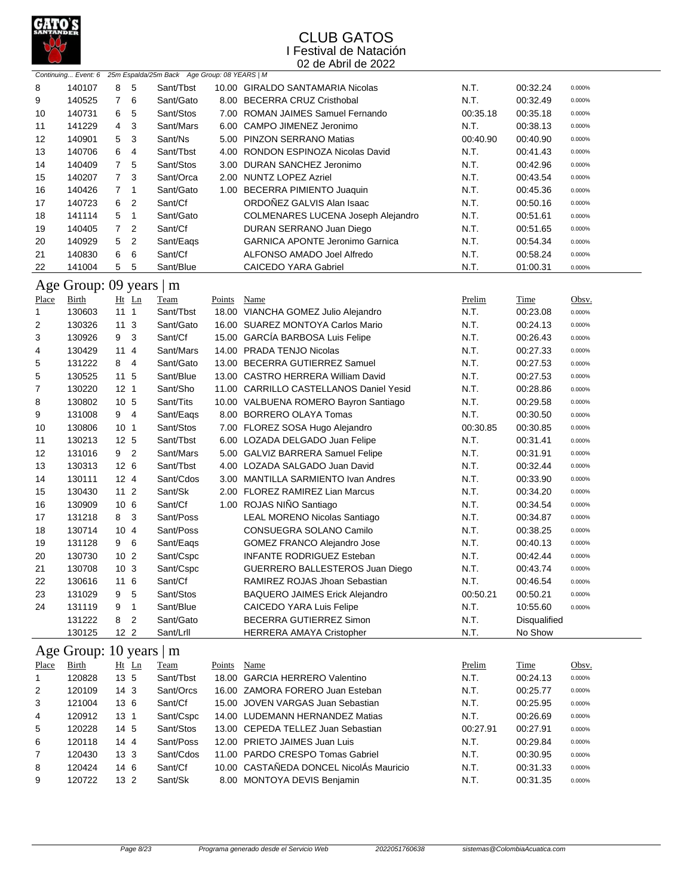

|              |                         |                 |                |                                                                  |             | 04 YO 7 WHI YO 4044                     |          |              |        |
|--------------|-------------------------|-----------------|----------------|------------------------------------------------------------------|-------------|-----------------------------------------|----------|--------------|--------|
|              |                         |                 |                | Continuing Event: 6 25m Espalda/25m Back Age Group: 08 YEARS   M |             |                                         |          |              |        |
| 8            | 140107                  | 8               | 5              | Sant/Tbst                                                        |             | 10.00 GIRALDO SANTAMARIA Nicolas        | N.T.     | 00:32.24     | 0.000% |
| 9            | 140525                  | $\overline{7}$  | 6              | Sant/Gato                                                        |             | 8.00 BECERRA CRUZ Cristhobal            | N.T.     | 00:32.49     | 0.000% |
| 10           | 140731                  | 6               | 5              | Sant/Stos                                                        |             | 7.00 ROMAN JAIMES Samuel Fernando       | 00:35.18 | 00:35.18     | 0.000% |
| 11           | 141229                  | 4               | 3              | Sant/Mars                                                        |             | 6.00 CAMPO JIMENEZ Jeronimo             | N.T.     | 00:38.13     | 0.000% |
| 12           | 140901                  | 5               | 3              | Sant/Ns                                                          |             | 5.00 PINZON SERRANO Matias              | 00:40.90 | 00:40.90     | 0.000% |
| 13           | 140706                  | 6               | 4              | Sant/Tbst                                                        |             | 4.00 RONDON ESPINOZA Nicolas David      | N.T.     | 00:41.43     | 0.000% |
| 14           | 140409                  | $\overline{7}$  | 5              | Sant/Stos                                                        |             | 3.00 DURAN SANCHEZ Jeronimo             | N.T.     | 00:42.96     | 0.000% |
| 15           | 140207                  | $\overline{7}$  | 3              | Sant/Orca                                                        |             | 2.00 NUNTZ LOPEZ Azriel                 | N.T.     | 00:43.54     | 0.000% |
| 16           | 140426                  | 7               | 1              | Sant/Gato                                                        |             | 1.00 BECERRA PIMIENTO Juaquin           | N.T.     | 00:45.36     | 0.000% |
| 17           | 140723                  | 6               | $\overline{c}$ | Sant/Cf                                                          |             | ORDOÑEZ GALVIS Alan Isaac               | N.T.     | 00:50.16     | 0.000% |
| 18           | 141114                  | 5               | $\mathbf{1}$   | Sant/Gato                                                        |             | COLMENARES LUCENA Joseph Alejandro      | N.T.     | 00:51.61     | 0.000% |
| 19           | 140405                  | $\overline{7}$  | $\overline{2}$ | Sant/Cf                                                          |             | DURAN SERRANO Juan Diego                | N.T.     | 00:51.65     | 0.000% |
| 20           | 140929                  | 5               | $\overline{c}$ | Sant/Eaqs                                                        |             | <b>GARNICA APONTE Jeronimo Garnica</b>  | N.T.     | 00:54.34     | 0.000% |
| 21           | 140830                  | 6               | 6              | Sant/Cf                                                          |             | ALFONSO AMADO Joel Alfredo              | N.T.     | 00:58.24     | 0.000% |
| 22           | 141004                  | 5               | 5              | Sant/Blue                                                        |             | <b>CAICEDO YARA Gabriel</b>             | N.T.     | 01:00.31     | 0.000% |
|              |                         |                 |                |                                                                  |             |                                         |          |              |        |
|              | Age Group: 09 years   m |                 |                |                                                                  |             |                                         |          |              |        |
| Place        | Birth                   |                 | Ht Ln          | Team                                                             | Points      | <b>Name</b>                             | Prelim   | <b>Time</b>  | Obsv.  |
| 1            | 130603                  | 111             |                | Sant/Tbst                                                        |             | 18.00 VIANCHA GOMEZ Julio Alejandro     | N.T.     | 00:23.08     | 0.000% |
| 2            | 130326                  | 11 <sub>3</sub> |                | Sant/Gato                                                        |             | 16.00 SUAREZ MONTOYA Carlos Mario       | N.T.     | 00:24.13     | 0.000% |
| 3            | 130926                  | 9               | 3              | Sant/Cf                                                          |             | 15.00 GARCÍA BARBOSA Luis Felipe        | N.T.     | 00:26.43     | 0.000% |
| 4            | 130429                  | 114             |                | Sant/Mars                                                        |             | 14.00 PRADA TENJO Nicolas               | N.T.     | 00:27.33     | 0.000% |
| 5            | 131222                  | 8               | $\overline{4}$ | Sant/Gato                                                        |             | 13.00 BECERRA GUTIERREZ Samuel          | N.T.     | 00:27.53     | 0.000% |
| 5            | 130525                  | 11 <sub>5</sub> |                | Sant/Blue                                                        |             | 13.00 CASTRO HERRERA William David      | N.T.     | 00:27.53     | 0.000% |
| 7            | 130220                  | 12 <sub>1</sub> |                | Sant/Sho                                                         |             | 11.00 CARRILLO CASTELLANOS Daniel Yesid | N.T.     | 00:28.86     | 0.000% |
| 8            | 130802                  | 10 <sub>5</sub> |                | Sant/Tits                                                        |             | 10.00 VALBUENA ROMERO Bayron Santiago   | N.T.     | 00:29.58     | 0.000% |
| 9            | 131008                  | 9 4             |                | Sant/Eags                                                        |             | 8.00 BORRERO OLAYA Tomas                | N.T.     | 00:30.50     | 0.000% |
| 10           | 130806                  | 10 <sub>1</sub> |                | Sant/Stos                                                        |             | 7.00 FLOREZ SOSA Hugo Alejandro         | 00:30.85 | 00:30.85     | 0.000% |
| 11           | 130213                  | 12 5            |                | Sant/Tbst                                                        |             | 6.00 LOZADA DELGADO Juan Felipe         | N.T.     | 00:31.41     | 0.000% |
| 12           | 131016                  | 9 2             |                | Sant/Mars                                                        |             | 5.00 GALVIZ BARRERA Samuel Felipe       | N.T.     | 00:31.91     | 0.000% |
| 13           | 130313                  | 12 6            |                | Sant/Tbst                                                        |             | 4.00 LOZADA SALGADO Juan David          | N.T.     | 00:32.44     | 0.000% |
| 14           | 130111                  | 12 <sub>4</sub> |                | Sant/Cdos                                                        |             | 3.00 MANTILLA SARMIENTO Ivan Andres     | N.T.     | 00:33.90     | 0.000% |
| 15           | 130430                  | $112$           |                | Sant/Sk                                                          |             | 2.00 FLOREZ RAMIREZ Lian Marcus         | N.T.     | 00:34.20     | 0.000% |
| 16           | 130909                  | 10 6            |                | Sant/Cf                                                          |             | 1.00 ROJAS NIÑO Santiago                | N.T.     | 00:34.54     | 0.000% |
| 17           | 131218                  | 8               | $\mathbf{3}$   | Sant/Poss                                                        |             | <b>LEAL MORENO Nicolas Santiago</b>     | N.T.     | 00:34.87     | 0.000% |
| 18           | 130714                  | 10 <sub>4</sub> |                | Sant/Poss                                                        |             | CONSUEGRA SOLANO Camilo                 | N.T.     | 00:38.25     | 0.000% |
| 19           | 131128                  | 9 6             |                | Sant/Eags                                                        |             | GOMEZ FRANCO Alejandro Jose             | N.T.     | 00:40.13     | 0.000% |
| 20           | 130730                  | 10 <sub>2</sub> |                | Sant/Cspc                                                        |             | INFANTE RODRIGUEZ Esteban               | N.T.     | 00:42.44     | 0.000% |
| 21           | 130708                  | 10 <sub>3</sub> |                | Sant/Cspc                                                        |             | GUERRERO BALLESTEROS Juan Diego         | N.T.     | 00:43.74     | 0.000% |
| 22           | 130616                  | 11 6            |                | Sant/Cf                                                          |             | RAMIREZ ROJAS Jhoan Sebastian           | N.T.     | 00:46.54     | 0.000% |
|              |                         |                 |                |                                                                  |             |                                         |          | 00:50.21     |        |
| 23           | 131029                  | 9               | 5              | Sant/Stos                                                        |             | <b>BAQUERO JAIMES Erick Alejandro</b>   | 00:50.21 |              | 0.000% |
| 24           | 131119                  | 9               | 1              | Sant/Blue                                                        |             | <b>CAICEDO YARA Luis Felipe</b>         | N.T.     | 10:55.60     | 0.000% |
|              | 131222                  | 8               | $\overline{2}$ | Sant/Gato                                                        |             | BECERRA GUTIERREZ Simon                 | N.T.     | Disqualified |        |
|              | 130125                  | 12 <sub>2</sub> |                | Sant/Lrll                                                        |             | <b>HERRERA AMAYA Cristopher</b>         | N.T.     | No Show      |        |
|              | Age Group: 10 years   m |                 |                |                                                                  |             |                                         |          |              |        |
| <b>Place</b> | <b>Birth</b>            |                 | Ht Ln          | <b>Team</b>                                                      | Points Name |                                         | Prelim   | Time         | Obsv.  |
| 1            | 120828                  | 13 5            |                | Sant/Tbst                                                        |             | 18.00 GARCIA HERRERO Valentino          | N.T.     | 00:24.13     | 0.000% |
| 2            | 120109                  | 14 <sub>3</sub> |                | Sant/Orcs                                                        |             | 16.00 ZAMORA FORERO Juan Esteban        | N.T.     | 00:25.77     | 0.000% |
| 3            | 121004                  | 13 6            |                | Sant/Cf                                                          |             | 15.00 JOVEN VARGAS Juan Sebastian       | N.T.     | 00:25.95     | 0.000% |
| 4            | 120912                  | 13 <sub>1</sub> |                | Sant/Cspc                                                        |             | 14.00 LUDEMANN HERNANDEZ Matias         | N.T.     | 00:26.69     | 0.000% |
| 5            | 120228                  | 14 5            |                | Sant/Stos                                                        |             | 13.00 CEPEDA TELLEZ Juan Sebastian      | 00:27.91 | 00:27.91     | 0.000% |
| 6            | 120118                  | 144             |                | Sant/Poss                                                        |             | 12.00 PRIETO JAIMES Juan Luis           | N.T.     | 00:29.84     | 0.000% |
| 7            | 120430                  | 13 <sub>3</sub> |                | Sant/Cdos                                                        |             | 11.00 PARDO CRESPO Tomas Gabriel        | N.T.     | 00:30.95     | 0.000% |
| 8            | 120424                  | 14 6            |                | Sant/Cf                                                          |             | 10.00 CASTAÑEDA DONCEL NicolÁs Mauricio | N.T.     | 00:31.33     | 0.000% |
| 9            | 120722                  | 13 2            |                | Sant/Sk                                                          |             | 8.00 MONTOYA DEVIS Benjamin             | N.T.     | 00:31.35     | 0.000% |
|              |                         |                 |                |                                                                  |             |                                         |          |              |        |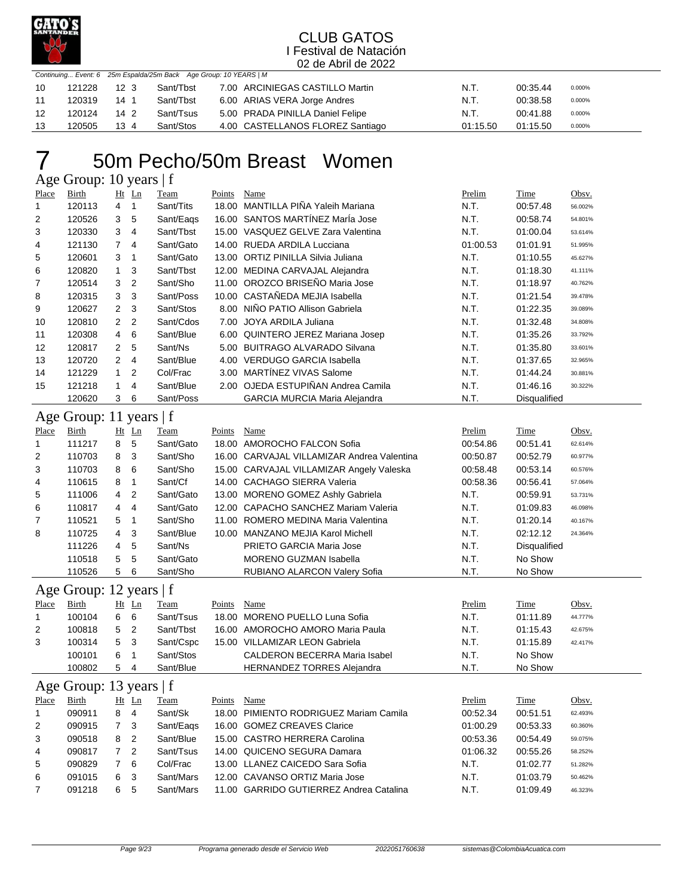

|    |        |                 | Continuing Event: 6 25m Espalda/25m Back Age Group: 10 YEARS   M |                                  |          |          |        |
|----|--------|-----------------|------------------------------------------------------------------|----------------------------------|----------|----------|--------|
| 10 | 121228 | 12 <sub>3</sub> | Sant/Tbst                                                        | 7.00 ARCINIEGAS CASTILLO Martin  | N.T.     | 00:35.44 | 0.000% |
| 11 | 120319 | 14 1            | Sant/Tbst                                                        | 6.00 ARIAS VERA Jorge Andres     | N.T.     | 00:38.58 | 0.000% |
| 12 | 120124 | 14 2            | Sant/Tsus                                                        | 5.00 PRADA PINILLA Daniel Felipe | N.T.     | 00:41.88 | 0.000% |
| 13 | 120505 | $13 \; 4$       | Sant/Stos                                                        | 4.00 CASTELLANOS FLOREZ Santiago | 01:15.50 | 01:15.50 | 0.000% |

## 50m Pecho/50m Breast Women

Age Group: 10 years | f

| Place | Birth  |                | $Ht$ Ln        | Team      | Points | Name                                 | Prelim   | Time                | Obsv.   |
|-------|--------|----------------|----------------|-----------|--------|--------------------------------------|----------|---------------------|---------|
| 1     | 120113 | 4              |                | Sant/Tits | 18.00  | MANTILLA PINA Yaleih Mariana         | N.T.     | 00:57.48            | 56.002% |
| 2     | 120526 | 3              | 5              | Sant/Eags |        | 16.00 SANTOS MARTÍNEZ MarÍa Jose     | N.T.     | 00:58.74            | 54.801% |
| 3     | 120330 | 3              | 4              | Sant/Tbst | 15.00  | VASQUEZ GELVE Zara Valentina         | N.T.     | 01:00.04            | 53.614% |
| 4     | 121130 | $7^{\circ}$    | $\overline{4}$ | Sant/Gato |        | 14.00 RUEDA ARDILA Lucciana          | 01:00.53 | 01:01.91            | 51.995% |
| 5     | 120601 | 3              |                | Sant/Gato |        | 13.00 ORTIZ PINILLA Silvia Juliana   | N.T.     | 01:10.55            | 45.627% |
| 6     | 120820 | 1.             | 3              | Sant/Tbst |        | 12.00 MEDINA CARVAJAL Alejandra      | N.T.     | 01:18.30            | 41.111% |
| 7     | 120514 | 3              | $\overline{2}$ | Sant/Sho  |        | 11.00 OROZCO BRISEÑO Maria Jose      | N.T.     | 01:18.97            | 40.762% |
| 8     | 120315 | 3              | 3              | Sant/Poss |        | 10.00 CASTAÑEDA MEJIA Isabella       | N.T.     | 01:21.54            | 39.478% |
| 9     | 120627 | $\mathbf{2}$   | -3             | Sant/Stos | 8.00   | NIÑO PATIO Allison Gabriela          | N.T.     | 01:22.35            | 39.089% |
| 10    | 120810 | 2 <sub>2</sub> |                | Sant/Cdos | 7.00   | JOYA ARDILA Juliana                  | N.T.     | 01:32.48            | 34.808% |
| 11    | 120308 | $\overline{4}$ | - 6            | Sant/Blue |        | 6.00 QUINTERO JEREZ Mariana Josep    | N.T.     | 01:35.26            | 33.792% |
| 12    | 120817 | 2 <sub>5</sub> |                | Sant/Ns   | 5.00   | <b>BUITRAGO ALVARADO Silvana</b>     | N.T.     | 01:35.80            | 33.601% |
| 13    | 120720 | 2              | $\overline{4}$ | Sant/Blue | 4.00   | <b>VERDUGO GARCIA Isabella</b>       | N.T.     | 01:37.65            | 32.965% |
| 14    | 121229 | $\overline{1}$ | $\overline{2}$ | Col/Frac  | 3.00   | MARTÍNEZ VIVAS Salome                | N.T.     | 01:44.24            | 30.881% |
| 15    | 121218 |                | 4              | Sant/Blue |        | 2.00 OJEDA ESTUPIÑAN Andrea Camila   | N.T.     | 01:46.16            | 30.322% |
|       | 120620 | 3              | 6              | Sant/Poss |        | <b>GARCIA MURCIA Maria Alejandra</b> | N.T.     | <b>Disqualified</b> |         |

## Age Group: 11 years | f

| Place          | <b>Birth</b> |                | $Ht$ Ln        | Team      | Points | Name                                       | Prelim   | Time         | Obsv.   |
|----------------|--------------|----------------|----------------|-----------|--------|--------------------------------------------|----------|--------------|---------|
|                | 111217       | 8              | 5              | Sant/Gato |        | 18.00 AMOROCHO FALCON Sofia                | 00:54.86 | 00:51.41     | 62.614% |
| $\overline{2}$ | 110703       | 8              | - 3            | Sant/Sho  |        | 16.00 CARVAJAL VILLAMIZAR Andrea Valentina | 00:50.87 | 00:52.79     | 60.977% |
| 3              | 110703       | 8              | - 6            | Sant/Sho  |        | 15.00 CARVAJAL VILLAMIZAR Angely Valeska   | 00:58.48 | 00:53.14     | 60.576% |
| 4              | 110615       | 8              |                | Sant/Cf   |        | 14.00 CACHAGO SIERRA Valeria               | 00:58.36 | 00:56.41     | 57.064% |
| 5              | 111006       | 4              | $\overline{2}$ | Sant/Gato |        | 13.00 MORENO GOMEZ Ashly Gabriela          | N.T.     | 00:59.91     | 53.731% |
| 6              | 110817       | 4              | 4              | Sant/Gato |        | 12.00 CAPACHO SANCHEZ Mariam Valeria       | N.T.     | 01:09.83     | 46.098% |
| $\overline{7}$ | 110521       | 5 <sub>1</sub> |                | Sant/Sho  |        | 11.00 ROMERO MEDINA Maria Valentina        | N.T.     | 01:20.14     | 40.167% |
| 8              | 110725       | 4 3            |                | Sant/Blue |        | 10.00 MANZANO MEJIA Karol Michell          | N.T.     | 02:12.12     | 24.364% |
|                | 111226       | 4              | 5              | Sant/Ns   |        | PRIETO GARCIA Maria Jose                   | N.T.     | Disqualified |         |
|                | 110518       | 5              | -5             | Sant/Gato |        | <b>MORENO GUZMAN Isabella</b>              | N.T.     | No Show      |         |
|                | 110526       | 5              | -6             | Sant/Sho  |        | RUBIANO ALARCON Valery Sofia               | N.T.     | No Show      |         |

### Age Group: 12 years | f

| Place | Birth  | Ht | Ln  | Team      | Points | Name                                 | Prelim | Time     | Obsv.   |
|-------|--------|----|-----|-----------|--------|--------------------------------------|--------|----------|---------|
|       | 100104 | 6  | 6   | Sant/Tsus |        | 18.00 MORENO PUELLO Luna Sofia       | N.T.   | 01:11.89 | 44.777% |
| 2     | 100818 | 5. | -2  | Sant/Tbst |        | 16.00 AMOROCHO AMORO Maria Paula     | N.T.   | 01:15.43 | 42.675% |
| 3     | 100314 | 5  | - 3 | Sant/Cspc |        | 15.00 VILLAMIZAR LEON Gabriela       | N.T.   | 01:15.89 | 42.417% |
|       | 100101 | 6  |     | Sant/Stos |        | <b>CALDERON BECERRA Maria Isabel</b> | N.T.   | No Show  |         |
|       | 100802 | 5  | 4   | Sant/Blue |        | <b>HERNANDEZ TORRES Alejandra</b>    | N.T.   | No Show  |         |
|       |        |    |     |           |        |                                      |        |          |         |

### Age Group: 13 years | f

|       | $1.5$ CHOup. $1.5$ years $1.1$ |                     |           |        |                                         |          |             |         |  |  |  |  |  |
|-------|--------------------------------|---------------------|-----------|--------|-----------------------------------------|----------|-------------|---------|--|--|--|--|--|
| Place | Birth                          | $Ht$ Ln             | Team      | Points | Name                                    | Prelim   | <b>Time</b> | Obsv.   |  |  |  |  |  |
|       | 090911                         | 8<br>- 4            | Sant/Sk   |        | 18.00 PIMIENTO RODRIGUEZ Mariam Camila  | 00:52.34 | 00:51.51    | 62.493% |  |  |  |  |  |
| 2     | 090915                         | - 3                 | Sant/Eags |        | 16.00 GOMEZ CREAVES Clarice             | 01:00.29 | 00:53.33    | 60.360% |  |  |  |  |  |
| 3     | 090518                         | 8<br>$\overline{2}$ | Sant/Blue |        | 15.00 CASTRO HERRERA Carolina           | 00:53.36 | 00:54.49    | 59.075% |  |  |  |  |  |
| 4     | 090817                         | - 2                 | Sant/Tsus |        | 14.00 QUICENO SEGURA Damara             | 01:06.32 | 00:55.26    | 58.252% |  |  |  |  |  |
| 5     | 090829                         | -6                  | Col/Frac  |        | 13.00 LLANEZ CAICEDO Sara Sofia         | N.T.     | 01:02.77    | 51.282% |  |  |  |  |  |
| 6     | 091015                         | 6.<br>-3            | Sant/Mars |        | 12.00 CAVANSO ORTIZ Maria Jose          | N.T.     | 01:03.79    | 50.462% |  |  |  |  |  |
|       | 091218                         | 6.<br>5             | Sant/Mars |        | 11.00 GARRIDO GUTIERREZ Andrea Catalina | N.T.     | 01:09.49    | 46.323% |  |  |  |  |  |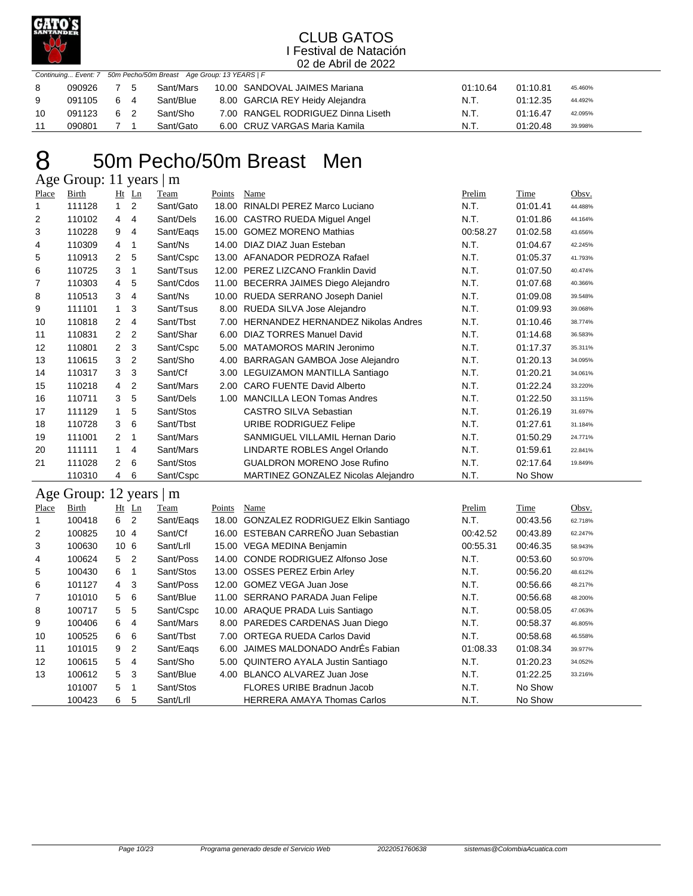

|    | Continuing Event: 7 50m Pecho/50m Breast Age Group: 13 YEARS   F |    |  |           |  |                                    |          |          |         |  |  |  |
|----|------------------------------------------------------------------|----|--|-----------|--|------------------------------------|----------|----------|---------|--|--|--|
| 8  | 090926                                                           | 75 |  | Sant/Mars |  | 10.00 SANDOVAL JAIMES Mariana      | 01:10.64 | 01:10.81 | 45.460% |  |  |  |
| -9 | 091105 6 4                                                       |    |  | Sant/Blue |  | 8.00 GARCIA REY Heidy Alejandra    | N.T.     | 01:12.35 | 44.492% |  |  |  |
| 10 | 091123                                                           | 62 |  | Sant/Sho  |  | 7.00 RANGEL RODRIGUEZ Dinna Liseth | N.T.     | 01:16.47 | 42.095% |  |  |  |
|    | 090801                                                           |    |  | Sant/Gato |  | 6.00 CRUZ VARGAS Maria Kamila      | N.T.     | 01:20.48 | 39.998% |  |  |  |

## 50m Pecho/50m Breast Men Age Group: 11 years | m

| Place          | Birth  |                          | $Ht$ Ln        | Team      | Points | <b>Name</b>                               | Prelim   | Time     | Obsv.   |
|----------------|--------|--------------------------|----------------|-----------|--------|-------------------------------------------|----------|----------|---------|
| 1              | 111128 | $\mathbf{1}$             | 2              | Sant/Gato | 18.00  | RINALDI PEREZ Marco Luciano               | N.T.     | 01:01.41 | 44.488% |
| $\overline{2}$ | 110102 | 4                        | $\overline{4}$ | Sant/Dels | 16.00  | CASTRO RUEDA Miguel Angel                 | N.T.     | 01:01.86 | 44.164% |
| 3              | 110228 | 9                        | 4              | Sant/Eags | 15.00  | <b>GOMEZ MORENO Mathias</b>               | 00:58.27 | 01:02.58 | 43.656% |
| 4              | 110309 | 4                        | 1              | Sant/Ns   | 14.00  | DIAZ DIAZ Juan Esteban                    | N.T.     | 01:04.67 | 42.245% |
| 5              | 110913 | 2                        | 5              | Sant/Cspc |        | 13.00 AFANADOR PEDROZA Rafael             | N.T.     | 01:05.37 | 41.793% |
| 6              | 110725 | 3                        | 1              | Sant/Tsus | 12.00  | PEREZ LIZCANO Franklin David              | N.T.     | 01:07.50 | 40.474% |
| 7              | 110303 | 4                        | 5              | Sant/Cdos | 11.00  | BECERRA JAIMES Diego Alejandro            | N.T.     | 01:07.68 | 40.366% |
| 8              | 110513 | 3                        | $\overline{4}$ | Sant/Ns   | 10.00  | RUEDA SERRANO Joseph Daniel               | N.T.     | 01:09.08 | 39.548% |
| 9              | 111101 | 1.                       | 3              | Sant/Tsus | 8.00   | RUEDA SILVA Jose Alejandro                | N.T.     | 01:09.93 | 39.068% |
| 10             | 110818 | $\overline{2}$           | 4              | Sant/Tbst | 7.00   | <b>HERNANDEZ HERNANDEZ Nikolas Andres</b> | N.T.     | 01:10.46 | 38.774% |
| 11             | 110831 | 2                        | 2              | Sant/Shar | 6.00   | DIAZ TORRES Manuel David                  | N.T.     | 01:14.68 | 36.583% |
| 12             | 110801 | $\overline{2}$           | 3              | Sant/Cspc | 5.00   | MATAMOROS MARIN Jeronimo                  | N.T.     | 01:17.37 | 35.311% |
| 13             | 110615 | 3                        | $\overline{2}$ | Sant/Sho  | 4.00   | <b>BARRAGAN GAMBOA Jose Alejandro</b>     | N.T.     | 01:20.13 | 34.095% |
| 14             | 110317 | 3                        | 3              | Sant/Cf   | 3.00   | LEGUIZAMON MANTILLA Santiago              | N.T.     | 01:20.21 | 34.061% |
| 15             | 110218 | 4                        | $\overline{2}$ | Sant/Mars | 2.00   | <b>CARO FUENTE David Alberto</b>          | N.T.     | 01:22.24 | 33.220% |
| 16             | 110711 | 3                        | 5              | Sant/Dels | 1.00   | <b>MANCILLA LEON Tomas Andres</b>         | N.T.     | 01:22.50 | 33.115% |
| 17             | 111129 | 1                        | 5              | Sant/Stos |        | <b>CASTRO SILVA Sebastian</b>             | N.T.     | 01:26.19 | 31.697% |
| 18             | 110728 | 3                        | 6              | Sant/Tbst |        | URIBE RODRIGUEZ Felipe                    | N.T.     | 01:27.61 | 31.184% |
| 19             | 111001 | 2                        | $\mathbf 1$    | Sant/Mars |        | SANMIGUEL VILLAMIL Hernan Dario           | N.T.     | 01:50.29 | 24.771% |
| 20             | 111111 | 1                        | 4              | Sant/Mars |        | LINDARTE ROBLES Angel Orlando             | N.T.     | 01:59.61 | 22.841% |
| 21             | 111028 | $\mathbf{2}^{\circ}$     | 6              | Sant/Stos |        | <b>GUALDRON MORENO Jose Rufino</b>        | N.T.     | 02:17.64 | 19.849% |
|                | 110310 | 4                        | 6              | Sant/Cspc |        | MARTINEZ GONZALEZ Nicolas Alejandro       | N.T.     | No Show  |         |
| $\sim$ $\sim$  | $\sim$ | $\overline{\phantom{a}}$ |                |           |        |                                           |          |          |         |

## Age Group: 12 years | m

| ັ     | $\mathbf{r}$ |                 |           |        |                                          |          |             |         |
|-------|--------------|-----------------|-----------|--------|------------------------------------------|----------|-------------|---------|
| Place | Birth        | $Ht$ $Ln$       | Team      | Points | Name                                     | Prelim   | <b>Time</b> | Obsv.   |
|       | 100418       | 6 2             | Sant/Eags | 18.00  | <b>GONZALEZ RODRIGUEZ Elkin Santiago</b> | N.T.     | 00:43.56    | 62.718% |
| 2     | 100825       | 10 <sub>4</sub> | Sant/Cf   |        | 16.00 ESTEBAN CARREÑO Juan Sebastian     | 00:42.52 | 00:43.89    | 62.247% |
| 3     | 100630       | 10 <sub>6</sub> | Sant/Lrll |        | 15.00 VEGA MEDINA Benjamin               | 00:55.31 | 00:46.35    | 58.943% |
| 4     | 100624       | 5 <sub>2</sub>  | Sant/Poss |        | 14.00 CONDE RODRIGUEZ Alfonso Jose       | N.T.     | 00:53.60    | 50.970% |
| 5     | 100430       | 6<br>-1         | Sant/Stos |        | 13.00 OSSES PEREZ Erbin Arley            | N.T.     | 00:56.20    | 48.612% |
| 6     | 101127       | 3<br>4          | Sant/Poss |        | 12.00 GOMEZ VEGA Juan Jose               | N.T.     | 00:56.66    | 48.217% |
| 7     | 101010       | 5<br>6          | Sant/Blue |        | 11.00 SERRANO PARADA Juan Felipe         | N.T.     | 00:56.68    | 48.200% |
| 8     | 100717       | 5<br>5          | Sant/Cspc |        | 10.00 ARAQUE PRADA Luis Santiago         | N.T.     | 00:58.05    | 47.063% |
| 9     | 100406       | 6<br>4          | Sant/Mars |        | 8.00 PAREDES CARDENAS Juan Diego         | N.T.     | 00:58.37    | 46.805% |
| 10    | 100525       | 6<br>6          | Sant/Tbst | 7.00   | <b>ORTEGA RUEDA Carlos David</b>         | N.T.     | 00:58.68    | 46.558% |
| 11    | 101015       | 2<br>9          | Sant/Eags | 6.00   | JAIMES MALDONADO AndrÉs Fabian           | 01:08.33 | 01:08.34    | 39.977% |
| 12    | 100615       | 5.<br>4         | Sant/Sho  |        | 5.00 QUINTERO AYALA Justin Santiago      | N.T.     | 01:20.23    | 34.052% |
| 13    | 100612       | - 3<br>5        | Sant/Blue | 4.00   | BLANCO ALVAREZ Juan Jose                 | N.T.     | 01:22.25    | 33.216% |
|       | 101007       | 5.<br>-1        | Sant/Stos |        | FLORES URIBE Bradnun Jacob               | N.T.     | No Show     |         |
|       | 100423       | 6<br>5          | Sant/Lrll |        | <b>HERRERA AMAYA Thomas Carlos</b>       | N.T.     | No Show     |         |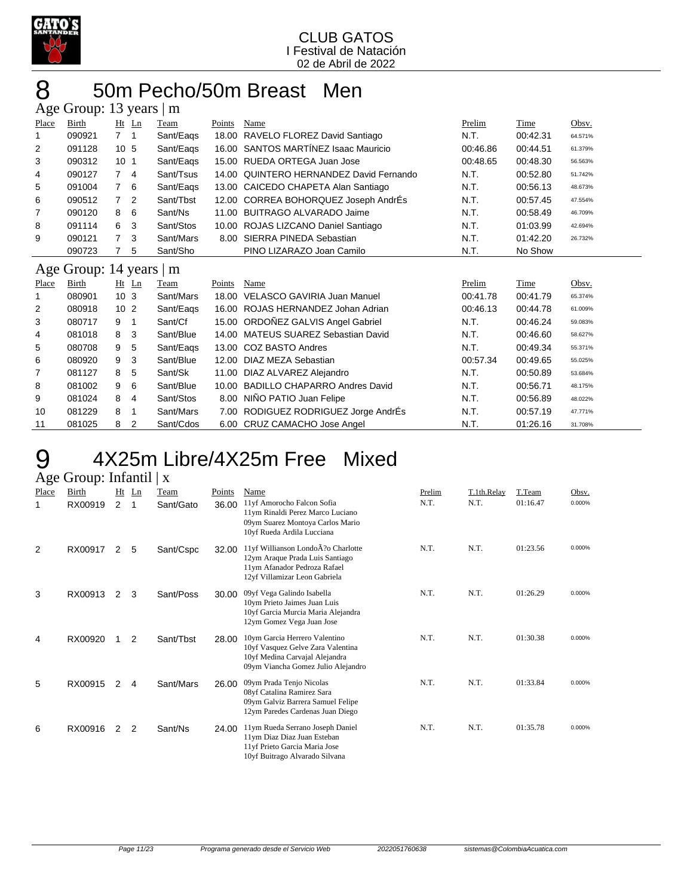

## 8 50m Pecho/50m Breast Men Age Group: 13 years | m

|       | $1.15$ Oroup. 15 years   m |                                  |           |        |                                      |          |          |         |
|-------|----------------------------|----------------------------------|-----------|--------|--------------------------------------|----------|----------|---------|
| Place | Birth                      | $Ht$ Ln                          | Team      | Points | Name                                 | Prelim   | Time     | Obsv.   |
|       | 090921                     | 7 <sub>1</sub>                   | Sant/Eags |        | 18.00 RAVELO FLOREZ David Santiago   | N.T.     | 00:42.31 | 64.571% |
| 2     | 091128                     | 10 <sub>5</sub>                  | Sant/Eags |        | 16.00 SANTOS MARTÍNEZ Isaac Mauricio | 00:46.86 | 00:44.51 | 61.379% |
| 3     | 090312                     | 10 <sub>1</sub>                  | Sant/Eags |        | 15.00 RUEDA ORTEGA Juan Jose         | 00:48.65 | 00:48.30 | 56.563% |
| 4     | 090127                     | $7^{\circ}$<br>$\overline{4}$    | Sant/Tsus | 14.00  | QUINTERO HERNANDEZ David Fernando    | N.T.     | 00:52.80 | 51.742% |
| 5     | 091004                     | $\overline{7}$<br>6              | Sant/Eags |        | 13.00 CAICEDO CHAPETA Alan Santiago  | N.T.     | 00:56.13 | 48.673% |
| 6     | 090512                     | $\overline{7}$<br>$\overline{2}$ | Sant/Tbst |        | 12.00 CORREA BOHORQUEZ Joseph AndrÉs | N.T.     | 00:57.45 | 47.554% |
| 7     | 090120                     | 8<br>6                           | Sant/Ns   |        | 11.00 BUITRAGO ALVARADO Jaime        | N.T.     | 00:58.49 | 46.709% |
| 8     | 091114                     | 6<br>3                           | Sant/Stos | 10.00  | ROJAS LIZCANO Daniel Santiago        | N.T.     | 01:03.99 | 42.694% |
| 9     | 090121                     | 3<br>7                           | Sant/Mars | 8.00   | SIERRA PINEDA Sebastian              | N.T.     | 01:42.20 | 26.732% |
|       | 090723                     | 5                                | Sant/Sho  |        | PINO LIZARAZO Joan Camilo            | N.T.     | No Show  |         |
|       | Age Group: 14 years   m    |                                  |           |        |                                      |          |          |         |
| Place | Birth                      | $Ht$ Ln                          | Team      | Points | Name                                 | Prelim   | Time     | Obsv.   |
|       | 080901                     | 10 <sub>3</sub>                  | Sant/Mars | 18.00  | <b>VELASCO GAVIRIA Juan Manuel</b>   | 00:41.78 | 00:41.79 | 65.374% |
| 2     | 080918                     | 10 <sub>2</sub>                  | Sant/Eags |        | 16.00 ROJAS HERNANDEZ Johan Adrian   | 00:46.13 | 00:44.78 | 61.009% |
| 3     | 080717                     | 9                                | Sant/Cf   | 15.00  | ORDOÑEZ GALVIS Angel Gabriel         | N.T.     | 00:46.24 | 59.083% |
| 4     | 081018                     | 8<br>3                           | Sant/Blue | 14.00  | <b>MATEUS SUAREZ Sebastian David</b> | N.T.     | 00:46.60 | 58.627% |
| 5     | 080708                     | 9<br>5                           | Sant/Eags |        | 13.00 COZ BASTO Andres               | N.T.     | 00:49.34 | 55.371% |
| 6     | 080920                     | 9<br>3                           | Sant/Blue | 12.00  | DIAZ MEZA Sebastian                  | 00:57.34 | 00:49.65 | 55.025% |
|       | 081127                     | 8<br>5                           | Sant/Sk   | 11.00  | DIAZ ALVAREZ Alejandro               | N.T.     | 00:50.89 | 53.684% |
| 8     | 081002                     | 9<br>6                           | Sant/Blue |        | 10.00 BADILLO CHAPARRO Andres David  | N.T.     | 00:56.71 | 48.175% |

# 9 4X25m Libre/4X25m Free Mixed

## Age Group: Infantil | x

| Place<br>1 | Birth<br>RX00919 | Ht<br>2 | Ln<br>1        | Team<br>Sant/Gato | Points<br>36.00 | Name<br>11yf Amorocho Falcon Sofia<br>11ym Rinaldi Perez Marco Luciano<br>09ym Suarez Montoya Carlos Mario<br>10yf Rueda Ardila Lucciana            | Prelim<br>N.T. | T.1th.Relay<br>N.T. | T.Team<br>01:16.47 | Obsv.<br>0.000% |
|------------|------------------|---------|----------------|-------------------|-----------------|-----------------------------------------------------------------------------------------------------------------------------------------------------|----------------|---------------------|--------------------|-----------------|
| 2          | RX00917          | 2       | 5              | Sant/Cspc         | 32.00           | 11yf Willianson Londo <sub>A</sub> ?o Charlotte<br>12ym Araque Prada Luis Santiago<br>11ym Afanador Pedroza Rafael<br>12yf Villamizar Leon Gabriela | N.T.           | N.T.                | 01:23.56           | 0.000%          |
| 3          | RX00913          | 2       | 3              | Sant/Poss         | 30.00           | 09yf Vega Galindo Isabella<br>10ym Prieto Jaimes Juan Luis<br>10yf Garcia Murcia Maria Alejandra<br>12ym Gomez Vega Juan Jose                       | N.T.           | N.T.                | 01:26.29           | 0.000%          |
| 4          | RX00920          |         | $\overline{2}$ | Sant/Tbst         | 28.00           | 10ym Garcia Herrero Valentino<br>10yf Vasquez Gelve Zara Valentina<br>10yf Medina Carvajal Alejandra<br>09ym Viancha Gomez Julio Alejandro          | N.T.           | N.T.                | 01:30.38           | 0.000%          |
| 5          | RX00915          | 2       | 4              | Sant/Mars         | 26.00           | 09ym Prada Tenjo Nicolas<br>08yf Catalina Ramirez Sara<br>09ym Galviz Barrera Samuel Felipe<br>12ym Paredes Cardenas Juan Diego                     | N.T.           | N.T.                | 01:33.84           | 0.000%          |
| 6          | RX00916          | 2       | $\overline{2}$ | Sant/Ns           | 24.00           | 11ym Rueda Serrano Joseph Daniel<br>11ym Diaz Diaz Juan Esteban<br>11yf Prieto Garcia Maria Jose<br>10yf Buitrago Alvarado Silvana                  | N.T.           | N.T.                | 01:35.78           | 0.000%          |

9 081024 8 4 Sant/Stos 8.00 NIÑO PATIO Juan Felipe N.T. 00:56.89 48.022% 10 081229 8 1 Sant/Mars 7.00 RODIGUEZ RODRIGUEZ Jorge AndrÉs N.T. 00:57.19 47.771% 11 081025 8 2 Sant/Cdos 6.00 CRUZ CAMACHO Jose Angel N.T. 01:26.16 31.708%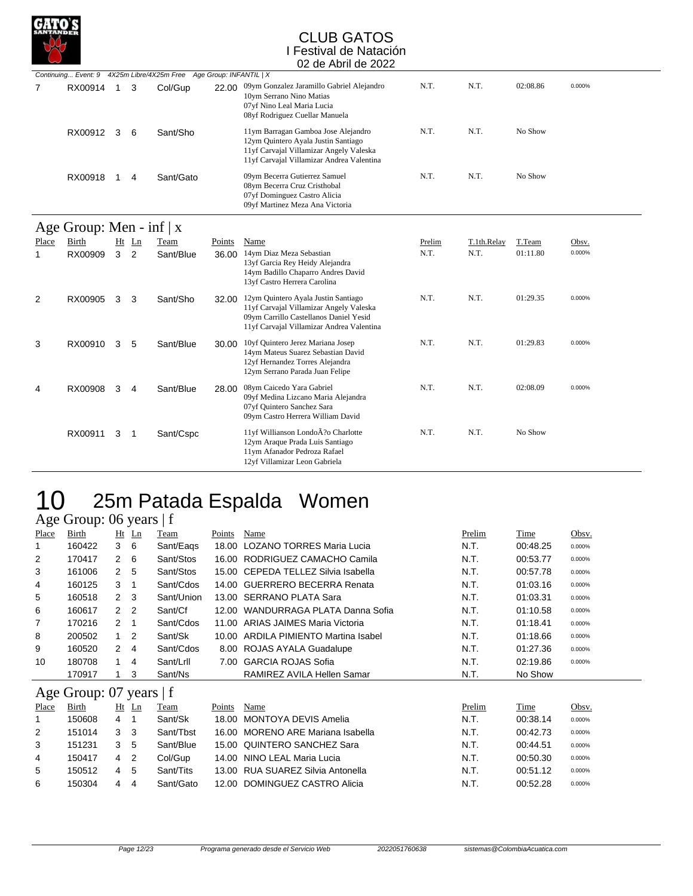

|   |         |   |   | Continuing Event: 9 4X25m Libre/4X25m Free Age Group: INFANTIL   X |       |                                                                                                                                                                    |      |      |          |        |
|---|---------|---|---|--------------------------------------------------------------------|-------|--------------------------------------------------------------------------------------------------------------------------------------------------------------------|------|------|----------|--------|
| 7 | RX00914 |   | 3 | Col/Gup                                                            | 22.00 | 09ym Gonzalez Jaramillo Gabriel Alejandro<br>10ym Serrano Nino Matias<br>07yf Nino Leal Maria Lucia<br>08yf Rodriguez Cuellar Manuela                              | N.T. | N.T. | 02:08.86 | 0.000% |
|   | RX00912 | 3 | 6 | Sant/Sho                                                           |       | 11ym Barragan Gamboa Jose Alejandro<br>12ym Quintero Ayala Justin Santiago<br>11yf Carvajal Villamizar Angely Valeska<br>11yf Carvajal Villamizar Andrea Valentina | N.T. | N.T. | No Show  |        |
|   | RX00918 |   |   | Sant/Gato                                                          |       | 09ym Becerra Gutierrez Samuel<br>08ym Becerra Cruz Cristhobal<br>07yf Dominguez Castro Alicia<br>09yf Martinez Meza Ana Victoria                                   | N.T. | N.T. | No Show  |        |

## $\alpha$  Group: Men inf  $\mathbf{v}$

| $A$ ge Oroup. Men - $III \upharpoonright X$ |         |         |           |        |                                                                                                                                                                       |        |             |          |        |  |  |  |  |
|---------------------------------------------|---------|---------|-----------|--------|-----------------------------------------------------------------------------------------------------------------------------------------------------------------------|--------|-------------|----------|--------|--|--|--|--|
| Place                                       | Birth   | $Ht$ Ln | Team      | Points | Name                                                                                                                                                                  | Prelim | T.1th.Relay | T.Team   | Obsv.  |  |  |  |  |
|                                             | RX00909 | 3<br>2  | Sant/Blue | 36.00  | 14ym Diaz Meza Sebastian<br>13yf Garcia Rey Heidy Alejandra<br>14ym Badillo Chaparro Andres David<br>13yf Castro Herrera Carolina                                     | N.T.   | N.T.        | 01:11.80 | 0.000% |  |  |  |  |
| 2                                           | RX00905 | 3<br>3  | Sant/Sho  | 32.00  | 12ym Quintero Ayala Justin Santiago<br>11yf Carvajal Villamizar Angely Valeska<br>09ym Carrillo Castellanos Daniel Yesid<br>11yf Carvajal Villamizar Andrea Valentina | N.T.   | N.T.        | 01:29.35 | 0.000% |  |  |  |  |
| 3                                           | RX00910 | 3<br>5  | Sant/Blue | 30.00  | 10yf Quintero Jerez Mariana Josep<br>14ym Mateus Suarez Sebastian David<br>12yf Hernandez Torres Alejandra<br>12ym Serrano Parada Juan Felipe                         | N.T.   | N.T.        | 01:29.83 | 0.000% |  |  |  |  |
| 4                                           | RX00908 | 3<br>4  | Sant/Blue | 28.00  | 08ym Caicedo Yara Gabriel<br>09yf Medina Lizcano Maria Alejandra<br>07yf Quintero Sanchez Sara<br>09ym Castro Herrera William David                                   | N.T.   | N.T.        | 02:08.09 | 0.000% |  |  |  |  |
|                                             | RX00911 | 3<br>-1 | Sant/Cspc |        | 11yf Willianson LondoA?o Charlotte<br>12ym Araque Prada Luis Santiago<br>11ym Afanador Pedroza Rafael<br>12yf Villamizar Leon Gabriela                                | N.T.   | N.T.        | No Show  |        |  |  |  |  |

# 10 25m Patada Espalda Women

Age Group: 06 years  $\vert$  f<br>
<u>Place</u> Birth Ht Ln Team Ht Ln Team Points Name **Prelim** Time Obsv. 160422 3 6 Sant/Eaqs 18.00 LOZANO TORRES Maria Lucia N.T. 00:48.25 0.000% 170417 2 6 Sant/Stos 16.00 RODRIGUEZ CAMACHO Camila N.T. 00:53.77 0.000% 161006 2 5 Sant/Stos 15.00 CEPEDA TELLEZ Silvia Isabella N.T. 00:57.78 0.000% 160125 3 1 Sant/Cdos 14.00 GUERRERO BECERRA Renata N.T. 01:03.16 0.000% 160518 2 3 Sant/Union 13.00 SERRANO PLATA Sara N.T. 01:03.31 0.000% 160617 2 2 Sant/Cf 12.00 WANDURRAGA PLATA Danna Sofia N.T. 01:10.58 0.000% 170216 2 1 Sant/Cdos 11.00 ARIAS JAIMES Maria Victoria N.T. 01:18.41 0.000% 200502 1 2 Sant/Sk 10.00 ARDILA PIMIENTO Martina Isabel N.T. 01:18.66 0.000% 160520 2 4 Sant/Cdos 8.00 ROJAS AYALA Guadalupe N.T. 01:27.36 0.000% 180708 1 4 Sant/Lrll 7.00 GARCIA ROJAS Sofia N.T. 02:19.86 0.000% 170917 1 3 Sant/Ns RAMIREZ AVILA Hellen Samar N.T. No Show

## Age Group: 07 years | f

| Place | Birth  |                | Ht Ln | Team      | Points | Name                              | Prelim | Time     | Obsv.  |
|-------|--------|----------------|-------|-----------|--------|-----------------------------------|--------|----------|--------|
|       | 150608 | $\overline{4}$ |       | Sant/Sk   |        | 18.00 MONTOYA DEVIS Amelia        | N.T.   | 00:38.14 | 0.000% |
| 2     | 151014 |                |       | Sant/Thst |        | 16.00 MORENO ARE Mariana Isabella | N.T.   | 00:42.73 | 0.000% |
| 3     | 151231 | 3 5            |       | Sant/Blue |        | 15.00 QUINTERO SANCHEZ Sara       | N.T.   | 00:44.51 | 0.000% |
| 4     | 150417 | 4 2            |       | Col/Gup   |        | 14.00 NINO LEAL Maria Lucia       | N.T.   | 00:50.30 | 0.000% |
| 5     | 150512 | 4              | 5     | Sant/Tits |        | 13.00 RUA SUAREZ Silvia Antonella | N.T.   | 00:51.12 | 0.000% |
| 6     | 150304 | 4              | 4     | Sant/Gato |        | 12.00 DOMINGUEZ CASTRO Alicia     | N.T.   | 00:52.28 | 0.000% |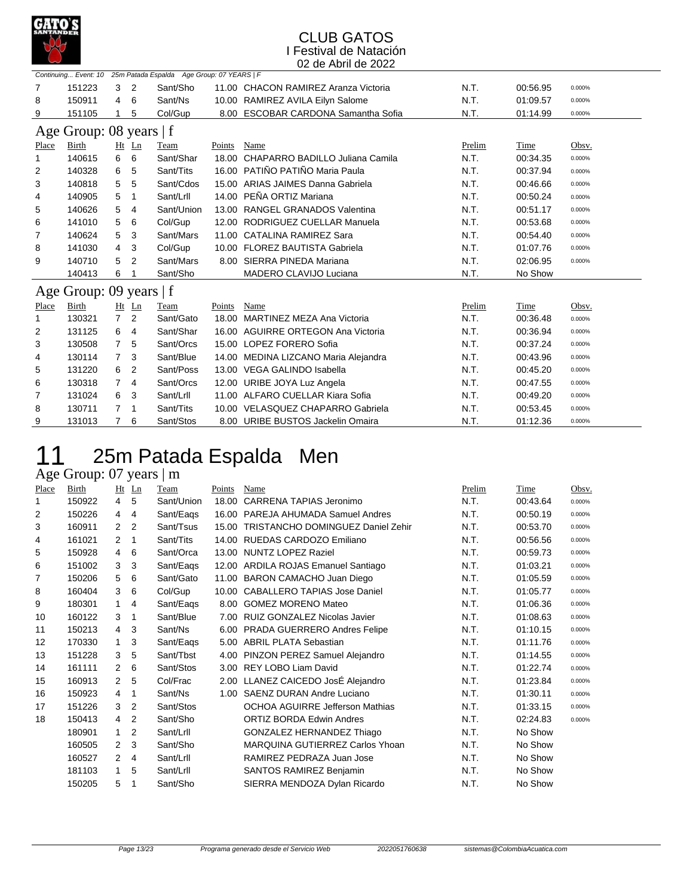

|                         | Continuing Event: 10 25m Patada Espalda Age Group: 07 YEARS   F |                |                |            |        |                                       |        |          |        |  |  |  |  |
|-------------------------|-----------------------------------------------------------------|----------------|----------------|------------|--------|---------------------------------------|--------|----------|--------|--|--|--|--|
| 7                       | 151223                                                          | 3              | $\overline{2}$ | Sant/Sho   |        | 11.00 CHACON RAMIREZ Aranza Victoria  | N.T.   | 00:56.95 | 0.000% |  |  |  |  |
| 8                       | 150911                                                          | 4              | 6              | Sant/Ns    |        | 10.00 RAMIREZ AVILA Eilyn Salome      | N.T.   | 01:09.57 | 0.000% |  |  |  |  |
| 9                       | 151105                                                          |                | 5              | Col/Gup    | 8.00   | <b>ESCOBAR CARDONA Samantha Sofia</b> | N.T.   | 01:14.99 | 0.000% |  |  |  |  |
| Age Group: 08 years   f |                                                                 |                |                |            |        |                                       |        |          |        |  |  |  |  |
| Place                   | <b>Birth</b>                                                    |                | $Ht$ Ln        | Team       | Points | Name                                  | Prelim | Time     | Obsv.  |  |  |  |  |
| 1                       | 140615                                                          | 6              | 6              | Sant/Shar  | 18.00  | CHAPARRO BADILLO Juliana Camila       | N.T.   | 00:34.35 | 0.000% |  |  |  |  |
| 2                       | 140328                                                          | 6              | 5              | Sant/Tits  | 16.00  | PATIÑO PATIÑO Maria Paula             | N.T.   | 00:37.94 | 0.000% |  |  |  |  |
| 3                       | 140818                                                          | 5              | 5              | Sant/Cdos  | 15.00  | ARIAS JAIMES Danna Gabriela           | N.T.   | 00:46.66 | 0.000% |  |  |  |  |
| 4                       | 140905                                                          | 5              | 1              | Sant/Lrll  | 14.00  | PEÑA ORTIZ Mariana                    | N.T.   | 00:50.24 | 0.000% |  |  |  |  |
| 5                       | 140626                                                          | 5              | 4              | Sant/Union | 13.00  | <b>RANGEL GRANADOS Valentina</b>      | N.T.   | 00:51.17 | 0.000% |  |  |  |  |
| 6                       | 141010                                                          | 5              | 6              | Col/Gup    |        | 12.00 RODRIGUEZ CUELLAR Manuela       | N.T.   | 00:53.68 | 0.000% |  |  |  |  |
| 7                       | 140624                                                          | 5              | 3              | Sant/Mars  | 11.00  | CATALINA RAMIREZ Sara                 | N.T.   | 00:54.40 | 0.000% |  |  |  |  |
| 8                       | 141030                                                          | 4              | 3              | Col/Gup    | 10.00  | <b>FLOREZ BAUTISTA Gabriela</b>       | N.T.   | 01:07.76 | 0.000% |  |  |  |  |
| 9                       | 140710                                                          | 5              | 2              | Sant/Mars  | 8.00   | SIERRA PINEDA Mariana                 | N.T.   | 02:06.95 | 0.000% |  |  |  |  |
|                         | 140413                                                          | 6              |                | Sant/Sho   |        | MADERO CLAVIJO Luciana                | N.T.   | No Show  |        |  |  |  |  |
|                         | Age Group: 09 years   f                                         |                |                |            |        |                                       |        |          |        |  |  |  |  |
| Place                   | Birth                                                           |                | $Ht$ Ln        | Team       | Points | Name                                  | Prelim | Time     | Obsv.  |  |  |  |  |
| 1                       | 130321                                                          | $\overline{7}$ | 2              | Sant/Gato  | 18.00  | MARTINEZ MEZA Ana Victoria            | N.T.   | 00:36.48 | 0.000% |  |  |  |  |
| 2                       | 131125                                                          | 6              | 4              | Sant/Shar  |        | 16.00 AGUIRRE ORTEGON Ana Victoria    | N.T.   | 00:36.94 | 0.000% |  |  |  |  |
| 3                       | 130508                                                          | $\overline{7}$ | 5              | Sant/Orcs  |        | 15.00 LOPEZ FORERO Sofia              | N.T.   | 00:37.24 | 0.000% |  |  |  |  |
| 4                       | 130114                                                          | $\overline{7}$ | 3              | Sant/Blue  |        | 14.00 MEDINA LIZCANO Maria Alejandra  | N.T.   | 00:43.96 | 0.000% |  |  |  |  |
| 5                       | 131220                                                          | 6              | 2              | Sant/Poss  |        | 13.00 VEGA GALINDO Isabella           | N.T.   | 00:45.20 | 0.000% |  |  |  |  |
| 6                       | 130318                                                          | $\overline{7}$ | 4              | Sant/Orcs  |        | 12.00 URIBE JOYA Luz Angela           | N.T.   | 00:47.55 | 0.000% |  |  |  |  |
| 7                       | 131024                                                          | 6              | 3              | Sant/Lrll  |        | 11.00 ALFARO CUELLAR Kiara Sofia      | N.T.   | 00:49.20 | 0.000% |  |  |  |  |
| 8                       | 130711                                                          | 7              | 1              | Sant/Tits  |        | 10.00 VELASQUEZ CHAPARRO Gabriela     | N.T.   | 00:53.45 | 0.000% |  |  |  |  |
| 9                       | 131013                                                          | $\overline{7}$ | 6              | Sant/Stos  | 8.00   | URIBE BUSTOS Jackelin Omaira          | N.T.   | 01:12.36 | 0.000% |  |  |  |  |

# 11 25m Patada Espalda Men

## Age Group: 07 years | m

| Place | <b>Birth</b> | Ht             | $_{\text{Ln}}$ | Team       | Points | Name                                     | Prelim | Time     | Obsv.  |
|-------|--------------|----------------|----------------|------------|--------|------------------------------------------|--------|----------|--------|
| 1     | 150922       | $\overline{4}$ | 5              | Sant/Union | 18.00  | CARRENA TAPIAS Jeronimo                  | N.T.   | 00:43.64 | 0.000% |
| 2     | 150226       | 4              | 4              | Sant/Eags  |        | 16.00 PAREJA AHUMADA Samuel Andres       | N.T.   | 00:50.19 | 0.000% |
| 3     | 160911       | $\overline{2}$ | 2              | Sant/Tsus  | 15.00  | <b>TRISTANCHO DOMINGUEZ Daniel Zehir</b> | N.T.   | 00:53.70 | 0.000% |
| 4     | 161021       | $\overline{2}$ | 1              | Sant/Tits  |        | 14.00 RUEDAS CARDOZO Emiliano            | N.T.   | 00:56.56 | 0.000% |
| 5     | 150928       | 4              | 6              | Sant/Orca  | 13.00  | <b>NUNTZ LOPEZ Raziel</b>                | N.T.   | 00:59.73 | 0.000% |
| 6     | 151002       | 3              | 3              | Sant/Eags  |        | 12.00 ARDILA ROJAS Emanuel Santiago      | N.T.   | 01:03.21 | 0.000% |
| 7     | 150206       | 5              | 6              | Sant/Gato  |        | 11.00 BARON CAMACHO Juan Diego           | N.T.   | 01:05.59 | 0.000% |
| 8     | 160404       | 3              | 6              | Col/Gup    |        | 10.00 CABALLERO TAPIAS Jose Daniel       | N.T.   | 01:05.77 | 0.000% |
| 9     | 180301       | $\mathbf{1}$   | 4              | Sant/Eags  |        | 8.00 GOMEZ MORENO Mateo                  | N.T.   | 01:06.36 | 0.000% |
| 10    | 160122       | 3              | 1              | Sant/Blue  | 7.00   | RUIZ GONZALEZ Nicolas Javier             | N.T.   | 01:08.63 | 0.000% |
| 11    | 150213       | $\overline{4}$ | 3              | Sant/Ns    | 6.00   | PRADA GUERRERO Andres Felipe             | N.T.   | 01:10.15 | 0.000% |
| 12    | 170330       | $\mathbf{1}$   | 3              | Sant/Eags  | 5.00   | <b>ABRIL PLATA Sebastian</b>             | N.T.   | 01:11.76 | 0.000% |
| 13    | 151228       | 3              | 5              | Sant/Tbst  | 4.00   | PINZON PEREZ Samuel Alejandro            | N.T.   | 01:14.55 | 0.000% |
| 14    | 161111       | 2              | 6              | Sant/Stos  |        | 3.00 REY LOBO Liam David                 | N.T.   | 01:22.74 | 0.000% |
| 15    | 160913       | $\overline{2}$ | 5              | Col/Frac   |        | 2.00 LLANEZ CAICEDO JosÉ Alejandro       | N.T.   | 01:23.84 | 0.000% |
| 16    | 150923       | 4              | 1              | Sant/Ns    | 1.00   | <b>SAENZ DURAN Andre Luciano</b>         | N.T.   | 01:30.11 | 0.000% |
| 17    | 151226       | 3              | 2              | Sant/Stos  |        | <b>OCHOA AGUIRRE Jefferson Mathias</b>   | N.T.   | 01:33.15 | 0.000% |
| 18    | 150413       | 4              | 2              | Sant/Sho   |        | <b>ORTIZ BORDA Edwin Andres</b>          | N.T.   | 02:24.83 | 0.000% |
|       | 180901       | $\mathbf{1}$   | 2              | Sant/Lrll  |        | GONZALEZ HERNANDEZ Thiago                | N.T.   | No Show  |        |
|       | 160505       | $\mathcal{P}$  | 3              | Sant/Sho   |        | MARQUINA GUTIERREZ Carlos Yhoan          | N.T.   | No Show  |        |
|       | 160527       | 2              | 4              | Sant/Lrll  |        | RAMIREZ PEDRAZA Juan Jose                | N.T.   | No Show  |        |
|       | 181103       | 1              | 5              | Sant/Lrll  |        | SANTOS RAMIREZ Benjamin                  | N.T.   | No Show  |        |
|       | 150205       | 5              | 1              | Sant/Sho   |        | SIERRA MENDOZA Dylan Ricardo             | N.T.   | No Show  |        |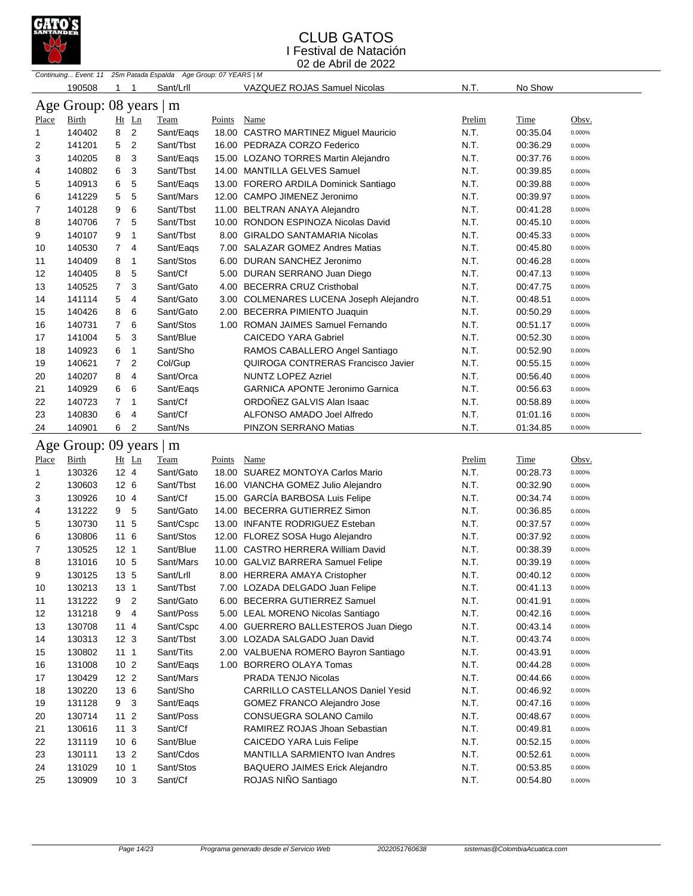

|              | Continuing Event: 11 25m Patada Espalda Age Group: 07 YEARS   M |                 |                |             |        |                                           |        |          |        |  |  |
|--------------|-----------------------------------------------------------------|-----------------|----------------|-------------|--------|-------------------------------------------|--------|----------|--------|--|--|
|              | 190508                                                          | 1               | 1              | Sant/Lrll   |        | VAZQUEZ ROJAS Samuel Nicolas              | N.T.   | No Show  |        |  |  |
|              | Age Group: 08 years   m                                         |                 |                |             |        |                                           |        |          |        |  |  |
| <b>Place</b> | <b>Birth</b>                                                    |                 | Ht Ln          | <b>Team</b> | Points | Name                                      | Prelim | Time     | Obsv.  |  |  |
| 1            | 140402                                                          | 8               | $\overline{c}$ | Sant/Eags   |        | 18.00 CASTRO MARTINEZ Miguel Mauricio     | N.T.   | 00:35.04 | 0.000% |  |  |
| 2            | 141201                                                          | 5               | 2              | Sant/Tbst   |        | 16.00 PEDRAZA CORZO Federico              | N.T.   | 00:36.29 | 0.000% |  |  |
| 3            | 140205                                                          | 8               | 3              | Sant/Eags   |        | 15.00 LOZANO TORRES Martin Alejandro      | N.T.   | 00:37.76 | 0.000% |  |  |
| 4            | 140802                                                          | 6               | 3              | Sant/Tbst   |        | 14.00 MANTILLA GELVES Samuel              | N.T.   | 00:39.85 | 0.000% |  |  |
| 5            | 140913                                                          | 6               | 5              | Sant/Eags   |        | 13.00 FORERO ARDILA Dominick Santiago     | N.T.   | 00:39.88 | 0.000% |  |  |
| 6            | 141229                                                          | 5               | 5              | Sant/Mars   |        | 12.00 CAMPO JIMENEZ Jeronimo              | N.T.   | 00:39.97 | 0.000% |  |  |
| 7            | 140128                                                          | 9               | 6              | Sant/Tbst   |        | 11.00 BELTRAN ANAYA Alejandro             | N.T.   | 00:41.28 | 0.000% |  |  |
| 8            | 140706                                                          | $\overline{7}$  | 5              | Sant/Tbst   |        | 10.00 RONDON ESPINOZA Nicolas David       | N.T.   | 00:45.10 | 0.000% |  |  |
| 9            | 140107                                                          | 9               | 1              | Sant/Tbst   |        | 8.00 GIRALDO SANTAMARIA Nicolas           | N.T.   | 00:45.33 | 0.000% |  |  |
| 10           | 140530                                                          | $\overline{7}$  | 4              | Sant/Eags   |        | 7.00 SALAZAR GOMEZ Andres Matias          | N.T.   | 00:45.80 | 0.000% |  |  |
| 11           | 140409                                                          | 8               | 1              | Sant/Stos   |        | 6.00 DURAN SANCHEZ Jeronimo               | N.T.   | 00:46.28 | 0.000% |  |  |
| 12           | 140405                                                          | 8               | 5              | Sant/Cf     |        | 5.00 DURAN SERRANO Juan Diego             | N.T.   | 00:47.13 | 0.000% |  |  |
| 13           | 140525                                                          | 7               | 3              | Sant/Gato   |        | 4.00 BECERRA CRUZ Cristhobal              | N.T.   | 00:47.75 | 0.000% |  |  |
| 14           | 141114                                                          | 5               | 4              | Sant/Gato   |        | 3.00 COLMENARES LUCENA Joseph Alejandro   | N.T.   | 00:48.51 | 0.000% |  |  |
| 15           | 140426                                                          | 8               | 6              | Sant/Gato   |        | 2.00 BECERRA PIMIENTO Juaquin             | N.T.   | 00:50.29 | 0.000% |  |  |
| 16           | 140731                                                          | 7               | 6              | Sant/Stos   |        | 1.00 ROMAN JAIMES Samuel Fernando         | N.T.   | 00:51.17 | 0.000% |  |  |
| 17           | 141004                                                          | 5               | 3              | Sant/Blue   |        | <b>CAICEDO YARA Gabriel</b>               | N.T.   | 00:52.30 | 0.000% |  |  |
| 18           | 140923                                                          | 6               | 1              | Sant/Sho    |        | RAMOS CABALLERO Angel Santiago            | N.T.   | 00:52.90 | 0.000% |  |  |
| 19           | 140621                                                          | $\overline{7}$  | 2              | Col/Gup     |        | <b>QUIROGA CONTRERAS Francisco Javier</b> | N.T.   | 00:55.15 | 0.000% |  |  |
| 20           | 140207                                                          | 8               | 4              | Sant/Orca   |        | <b>NUNTZ LOPEZ Azriel</b>                 | N.T.   | 00:56.40 | 0.000% |  |  |
| 21           | 140929                                                          | 6               | 6              | Sant/Eags   |        | <b>GARNICA APONTE Jeronimo Garnica</b>    | N.T.   | 00:56.63 | 0.000% |  |  |
| 22           | 140723                                                          | 7               | 1              | Sant/Cf     |        | ORDOÑEZ GALVIS Alan Isaac                 | N.T.   | 00:58.89 | 0.000% |  |  |
| 23           | 140830                                                          | 6               | 4              | Sant/Cf     |        | ALFONSO AMADO Joel Alfredo                | N.T.   | 01:01.16 | 0.000% |  |  |
| 24           | 140901                                                          | 6               | 2              | Sant/Ns     |        | PINZON SERRANO Matias                     | N.T.   | 01:34.85 | 0.000% |  |  |
|              | Age Group: 09 years                                             |                 |                | m           |        |                                           |        |          |        |  |  |
| Place        | Birth                                                           |                 | $Ht$ Ln        | Team        | Points | Name                                      | Prelim | Time     | Obsv.  |  |  |
| 1            | 130326                                                          | $12 \quad 4$    |                | Sant/Gato   |        | 18.00 SUAREZ MONTOYA Carlos Mario         | N.T.   | 00:28.73 | 0.000% |  |  |
| 2            | 130603                                                          | 12 <sub>6</sub> |                | Sant/Tbst   |        | 16.00 VIANCHA GOMEZ Julio Alejandro       | N.T.   | 00:32.90 | 0.000% |  |  |
| 3            | 130926                                                          | 104             |                | Sant/Cf     |        | 15.00 GARCIA BARBOSA Luis Felipe          | N.T.   | 00:34.74 | 0.000% |  |  |
| 4            | 131222                                                          | 9 5             |                | Sant/Gato   |        | 14.00 BECERRA GUTIERREZ Simon             | N.T.   | 00:36.85 | 0.000% |  |  |
| 5            | 130730                                                          | 11 5            |                | Sant/Cspc   |        | 13.00 INFANTE RODRIGUEZ Esteban           | N.T.   | 00:37.57 | 0.000% |  |  |
| 6            | 130806                                                          | 11 6            |                | Sant/Stos   |        | 12.00 FLOREZ SOSA Hugo Alejandro          | N.T.   | 00:37.92 | 0.000% |  |  |
| 7            | 130525                                                          | 12 <sub>1</sub> |                | Sant/Blue   |        | 11.00 CASTRO HERRERA William David        | N.T.   | 00:38.39 | 0.000% |  |  |
| 8            | 131016                                                          | 10 <sub>5</sub> |                | Sant/Mars   |        | 10.00 GALVIZ BARRERA Samuel Felipe        | N.T.   | 00:39.19 | 0.000% |  |  |
| 9            | 130125                                                          | 13 5            |                | Sant/Lrll   |        | 8.00 HERRERA AMAYA Cristopher             | N.T.   | 00:40.12 | 0.000% |  |  |
| 10           | 130213                                                          | 13 1            |                | Sant/Tbst   |        | 7.00 LOZADA DELGADO Juan Felipe           | N.T.   | 00:41.13 | 0.000% |  |  |
| 11           | 131222                                                          | 9 <sub>2</sub>  |                | Sant/Gato   |        | 6.00 BECERRA GUTIERREZ Samuel             | N.T.   | 00:41.91 | 0.000% |  |  |
| 12           | 131218                                                          | 9               | 4              | Sant/Poss   |        | 5.00 LEAL MORENO Nicolas Santiago         | N.T.   | 00:42.16 | 0.000% |  |  |
| 13           | 130708                                                          | 114             |                | Sant/Cspc   |        | 4.00 GUERRERO BALLESTEROS Juan Diego      | N.T.   | 00:43.14 | 0.000% |  |  |
| 14           | 130313                                                          | 12 <sub>3</sub> |                | Sant/Tbst   |        | 3.00 LOZADA SALGADO Juan David            | N.T.   | 00:43.74 | 0.000% |  |  |
| 15           | 130802                                                          | $11 1$          |                | Sant/Tits   |        | 2.00 VALBUENA ROMERO Bayron Santiago      | N.T.   | 00:43.91 | 0.000% |  |  |
| 16           | 131008                                                          | 10 <sub>2</sub> |                | Sant/Eaqs   |        | 1.00 BORRERO OLAYA Tomas                  | N.T.   | 00:44.28 | 0.000% |  |  |
| 17           | 130429                                                          | 12 <sub>2</sub> |                | Sant/Mars   |        | PRADA TENJO Nicolas                       | N.T.   | 00:44.66 | 0.000% |  |  |
| 18           | 130220                                                          | 13 6            |                | Sant/Sho    |        | CARRILLO CASTELLANOS Daniel Yesid         | N.T.   | 00:46.92 | 0.000% |  |  |
| 19           | 131128                                                          | 9 3             |                | Sant/Eaqs   |        | GOMEZ FRANCO Alejandro Jose               | N.T.   | 00:47.16 | 0.000% |  |  |
| 20           | 130714                                                          | $112$           |                | Sant/Poss   |        | CONSUEGRA SOLANO Camilo                   | N.T.   | 00:48.67 | 0.000% |  |  |
| 21           | 130616                                                          | 11 <sub>3</sub> |                | Sant/Cf     |        | RAMIREZ ROJAS Jhoan Sebastian             | N.T.   | 00:49.81 | 0.000% |  |  |
| 22           | 131119                                                          | 106             |                | Sant/Blue   |        | CAICEDO YARA Luis Felipe                  | N.T.   | 00:52.15 | 0.000% |  |  |
| 23           | 130111                                                          | 13 <sub>2</sub> |                | Sant/Cdos   |        | MANTILLA SARMIENTO Ivan Andres            | N.T.   | 00:52.61 | 0.000% |  |  |
| 24           | 131029                                                          | 10 <sub>1</sub> |                | Sant/Stos   |        | <b>BAQUERO JAIMES Erick Alejandro</b>     | N.T.   | 00:53.85 | 0.000% |  |  |
| 25           | 130909                                                          | 10 <sub>3</sub> |                | Sant/Cf     |        | ROJAS NIÑO Santiago                       | N.T.   | 00:54.80 | 0.000% |  |  |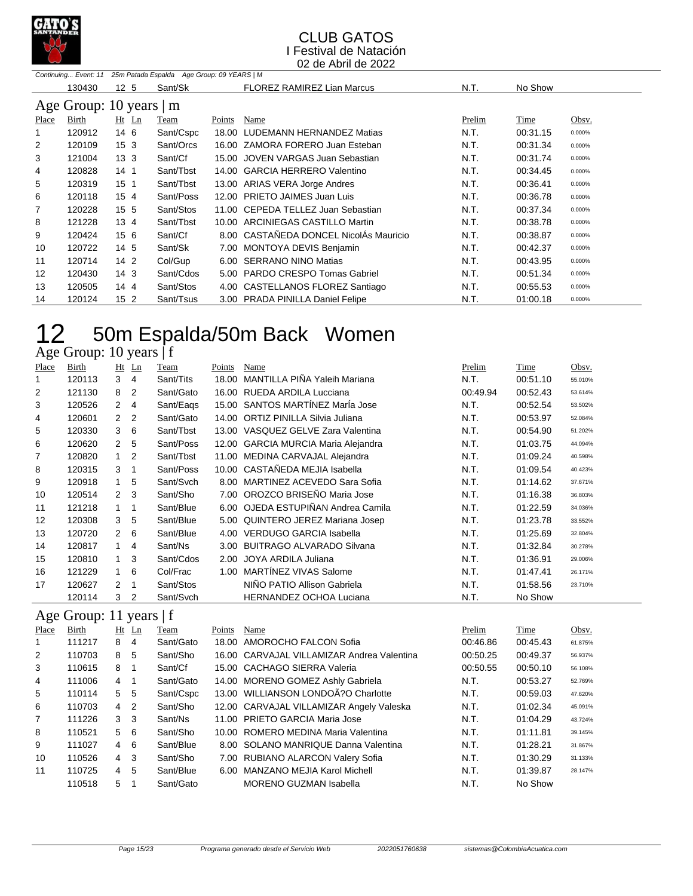

|       | 25m Patada Espalda Age Group: 09 YEARS   M<br>Continuing Event: 11 |                 |           |        |                                        |        |          |        |  |  |  |  |  |
|-------|--------------------------------------------------------------------|-----------------|-----------|--------|----------------------------------------|--------|----------|--------|--|--|--|--|--|
|       | 130430                                                             | 12 <sub>5</sub> | Sant/Sk   |        | <b>FLOREZ RAMIREZ Lian Marcus</b>      | N.T.   | No Show  |        |  |  |  |  |  |
|       | Age Group: 10 years   m                                            |                 |           |        |                                        |        |          |        |  |  |  |  |  |
| Place | Birth                                                              | $Ht$ Ln         | Team      | Points | Name                                   | Prelim | Time     | Obsv.  |  |  |  |  |  |
| 1     | 120912                                                             | 14 6            | Sant/Cspc |        | 18.00 LUDEMANN HERNANDEZ Matias        | N.T.   | 00:31.15 | 0.000% |  |  |  |  |  |
| 2     | 120109                                                             | 15 <sub>3</sub> | Sant/Orcs |        | 16.00 ZAMORA FORERO Juan Esteban       | N.T.   | 00:31.34 | 0.000% |  |  |  |  |  |
| 3     | 121004                                                             | 13 <sub>3</sub> | Sant/Cf   |        | 15.00 JOVEN VARGAS Juan Sebastian      | N.T.   | 00:31.74 | 0.000% |  |  |  |  |  |
| 4     | 120828                                                             | 14 <sub>1</sub> | Sant/Tbst |        | 14.00 GARCIA HERRERO Valentino         | N.T.   | 00:34.45 | 0.000% |  |  |  |  |  |
| 5     | 120319                                                             | 15 <sub>1</sub> | Sant/Tbst |        | 13.00 ARIAS VERA Jorge Andres          | N.T.   | 00:36.41 | 0.000% |  |  |  |  |  |
| 6     | 120118                                                             | 15 <sub>4</sub> | Sant/Poss |        | 12.00 PRIETO JAIMES Juan Luis          | N.T.   | 00:36.78 | 0.000% |  |  |  |  |  |
| 7     | 120228                                                             | 15 <sub>5</sub> | Sant/Stos |        | 11.00 CEPEDA TELLEZ Juan Sebastian     | N.T.   | 00:37.34 | 0.000% |  |  |  |  |  |
| 8     | 121228                                                             | $13 \; 4$       | Sant/Tbst |        | 10.00 ARCINIEGAS CASTILLO Martin       | N.T.   | 00:38.78 | 0.000% |  |  |  |  |  |
| 9     | 120424                                                             | 15 6            | Sant/Cf   |        | 8.00 CASTAÑEDA DONCEL NicolAs Mauricio | N.T.   | 00:38.87 | 0.000% |  |  |  |  |  |
| 10    | 120722                                                             | 14 5            | Sant/Sk   |        | 7.00 MONTOYA DEVIS Benjamin            | N.T.   | 00:42.37 | 0.000% |  |  |  |  |  |
| 11    | 120714                                                             | 142             | Col/Gup   |        | 6.00 SERRANO NINO Matias               | N.T.   | 00:43.95 | 0.000% |  |  |  |  |  |
| 12    | 120430                                                             | 14 <sub>3</sub> | Sant/Cdos |        | 5.00 PARDO CRESPO Tomas Gabriel        | N.T.   | 00:51.34 | 0.000% |  |  |  |  |  |
| 13    | 120505                                                             | 144             | Sant/Stos |        | 4.00 CASTELLANOS FLOREZ Santiago       | N.T.   | 00:55.53 | 0.000% |  |  |  |  |  |
| 14    | 120124                                                             | 15 <sub>2</sub> | Sant/Tsus |        | 3.00 PRADA PINILLA Daniel Felipe       | N.T.   | 01:00.18 | 0.000% |  |  |  |  |  |

# 12 50m Espalda/50m Back Women

Age Group: 10 years | f

| Place          | <b>Birth</b> |                | $Ht$ Ln        | Team      | Points | Name                                | Prelim   | Time     | Obsv.   |
|----------------|--------------|----------------|----------------|-----------|--------|-------------------------------------|----------|----------|---------|
|                | 120113       | 3              | 4              | Sant/Tits | 18.00  | MANTILLA PIÑA Yaleih Mariana        | N.T.     | 00:51.10 | 55.010% |
| 2              | 121130       | 8              | $\overline{2}$ | Sant/Gato |        | 16.00 RUEDA ARDILA Lucciana         | 00:49.94 | 00:52.43 | 53.614% |
| 3              | 120526       | $\overline{2}$ | 4              | Sant/Eags |        | 15.00 SANTOS MARTINEZ Maria Jose    | N.T.     | 00:52.54 | 53.502% |
| 4              | 120601       | $\overline{2}$ | $\overline{2}$ | Sant/Gato |        | 14.00 ORTIZ PINILLA Silvia Juliana  | N.T.     | 00:53.97 | 52.084% |
| 5              | 120330       | 3              | 6              | Sant/Tbst |        | 13.00 VASQUEZ GELVE Zara Valentina  | N.T.     | 00:54.90 | 51.202% |
| 6              | 120620       | $\overline{2}$ | 5              | Sant/Poss |        | 12.00 GARCIA MURCIA Maria Alejandra | N.T.     | 01:03.75 | 44.094% |
| $\overline{7}$ | 120820       | $\mathbf 1$    | $\overline{2}$ | Sant/Tbst |        | 11.00 MEDINA CARVAJAL Alejandra     | N.T.     | 01:09.24 | 40.598% |
| 8              | 120315       | 3              | 1              | Sant/Poss |        | 10.00 CASTAÑEDA MEJIA Isabella      | N.T.     | 01:09.54 | 40.423% |
| 9              | 120918       |                | 5              | Sant/Svch |        | 8.00 MARTINEZ ACEVEDO Sara Sofia    | N.T.     | 01:14.62 | 37.671% |
| 10             | 120514       | $\mathbf{2}$   | -3             | Sant/Sho  |        | 7.00 OROZCO BRISEÑO Maria Jose      | N.T.     | 01:16.38 | 36.803% |
| 11             | 121218       |                | -1             | Sant/Blue |        | 6.00 OJEDA ESTUPIÑAN Andrea Camila  | N.T.     | 01:22.59 | 34.036% |
| 12             | 120308       | 3              | 5              | Sant/Blue |        | 5.00 QUINTERO JEREZ Mariana Josep   | N.T.     | 01:23.78 | 33.552% |
| 13             | 120720       | $\overline{2}$ | 6              | Sant/Blue |        | 4.00 VERDUGO GARCIA Isabella        | N.T.     | 01:25.69 | 32.804% |
| 14             | 120817       | $\mathbf 1$    | $\overline{4}$ | Sant/Ns   |        | 3.00 BUITRAGO ALVARADO Silvana      | N.T.     | 01:32.84 | 30.278% |
| 15             | 120810       | $\mathbf 1$    | 3              | Sant/Cdos | 2.00   | JOYA ARDILA Juliana                 | N.T.     | 01:36.91 | 29.006% |
| 16             | 121229       |                | 6              | Col/Frac  |        | 1.00 MARTINEZ VIVAS Salome          | N.T.     | 01:47.41 | 26.171% |
| 17             | 120627       | 2              | 1              | Sant/Stos |        | NIÑO PATIO Allison Gabriela         | N.T.     | 01:58.56 | 23.710% |
|                | 120114       | 3              | 2              | Sant/Svch |        | <b>HERNANDEZ OCHOA Luciana</b>      | N.T.     | No Show  |         |

## Age Group: 11 years | f

| Place | Birth  | $Ht$ Ln        | Team      | Points | Name                                       | Prelim   | Time     | Obsv.   |
|-------|--------|----------------|-----------|--------|--------------------------------------------|----------|----------|---------|
|       | 111217 | 8<br>4         | Sant/Gato |        | 18.00 AMOROCHO FALCON Sofia                | 00:46.86 | 00:45.43 | 61.875% |
| 2     | 110703 | 8<br>5         | Sant/Sho  |        | 16.00 CARVAJAL VILLAMIZAR Andrea Valentina | 00:50.25 | 00:49.37 | 56.937% |
| 3     | 110615 | 8              | Sant/Cf   |        | 15.00 CACHAGO SIERRA Valeria               | 00:50.55 | 00:50.10 | 56.108% |
| 4     | 111006 | $4 \quad 1$    | Sant/Gato |        | 14.00 MORENO GOMEZ Ashly Gabriela          | N.T.     | 00:53.27 | 52.769% |
| 5     | 110114 | 5 <sub>5</sub> | Sant/Cspc |        | 13.00 WILLIANSON LONDOA?O Charlotte        | N.T.     | 00:59.03 | 47.620% |
| 6     | 110703 | $4\quad 2$     | Sant/Sho  |        | 12.00 CARVAJAL VILLAMIZAR Angely Valeska   | N.T.     | 01:02.34 | 45.091% |
| 7     | 111226 | 3 <sub>3</sub> | Sant/Ns   |        | 11.00 PRIETO GARCIA Maria Jose             | N.T.     | 01:04.29 | 43.724% |
| 8     | 110521 | 5 6            | Sant/Sho  |        | 10.00 ROMERO MEDINA Maria Valentina        | N.T.     | 01:11.81 | 39.145% |
| 9     | 111027 | 4 6            | Sant/Blue |        | 8.00 SOLANO MANRIQUE Danna Valentina       | N.T.     | 01:28.21 | 31.867% |
| 10    | 110526 | 4 3            | Sant/Sho  |        | 7.00 RUBIANO ALARCON Valery Sofia          | N.T.     | 01:30.29 | 31.133% |
| 11    | 110725 | 4 5            | Sant/Blue |        | 6.00 MANZANO MEJIA Karol Michell           | N.T.     | 01:39.87 | 28.147% |
|       | 110518 | 5              | Sant/Gato |        | MORENO GUZMAN Isabella                     | N.T.     | No Show  |         |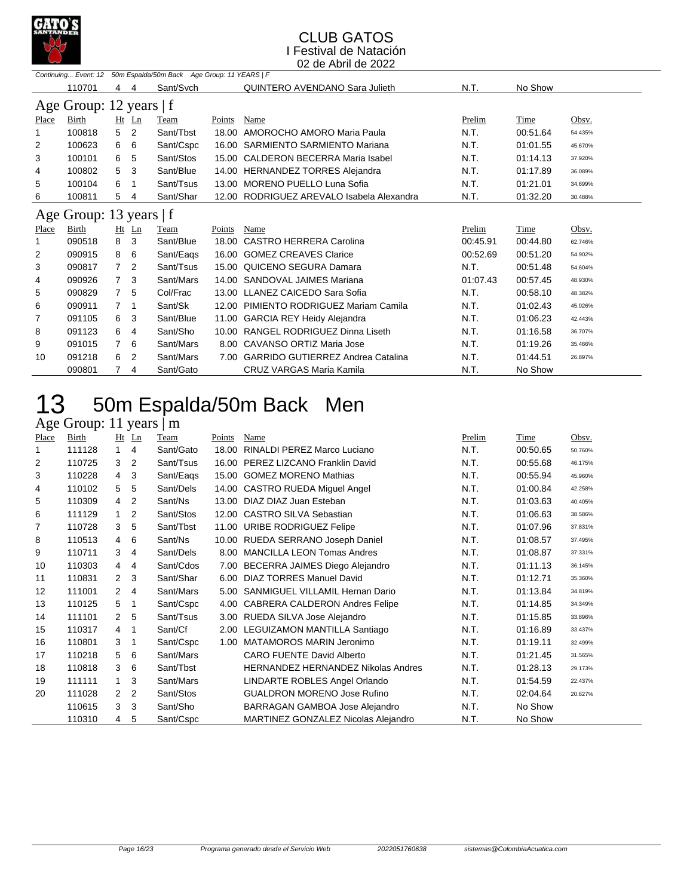

|       | Continuing Event: 12    |                |                | 50m Espalda/50m Back Age Group: 11 YEARS   F |        |                                          |          |          |         |
|-------|-------------------------|----------------|----------------|----------------------------------------------|--------|------------------------------------------|----------|----------|---------|
|       | 110701                  | 4              | 4              | Sant/Svch                                    |        | QUINTERO AVENDANO Sara Julieth           | N.T.     | No Show  |         |
|       | Age Group: 12 years   f |                |                |                                              |        |                                          |          |          |         |
| Place | Birth                   |                | $Ht$ Ln        | Team                                         | Points | Name                                     | Prelim   | Time     | Obsv.   |
|       | 100818                  | 5              | 2              | Sant/Tbst                                    | 18.00  | AMOROCHO AMORO Maria Paula               | N.T.     | 00:51.64 | 54.435% |
| 2     | 100623                  | 6              | 6              | Sant/Cspc                                    | 16.00  | <b>SARMIENTO SARMIENTO Mariana</b>       | N.T.     | 01:01.55 | 45.670% |
| 3     | 100101                  | 6              | 5              | Sant/Stos                                    | 15.00  | <b>CALDERON BECERRA Maria Isabel</b>     | N.T.     | 01:14.13 | 37.920% |
| 4     | 100802                  | 5              | 3              | Sant/Blue                                    | 14.00  | <b>HERNANDEZ TORRES Alejandra</b>        | N.T.     | 01:17.89 | 36.089% |
| 5     | 100104                  | 6              |                | Sant/Tsus                                    | 13.00  | MORENO PUELLO Luna Sofia                 | N.T.     | 01:21.01 | 34.699% |
| 6     | 100811                  | 5              | 4              | Sant/Shar                                    | 12.00  | RODRIGUEZ AREVALO Isabela Alexandra      | N.T.     | 01:32.20 | 30.488% |
|       | Age Group: 13 years   f |                |                |                                              |        |                                          |          |          |         |
| Place | Birth                   | Ht             | $\mathbf{L}$ n | Team                                         | Points | Name                                     | Prelim   | Time     | Obsv.   |
|       | 090518                  | 8              | 3              | Sant/Blue                                    | 18.00  | <b>CASTRO HERRERA Carolina</b>           | 00:45.91 | 00:44.80 | 62.746% |
| 2     | 090915                  | 8              | 6              | Sant/Eags                                    | 16.00  | <b>GOMEZ CREAVES Clarice</b>             | 00:52.69 | 00:51.20 | 54.902% |
| 3     | 090817                  | $\overline{7}$ | 2              | Sant/Tsus                                    | 15.00  | QUICENO SEGURA Damara                    | N.T.     | 00:51.48 | 54.604% |
| 4     | 090926                  | $\overline{7}$ | 3              | Sant/Mars                                    | 14.00  | SANDOVAL JAIMES Mariana                  | 01:07.43 | 00:57.45 | 48.930% |
| 5     | 090829                  | $7^{\circ}$    | 5              | Col/Frac                                     | 13.00  | LLANEZ CAICEDO Sara Sofia                | N.T.     | 00:58.10 | 48.382% |
| 6     | 090911                  | 7              | 1              | Sant/Sk                                      | 12.00  | PIMIENTO RODRIGUEZ Mariam Camila         | N.T.     | 01:02.43 | 45.026% |
| 7     | 091105                  | 6              | 3              | Sant/Blue                                    | 11.00  | <b>GARCIA REY Heidy Alejandra</b>        | N.T.     | 01:06.23 | 42.443% |
| 8     | 091123                  | 6              | 4              | Sant/Sho                                     | 10.00  | RANGEL RODRIGUEZ Dinna Liseth            | N.T.     | 01:16.58 | 36.707% |
| 9     | 091015                  | 7              | 6              | Sant/Mars                                    | 8.00   | CAVANSO ORTIZ Maria Jose                 | N.T.     | 01:19.26 | 35.466% |
| 10    | 091218                  | 6              | 2              | Sant/Mars                                    | 7.00   | <b>GARRIDO GUTIERREZ Andrea Catalina</b> | N.T.     | 01:44.51 | 26.897% |
|       | 090801                  |                | 4              | Sant/Gato                                    |        | CRUZ VARGAS Maria Kamila                 | N.T.     | No Show  |         |

## 50m Espalda/50m Back Men

## Age Group: 11 years | m

| Place | Birth  |                | Ht Ln                    | Team      | Points | Name                                | Prelim | Time     | Obsv.   |
|-------|--------|----------------|--------------------------|-----------|--------|-------------------------------------|--------|----------|---------|
| 1     | 111128 |                | 4                        | Sant/Gato | 18.00  | RINALDI PEREZ Marco Luciano         | N.T.   | 00:50.65 | 50.760% |
| 2     | 110725 | 3              | 2                        | Sant/Tsus |        | 16.00 PEREZ LIZCANO Franklin David  | N.T.   | 00:55.68 | 46.175% |
| 3     | 110228 | 4              | 3                        | Sant/Eags |        | 15.00 GOMEZ MORENO Mathias          | N.T.   | 00:55.94 | 45.960% |
| 4     | 110102 | 5              | 5                        | Sant/Dels |        | 14.00 CASTRO RUEDA Miguel Angel     | N.T.   | 01:00.84 | 42.258% |
| 5     | 110309 | 4              | $\overline{2}$           | Sant/Ns   | 13.00  | DIAZ DIAZ Juan Esteban              | N.T.   | 01:03.63 | 40.405% |
| 6     | 111129 | $\mathbf{1}$   | 2                        | Sant/Stos |        | 12.00 CASTRO SILVA Sebastian        | N.T.   | 01:06.63 | 38.586% |
| 7     | 110728 | 3              | 5                        | Sant/Tbst |        | 11.00 URIBE RODRIGUEZ Felipe        | N.T.   | 01:07.96 | 37.831% |
| 8     | 110513 | $\overline{4}$ | 6                        | Sant/Ns   |        | 10.00 RUEDA SERRANO Joseph Daniel   | N.T.   | 01:08.57 | 37.495% |
| 9     | 110711 | 3              | $\overline{4}$           | Sant/Dels | 8.00   | <b>MANCILLA LEON Tomas Andres</b>   | N.T.   | 01:08.87 | 37.331% |
| 10    | 110303 | $\overline{4}$ | 4                        | Sant/Cdos |        | 7.00 BECERRA JAIMES Diego Alejandro | N.T.   | 01:11.13 | 36.145% |
| 11    | 110831 | 2              | 3                        | Sant/Shar |        | 6.00 DIAZ TORRES Manuel David       | N.T.   | 01:12.71 | 35.360% |
| 12    | 111001 | $\overline{2}$ | $\overline{4}$           | Sant/Mars | 5.00   | SANMIGUEL VILLAMIL Hernan Dario     | N.T.   | 01:13.84 | 34.819% |
| 13    | 110125 | 5              | $\mathbf 1$              | Sant/Cspc |        | 4.00 CABRERA CALDERON Andres Felipe | N.T.   | 01:14.85 | 34.349% |
| 14    | 111101 | 2              | -5                       | Sant/Tsus |        | 3.00 RUEDA SILVA Jose Alejandro     | N.T.   | 01:15.85 | 33.896% |
| 15    | 110317 | $\overline{4}$ | -1                       | Sant/Cf   |        | 2.00 LEGUIZAMON MANTILLA Santiago   | N.T.   | 01:16.89 | 33.437% |
| 16    | 110801 | 3              | $\overline{\phantom{1}}$ | Sant/Cspc | 1.00   | MATAMOROS MARIN Jeronimo            | N.T.   | 01:19.11 | 32.499% |
| 17    | 110218 | 5              | 6                        | Sant/Mars |        | <b>CARO FUENTE David Alberto</b>    | N.T.   | 01:21.45 | 31.565% |
| 18    | 110818 | 3              | 6                        | Sant/Tbst |        | HERNANDEZ HERNANDEZ Nikolas Andres  | N.T.   | 01:28.13 | 29.173% |
| 19    | 111111 |                | 3                        | Sant/Mars |        | LINDARTE ROBLES Angel Orlando       | N.T.   | 01:54.59 | 22.437% |
| 20    | 111028 | 2              | 2                        | Sant/Stos |        | <b>GUALDRON MORENO Jose Rufino</b>  | N.T.   | 02:04.64 | 20.627% |
|       | 110615 | 3              | 3                        | Sant/Sho  |        | BARRAGAN GAMBOA Jose Alejandro      | N.T.   | No Show  |         |
|       | 110310 | 4              | 5                        | Sant/Cspc |        | MARTINEZ GONZALEZ Nicolas Alejandro | N.T.   | No Show  |         |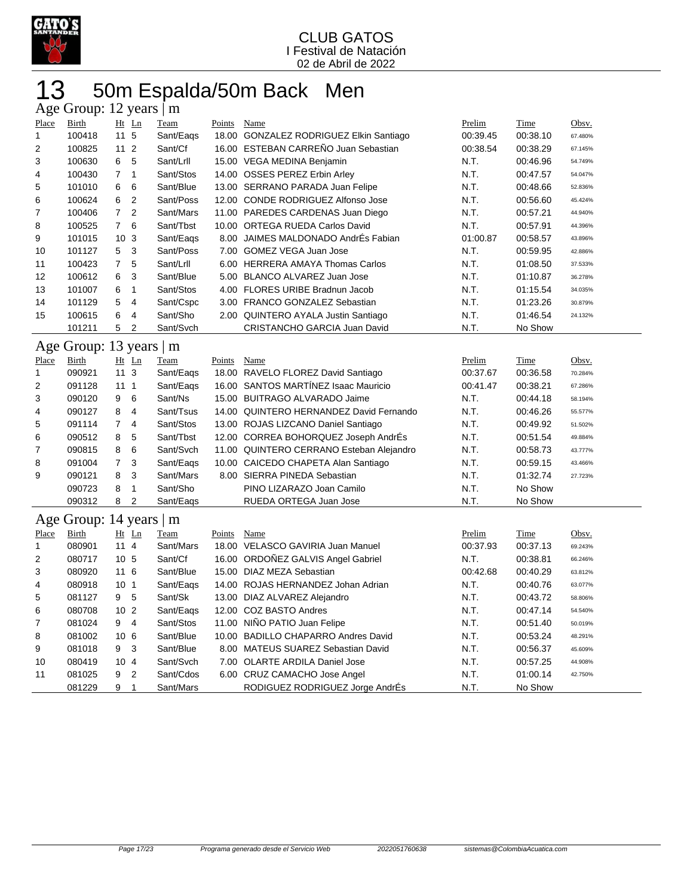

## 50m Espalda/50m Back Men

|                | Age Group: 12 years   m |                                  |             |        |                                          |          |             |         |  |  |  |  |
|----------------|-------------------------|----------------------------------|-------------|--------|------------------------------------------|----------|-------------|---------|--|--|--|--|
| Place          | <b>Birth</b>            | Ht Ln                            | <b>Team</b> | Points | Name                                     | Prelim   | Time        | Obsv.   |  |  |  |  |
| 1              | 100418                  | 11 5                             | Sant/Eags   |        | 18.00 GONZALEZ RODRIGUEZ Elkin Santiago  | 00:39.45 | 00:38.10    | 67.480% |  |  |  |  |
| $\overline{2}$ | 100825                  | 11 <sub>2</sub>                  | Sant/Cf     |        | 16.00 ESTEBAN CARREÑO Juan Sebastian     | 00:38.54 | 00:38.29    | 67.145% |  |  |  |  |
| 3              | 100630                  | 6<br>5                           | Sant/Lrll   |        | 15.00 VEGA MEDINA Benjamin               | N.T.     | 00:46.96    | 54.749% |  |  |  |  |
| 4              | 100430                  | $\overline{7}$<br>$\mathbf{1}$   | Sant/Stos   |        | 14.00 OSSES PEREZ Erbin Arley            | N.T.     | 00:47.57    | 54.047% |  |  |  |  |
| 5              | 101010                  | 6<br>6                           | Sant/Blue   |        | 13.00 SERRANO PARADA Juan Felipe         | N.T.     | 00:48.66    | 52.836% |  |  |  |  |
| 6              | 100624                  | $\overline{2}$<br>6              | Sant/Poss   |        | 12.00 CONDE RODRIGUEZ Alfonso Jose       | N.T.     | 00:56.60    | 45.424% |  |  |  |  |
| 7              | 100406                  | $\overline{2}$<br>$\overline{7}$ | Sant/Mars   |        | 11.00 PAREDES CARDENAS Juan Diego        | N.T.     | 00:57.21    | 44.940% |  |  |  |  |
| 8              | 100525                  | $\overline{7}$<br>6              | Sant/Tbst   |        | 10.00 ORTEGA RUEDA Carlos David          | N.T.     | 00:57.91    | 44.396% |  |  |  |  |
| 9              | 101015                  | 10 <sub>3</sub>                  | Sant/Eags   |        | 8.00 JAIMES MALDONADO AndrEs Fabian      | 01:00.87 | 00:58.57    | 43.896% |  |  |  |  |
| 10             | 101127                  | 5<br>3                           | Sant/Poss   |        | 7.00 GOMEZ VEGA Juan Jose                | N.T.     | 00:59.95    | 42.886% |  |  |  |  |
| 11             | 100423                  | $\overline{7}$<br>5              | Sant/Lrll   |        | 6.00 HERRERA AMAYA Thomas Carlos         | N.T.     | 01:08.50    | 37.533% |  |  |  |  |
| 12             | 100612                  | 6<br>3                           | Sant/Blue   |        | 5.00 BLANCO ALVAREZ Juan Jose            | N.T.     | 01:10.87    | 36.278% |  |  |  |  |
| 13             | 101007                  | 6<br>$\mathbf{1}$                | Sant/Stos   |        | 4.00 FLORES URIBE Bradnun Jacob          | N.T.     | 01:15.54    | 34.035% |  |  |  |  |
| 14             | 101129                  | 5<br>4                           | Sant/Cspc   |        | 3.00 FRANCO GONZALEZ Sebastian           | N.T.     | 01:23.26    | 30.879% |  |  |  |  |
| 15             | 100615                  | 6<br>4                           | Sant/Sho    |        | 2.00 QUINTERO AYALA Justin Santiago      | N.T.     | 01:46.54    | 24.132% |  |  |  |  |
|                | 101211                  | 5<br>$\overline{2}$              | Sant/Svch   |        | CRISTANCHO GARCIA Juan David             | N.T.     | No Show     |         |  |  |  |  |
|                |                         |                                  |             |        |                                          |          |             |         |  |  |  |  |
|                | Age Group: 13 years   m |                                  |             |        |                                          |          |             |         |  |  |  |  |
| Place          | <b>Birth</b>            | Ht Ln                            | Team        | Points | Name                                     | Prelim   | <b>Time</b> | Obsv.   |  |  |  |  |
| $\mathbf{1}$   | 090921                  | 11 <sub>3</sub>                  | Sant/Eags   |        | 18.00 RAVELO FLOREZ David Santiago       | 00:37.67 | 00:36.58    | 70.284% |  |  |  |  |
| $\overline{2}$ | 091128                  | 111                              | Sant/Eags   |        | 16.00 SANTOS MARTÍNEZ Isaac Mauricio     | 00:41.47 | 00:38.21    | 67.286% |  |  |  |  |
| 3              | 090120                  | 6<br>9                           | Sant/Ns     |        | 15.00 BUITRAGO ALVARADO Jaime            | N.T.     | 00:44.18    | 58.194% |  |  |  |  |
| 4              | 090127                  | 8<br>4                           | Sant/Tsus   |        | 14.00 QUINTERO HERNANDEZ David Fernando  | N.T.     | 00:46.26    | 55.577% |  |  |  |  |
| 5              | 091114                  | $\overline{7}$<br>$\overline{4}$ | Sant/Stos   |        | 13.00 ROJAS LIZCANO Daniel Santiago      | N.T.     | 00:49.92    | 51.502% |  |  |  |  |
| 6              | 090512                  | 8<br>5                           | Sant/Tbst   |        | 12.00 CORREA BOHORQUEZ Joseph AndrÉs     | N.T.     | 00:51.54    | 49.884% |  |  |  |  |
| 7              | 090815                  | 6<br>8                           | Sant/Svch   |        | 11.00 QUINTERO CERRANO Esteban Alejandro | N.T.     | 00:58.73    | 43.777% |  |  |  |  |
| 8              | 091004                  | $\overline{7}$<br>3              | Sant/Eags   |        | 10.00 CAICEDO CHAPETA Alan Santiago      | N.T.     | 00:59.15    | 43.466% |  |  |  |  |
| 9              | 090121                  | 8<br>3                           | Sant/Mars   |        | 8.00 SIERRA PINEDA Sebastian             | N.T.     | 01:32.74    | 27.723% |  |  |  |  |
|                | 090723                  | 8<br>$\mathbf{1}$                | Sant/Sho    |        | PINO LIZARAZO Joan Camilo                | N.T.     | No Show     |         |  |  |  |  |
|                | 090312                  | 8<br>$\overline{2}$              | Sant/Eags   |        | RUEDA ORTEGA Juan Jose                   | N.T.     | No Show     |         |  |  |  |  |
|                | Age Group: 14 years   m |                                  |             |        |                                          |          |             |         |  |  |  |  |
| Place          | <b>Birth</b>            | $Ht$ Ln                          | Team        | Points | Name                                     | Prelim   | Time        | Obsv.   |  |  |  |  |
| $\mathbf{1}$   | 080901                  | 114                              | Sant/Mars   |        | 18.00 VELASCO GAVIRIA Juan Manuel        | 00:37.93 | 00:37.13    | 69.243% |  |  |  |  |
| 2              | 080717                  | 10 <sub>5</sub>                  | Sant/Cf     |        | 16.00 ORDOÑEZ GALVIS Angel Gabriel       | N.T.     | 00:38.81    | 66.246% |  |  |  |  |
| 3              | 080920                  | 116                              | Sant/Blue   |        | 15.00 DIAZ MEZA Sebastian                | 00:42.68 | 00:40.29    | 63.812% |  |  |  |  |
| 4              | 080918                  | 10 <sub>1</sub>                  | Sant/Eags   |        | 14.00 ROJAS HERNANDEZ Johan Adrian       | N.T.     | 00:40.76    | 63.077% |  |  |  |  |
| 5              | 081127                  | 5<br>9                           | Sant/Sk     |        | 13.00 DIAZ ALVAREZ Alejandro             | N.T.     | 00:43.72    | 58.806% |  |  |  |  |
| 6              | 080708                  | 10 <sub>2</sub>                  | Sant/Eags   |        | 12.00 COZ BASTO Andres                   | N.T.     | 00:47.14    | 54.540% |  |  |  |  |
| $\overline{7}$ | 081024                  | $\overline{4}$<br>9              | Sant/Stos   |        | 11.00 NIÑO PATIO Juan Felipe             | N.T.     | 00:51.40    | 50.019% |  |  |  |  |
| 8              | 081002                  | 10 6                             | Sant/Blue   |        | 10.00 BADILLO CHAPARRO Andres David      | N.T.     | 00:53.24    | 48.291% |  |  |  |  |
| 9              | 081018                  | 3<br>9                           | Sant/Blue   |        | 8.00 MATEUS SUAREZ Sebastian David       | N.T.     | 00:56.37    | 45.609% |  |  |  |  |
| 10             | 080419                  | 104                              | Sant/Svch   |        | 7.00 OLARTE ARDILA Daniel Jose           | N.T.     | 00:57.25    | 44.908% |  |  |  |  |
| 11             | 081025                  | $\overline{2}$<br>9              | Sant/Cdos   |        | 6.00 CRUZ CAMACHO Jose Angel             | N.T.     | 01:00.14    | 42.750% |  |  |  |  |
|                | 081229                  | 9<br>1                           | Sant/Mars   |        | RODIGUEZ RODRIGUEZ Jorge AndrÉs          | N.T.     | No Show     |         |  |  |  |  |
|                |                         |                                  |             |        |                                          |          |             |         |  |  |  |  |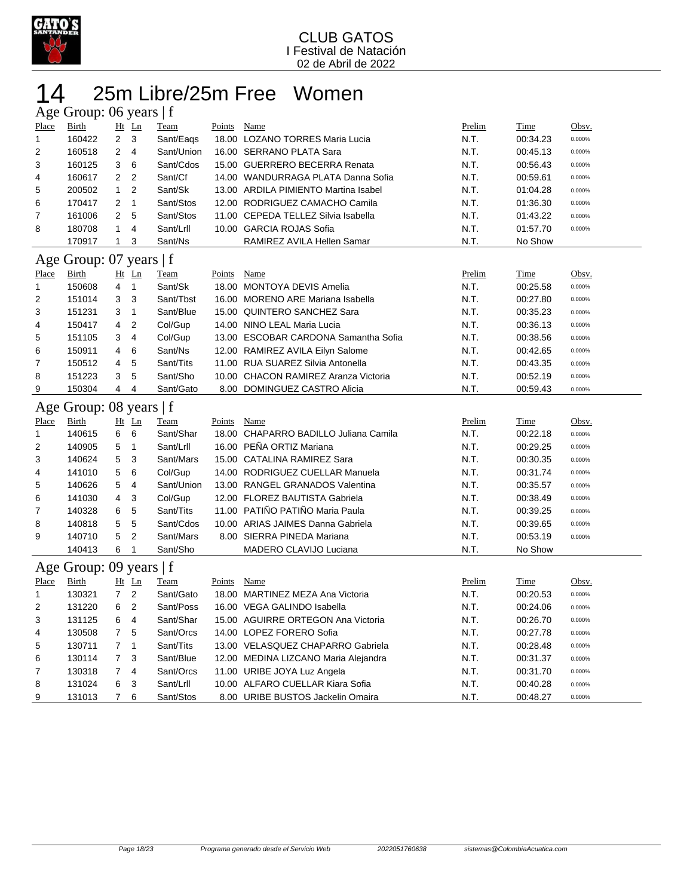

## 25m Libre/25m Free Women

| Age Group: 06 years   f |                         |                |                |             |               |                                       |               |             |              |  |  |  |
|-------------------------|-------------------------|----------------|----------------|-------------|---------------|---------------------------------------|---------------|-------------|--------------|--|--|--|
| Place                   | <b>Birth</b>            |                | Ht Ln          | Team        | Points        | Name                                  | Prelim        | <b>Time</b> | Obsv.        |  |  |  |
| $\mathbf{1}$            | 160422                  | $\overline{2}$ | 3              | Sant/Eags   |               | 18.00 LOZANO TORRES Maria Lucia       | N.T.          | 00:34.23    | 0.000%       |  |  |  |
| 2                       | 160518                  | 2              | 4              | Sant/Union  |               | 16.00 SERRANO PLATA Sara              | N.T.          | 00:45.13    | 0.000%       |  |  |  |
| 3                       | 160125                  | 3              | 6              | Sant/Cdos   |               | 15.00 GUERRERO BECERRA Renata         | N.T.          | 00:56.43    | 0.000%       |  |  |  |
| 4                       | 160617                  | 2              | $\overline{2}$ | Sant/Cf     |               | 14.00 WANDURRAGA PLATA Danna Sofia    | N.T.          | 00:59.61    | 0.000%       |  |  |  |
| 5                       | 200502                  | $\mathbf{1}$   | $\overline{2}$ | Sant/Sk     |               | 13.00 ARDILA PIMIENTO Martina Isabel  | N.T.          | 01:04.28    | 0.000%       |  |  |  |
| 6                       | 170417                  | 2              | $\mathbf{1}$   | Sant/Stos   |               | 12.00 RODRIGUEZ CAMACHO Camila        | N.T.          | 01:36.30    | 0.000%       |  |  |  |
| 7                       | 161006                  | 2              | 5              | Sant/Stos   |               | 11.00 CEPEDA TELLEZ Silvia Isabella   | N.T.          | 01:43.22    | 0.000%       |  |  |  |
| 8                       | 180708                  | 1              | 4              | Sant/Lrll   |               | 10.00 GARCIA ROJAS Sofia              | N.T.          | 01:57.70    | 0.000%       |  |  |  |
|                         | 170917                  | 1              | 3              | Sant/Ns     |               | RAMIREZ AVILA Hellen Samar            | N.T.          | No Show     |              |  |  |  |
| Age                     | Group: 07 years $ f $   |                |                |             |               |                                       |               |             |              |  |  |  |
| Place                   | <b>Birth</b>            |                | Ht Ln          | <u>Team</u> | <b>Points</b> | <b>Name</b>                           | Prelim        | <b>Time</b> | Obsv.        |  |  |  |
| 1                       | 150608                  | 4              | $\mathbf{1}$   | Sant/Sk     |               | 18.00 MONTOYA DEVIS Amelia            | N.T.          | 00:25.58    | 0.000%       |  |  |  |
| 2                       | 151014                  | 3              | 3              | Sant/Tbst   |               | 16.00 MORENO ARE Mariana Isabella     | N.T.          | 00:27.80    | 0.000%       |  |  |  |
| 3                       | 151231                  | 3              | 1              | Sant/Blue   |               | 15.00 QUINTERO SANCHEZ Sara           | N.T.          | 00:35.23    | 0.000%       |  |  |  |
| 4                       | 150417                  | 4              | 2              | Col/Gup     |               | 14.00 NINO LEAL Maria Lucia           | N.T.          | 00:36.13    | 0.000%       |  |  |  |
| 5                       | 151105                  | 3              | 4              | Col/Gup     |               | 13.00 ESCOBAR CARDONA Samantha Sofia  | N.T.          | 00:38.56    | 0.000%       |  |  |  |
| 6                       | 150911                  | 4              | 6              | Sant/Ns     |               | 12.00 RAMIREZ AVILA Eilyn Salome      | N.T.          | 00:42.65    | 0.000%       |  |  |  |
| 7                       | 150512                  | 4              | 5              | Sant/Tits   |               | 11.00 RUA SUAREZ Silvia Antonella     | N.T.          | 00:43.35    | 0.000%       |  |  |  |
| 8                       | 151223                  | 3              | 5              | Sant/Sho    |               | 10.00 CHACON RAMIREZ Aranza Victoria  | N.T.          | 00:52.19    | 0.000%       |  |  |  |
| 9                       | 150304                  | 4              | 4              | Sant/Gato   |               | 8.00 DOMINGUEZ CASTRO Alicia          | N.T.          | 00:59.43    | 0.000%       |  |  |  |
|                         |                         |                |                |             |               |                                       |               |             |              |  |  |  |
| Age                     | Group: $08$ years $ f $ |                |                |             |               |                                       |               |             |              |  |  |  |
| Place                   | Birth                   |                | $Ht$ Ln        | Team        | Points        | Name                                  | <u>Prelim</u> | Time        | Obsv.        |  |  |  |
| 1                       | 140615                  | 6              | 6              | Sant/Shar   |               | 18.00 CHAPARRO BADILLO Juliana Camila | N.T.          | 00:22.18    | 0.000%       |  |  |  |
| 2                       | 140905                  | 5              | 1              | Sant/Lrll   |               | 16.00 PEÑA ORTIZ Mariana              | N.T.          | 00:29.25    | 0.000%       |  |  |  |
| 3                       | 140624                  | 5              | 3              | Sant/Mars   |               | 15.00 CATALINA RAMIREZ Sara           | N.T.          | 00:30.35    | 0.000%       |  |  |  |
| 4                       | 141010                  | 5              | 6              | Col/Gup     |               | 14.00 RODRIGUEZ CUELLAR Manuela       | N.T.          | 00:31.74    | 0.000%       |  |  |  |
| 5                       | 140626                  | 5              | 4              | Sant/Union  |               | 13.00 RANGEL GRANADOS Valentina       | N.T.          | 00:35.57    | 0.000%       |  |  |  |
| 6                       | 141030                  | 4              | 3              | Col/Gup     |               | 12.00 FLOREZ BAUTISTA Gabriela        | N.T.          | 00:38.49    | 0.000%       |  |  |  |
| 7                       | 140328                  | 6              | 5              | Sant/Tits   |               | 11.00 PATIÑO PATIÑO Maria Paula       | N.T.          | 00:39.25    | 0.000%       |  |  |  |
| 8                       | 140818                  | 5              | 5              | Sant/Cdos   |               | 10.00 ARIAS JAIMES Danna Gabriela     | N.T.          | 00:39.65    | 0.000%       |  |  |  |
| 9                       | 140710                  | 5              | $\overline{2}$ | Sant/Mars   |               | 8.00 SIERRA PINEDA Mariana            | N.T.          | 00:53.19    | 0.000%       |  |  |  |
|                         | 140413                  | 6              | 1              | Sant/Sho    |               | MADERO CLAVIJO Luciana                | N.T.          | No Show     |              |  |  |  |
|                         | Age Group: 09 years   f |                |                |             |               |                                       |               |             |              |  |  |  |
| Place                   | <b>Birth</b>            |                | Ht Ln          | <b>Team</b> | Points        | <b>Name</b>                           | Prelim        | <b>Time</b> | <u>Obsv.</u> |  |  |  |
| 1                       | 130321                  | 7              | 2              | Sant/Gato   |               | 18.00 MARTINEZ MEZA Ana Victoria      | N.T.          | 00:20.53    | 0.000%       |  |  |  |
| 2                       | 131220                  | 6              | $\overline{2}$ | Sant/Poss   |               | 16.00 VEGA GALINDO Isabella           | N.T.          | 00:24.06    | 0.000%       |  |  |  |
| 3                       | 131125                  | 6              | 4              | Sant/Shar   |               | 15.00 AGUIRRE ORTEGON Ana Victoria    | N.T.          | 00:26.70    | 0.000%       |  |  |  |
| 4                       | 130508                  | 7              | 5              | Sant/Orcs   |               | 14.00 LOPEZ FORERO Sofia              | N.T.          | 00:27.78    | 0.000%       |  |  |  |
| 5                       | 130711                  | 7              | 1              | Sant/Tits   |               | 13.00 VELASQUEZ CHAPARRO Gabriela     | N.T.          | 00:28.48    | $0.000\%$    |  |  |  |
| 6                       | 130114                  | 7              | 3              | Sant/Blue   |               | 12.00 MEDINA LIZCANO Maria Alejandra  | N.T.          | 00:31.37    | 0.000%       |  |  |  |
| 7                       | 130318                  | 7              | 4              | Sant/Orcs   |               | 11.00 URIBE JOYA Luz Angela           | N.T.          | 00:31.70    | 0.000%       |  |  |  |
| 8                       | 131024                  | 6              | 3              | Sant/Lrll   |               | 10.00 ALFARO CUELLAR Kiara Sofia      | N.T.          | 00:40.28    | 0.000%       |  |  |  |
| 9                       | 131013                  | $\overline{7}$ | 6              | Sant/Stos   |               | 8.00 URIBE BUSTOS Jackelin Omaira     | N.T.          | 00:48.27    | 0.000%       |  |  |  |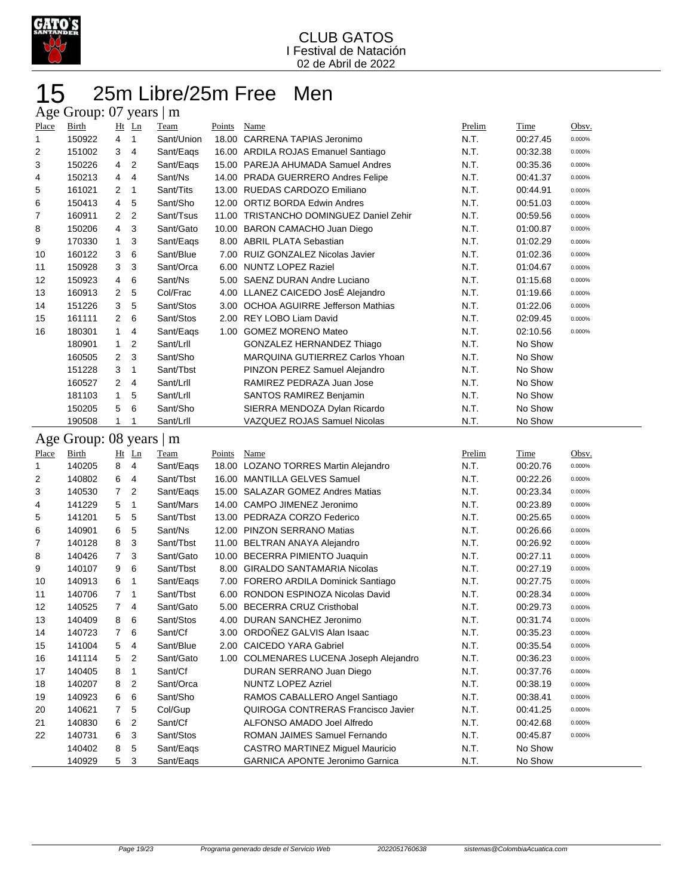

## 25m Libre/25m Free Men 15 25m Libre<br>Age Group: 07 years | m

|                | $\sim$ $\sim$ $\sim$ $\sim$ $\sim$ $\sim$ |                |              |            |        |                                          |        |          |        |
|----------------|-------------------------------------------|----------------|--------------|------------|--------|------------------------------------------|--------|----------|--------|
| Place          | Birth                                     |                | $Ht$ Ln      | Team       | Points | Name                                     | Prelim | Time     | Obsv.  |
| 1              | 150922                                    | $\overline{4}$ | $\mathbf{1}$ | Sant/Union | 18.00  | CARRENA TAPIAS Jeronimo                  | N.T.   | 00:27.45 | 0.000% |
| 2              | 151002                                    | 3              | 4            | Sant/Eags  | 16.00  | ARDILA ROJAS Emanuel Santiago            | N.T.   | 00:32.38 | 0.000% |
| 3              | 150226                                    | $\overline{4}$ | 2            | Sant/Eags  | 15.00  | PAREJA AHUMADA Samuel Andres             | N.T.   | 00:35.36 | 0.000% |
| 4              | 150213                                    | $\overline{4}$ | 4            | Sant/Ns    | 14.00  | <b>PRADA GUERRERO Andres Felipe</b>      | N.T.   | 00:41.37 | 0.000% |
| 5              | 161021                                    | $\overline{2}$ | $\mathbf 1$  | Sant/Tits  | 13.00  | RUEDAS CARDOZO Emiliano                  | N.T.   | 00:44.91 | 0.000% |
| 6              | 150413                                    | $\overline{4}$ | 5            | Sant/Sho   | 12.00  | <b>ORTIZ BORDA Edwin Andres</b>          | N.T.   | 00:51.03 | 0.000% |
| $\overline{7}$ | 160911                                    | $\overline{2}$ | 2            | Sant/Tsus  | 11.00  | <b>TRISTANCHO DOMINGUEZ Daniel Zehir</b> | N.T.   | 00:59.56 | 0.000% |
| 8              | 150206                                    | $\overline{4}$ | 3            | Sant/Gato  | 10.00  | BARON CAMACHO Juan Diego                 | N.T.   | 01:00.87 | 0.000% |
| 9              | 170330                                    | $\overline{1}$ | 3            | Sant/Eags  |        | 8.00 ABRIL PLATA Sebastian               | N.T.   | 01:02.29 | 0.000% |
| 10             | 160122                                    | 3              | 6            | Sant/Blue  |        | 7.00 RUIZ GONZALEZ Nicolas Javier        | N.T.   | 01:02.36 | 0.000% |
| 11             | 150928                                    | 3              | 3            | Sant/Orca  |        | 6.00 NUNTZ LOPEZ Raziel                  | N.T.   | 01:04.67 | 0.000% |
| 12             | 150923                                    | $\overline{4}$ | 6            | Sant/Ns    |        | 5.00 SAENZ DURAN Andre Luciano           | N.T.   | 01:15.68 | 0.000% |
| 13             | 160913                                    | $\overline{2}$ | 5            | Col/Frac   |        | 4.00 LLANEZ CAICEDO JosÉ Alejandro       | N.T.   | 01:19.66 | 0.000% |
| 14             | 151226                                    | 3              | 5            | Sant/Stos  | 3.00   | <b>OCHOA AGUIRRE Jefferson Mathias</b>   | N.T.   | 01:22.06 | 0.000% |
| 15             | 161111                                    | 2              | 6            | Sant/Stos  | 2.00   | REY LOBO Liam David                      | N.T.   | 02:09.45 | 0.000% |
| 16             | 180301                                    | $\mathbf{1}$   | 4            | Sant/Eags  | 1.00   | <b>GOMEZ MORENO Mateo</b>                | N.T.   | 02:10.56 | 0.000% |
|                | 180901                                    | 1              | 2            | Sant/Lrll  |        | <b>GONZALEZ HERNANDEZ Thiago</b>         | N.T.   | No Show  |        |
|                | 160505                                    | $\overline{2}$ | 3            | Sant/Sho   |        | MARQUINA GUTIERREZ Carlos Yhoan          | N.T.   | No Show  |        |
|                | 151228                                    | 3              | $\mathbf{1}$ | Sant/Tbst  |        | PINZON PEREZ Samuel Alejandro            | N.T.   | No Show  |        |
|                | 160527                                    | $\overline{2}$ | 4            | Sant/Lrll  |        | RAMIREZ PEDRAZA Juan Jose                | N.T.   | No Show  |        |
|                | 181103                                    | $\mathbf{1}$   | 5            | Sant/Lrll  |        | SANTOS RAMIREZ Benjamin                  | N.T.   | No Show  |        |
|                | 150205                                    | 5              | 6            | Sant/Sho   |        | SIERRA MENDOZA Dylan Ricardo             | N.T.   | No Show  |        |
|                | 190508                                    |                | 1            | Sant/Lrll  |        | <b>VAZQUEZ ROJAS Samuel Nicolas</b>      | N.T.   | No Show  |        |

## Age Group: 08 years | m

| Place | <b>Birth</b> | Ht             | $_{\text{Ln}}$ | Team      | Points | Name                                      | Prelim | Time     | Obsv.  |
|-------|--------------|----------------|----------------|-----------|--------|-------------------------------------------|--------|----------|--------|
| 1     | 140205       | 8              | 4              | Sant/Eags |        | 18.00 LOZANO TORRES Martin Alejandro      | N.T.   | 00:20.76 | 0.000% |
| 2     | 140802       | 6              | 4              | Sant/Tbst |        | 16.00 MANTILLA GELVES Samuel              | N.T.   | 00:22.26 | 0.000% |
| 3     | 140530       | $\overline{7}$ | 2              | Sant/Eags | 15.00  | <b>SALAZAR GOMEZ Andres Matias</b>        | N.T.   | 00:23.34 | 0.000% |
| 4     | 141229       | 5              | 1              | Sant/Mars | 14.00  | CAMPO JIMENEZ Jeronimo                    | N.T.   | 00:23.89 | 0.000% |
| 5     | 141201       | 5              | 5              | Sant/Tbst | 13.00  | PEDRAZA CORZO Federico                    | N.T.   | 00:25.65 | 0.000% |
| 6     | 140901       | 6              | 5              | Sant/Ns   |        | 12.00 PINZON SERRANO Matias               | N.T.   | 00:26.66 | 0.000% |
| 7     | 140128       | 8              | 3              | Sant/Tbst | 11.00  | <b>BELTRAN ANAYA Alejandro</b>            | N.T.   | 00:26.92 | 0.000% |
| 8     | 140426       | $\overline{7}$ | 3              | Sant/Gato |        | 10.00 BECERRA PIMIENTO Juaquin            | N.T.   | 00:27.11 | 0.000% |
| 9     | 140107       | 9              | 6              | Sant/Tbst | 8.00   | <b>GIRALDO SANTAMARIA Nicolas</b>         | N.T.   | 00:27.19 | 0.000% |
| 10    | 140913       | 6              | 1              | Sant/Eags | 7.00   | FORERO ARDILA Dominick Santiago           | N.T.   | 00:27.75 | 0.000% |
| 11    | 140706       | $\overline{7}$ | 1              | Sant/Tbst | 6.00   | RONDON ESPINOZA Nicolas David             | N.T.   | 00:28.34 | 0.000% |
| 12    | 140525       | $\overline{7}$ | 4              | Sant/Gato | 5.00   | <b>BECERRA CRUZ Cristhobal</b>            | N.T.   | 00:29.73 | 0.000% |
| 13    | 140409       | 8              | 6              | Sant/Stos | 4.00   | DURAN SANCHEZ Jeronimo                    | N.T.   | 00:31.74 | 0.000% |
| 14    | 140723       | $\overline{7}$ | 6              | Sant/Cf   | 3.00   | ORDOÑEZ GALVIS Alan Isaac                 | N.T.   | 00:35.23 | 0.000% |
| 15    | 141004       | 5              | 4              | Sant/Blue | 2.00   | <b>CAICEDO YARA Gabriel</b>               | N.T.   | 00:35.54 | 0.000% |
| 16    | 141114       | 5              | 2              | Sant/Gato | 1.00   | <b>COLMENARES LUCENA Joseph Alejandro</b> | N.T.   | 00:36.23 | 0.000% |
| 17    | 140405       | 8              | 1              | Sant/Cf   |        | DURAN SERRANO Juan Diego                  | N.T.   | 00:37.76 | 0.000% |
| 18    | 140207       | 8              | 2              | Sant/Orca |        | <b>NUNTZ LOPEZ Azriel</b>                 | N.T.   | 00:38.19 | 0.000% |
| 19    | 140923       | 6              | 6              | Sant/Sho  |        | RAMOS CABALLERO Angel Santiago            | N.T.   | 00:38.41 | 0.000% |
| 20    | 140621       | $\overline{7}$ | 5              | Col/Gup   |        | QUIROGA CONTRERAS Francisco Javier        | N.T.   | 00:41.25 | 0.000% |
| 21    | 140830       | 6              | 2              | Sant/Cf   |        | ALFONSO AMADO Joel Alfredo                | N.T.   | 00:42.68 | 0.000% |
| 22    | 140731       | 6              | 3              | Sant/Stos |        | ROMAN JAIMES Samuel Fernando              | N.T.   | 00:45.87 | 0.000% |
|       | 140402       | 8              | 5              | Sant/Eags |        | CASTRO MARTINEZ Miguel Mauricio           | N.T.   | No Show  |        |
|       | 140929       | 5              | 3              | Sant/Eags |        | <b>GARNICA APONTE Jeronimo Garnica</b>    | N.T.   | No Show  |        |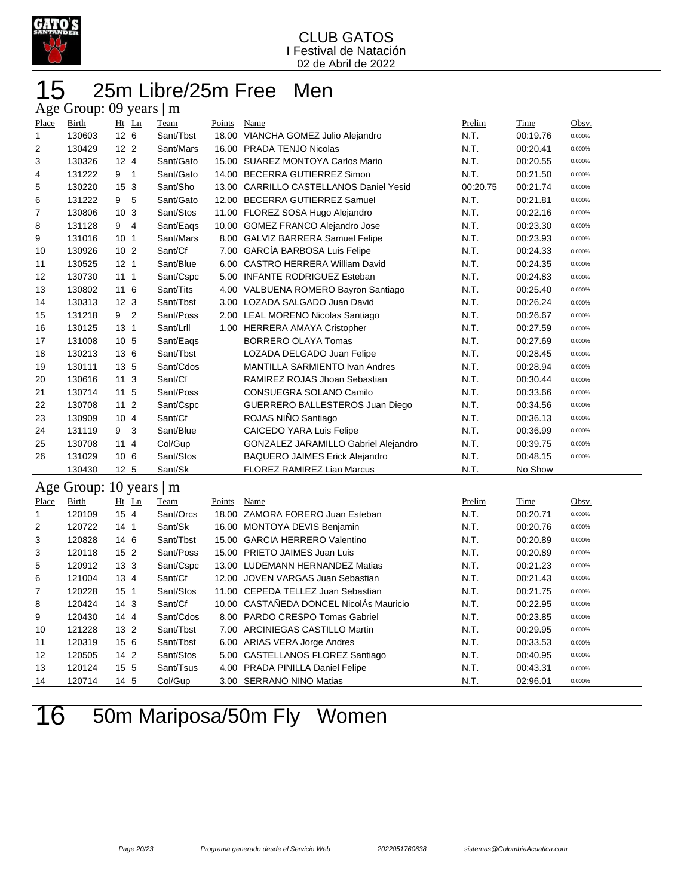

## 25m Libre/25m Free Men Age Group: 09 years | m

| O     |                         |                 |           |        |                                         |          |          |        |
|-------|-------------------------|-----------------|-----------|--------|-----------------------------------------|----------|----------|--------|
| Place | Birth                   | Ht Ln           | Team      | Points | Name                                    | Prelim   | Time     | Obsv.  |
| 1     | 130603                  | 12 <sub>6</sub> | Sant/Tbst |        | 18.00 VIANCHA GOMEZ Julio Alejandro     | N.T.     | 00:19.76 | 0.000% |
| 2     | 130429                  | 12 <sub>2</sub> | Sant/Mars |        | 16.00 PRADA TENJO Nicolas               | N.T.     | 00:20.41 | 0.000% |
| 3     | 130326                  | 12 <sub>4</sub> | Sant/Gato |        | 15.00 SUAREZ MONTOYA Carlos Mario       | N.T.     | 00:20.55 | 0.000% |
| 4     | 131222                  | 9 <sub>1</sub>  | Sant/Gato |        | 14.00 BECERRA GUTIERREZ Simon           | N.T.     | 00:21.50 | 0.000% |
| 5     | 130220                  | 15 <sub>3</sub> | Sant/Sho  |        | 13.00 CARRILLO CASTELLANOS Daniel Yesid | 00:20.75 | 00:21.74 | 0.000% |
| 6     | 131222                  | 5<br>9          | Sant/Gato |        | 12.00 BECERRA GUTIERREZ Samuel          | N.T.     | 00:21.81 | 0.000% |
| 7     | 130806                  | 10 <sub>3</sub> | Sant/Stos |        | 11.00 FLOREZ SOSA Hugo Alejandro        | N.T.     | 00:22.16 | 0.000% |
| 8     | 131128                  | 9 4             | Sant/Eags |        | 10.00 GOMEZ FRANCO Alejandro Jose       | N.T.     | 00:23.30 | 0.000% |
| 9     | 131016                  | 10 <sub>1</sub> | Sant/Mars | 8.00   | <b>GALVIZ BARRERA Samuel Felipe</b>     | N.T.     | 00:23.93 | 0.000% |
| 10    | 130926                  | 10 <sub>2</sub> | Sant/Cf   | 7.00   | <b>GARCÍA BARBOSA Luis Felipe</b>       | N.T.     | 00:24.33 | 0.000% |
| 11    | 130525                  | 12 <sub>1</sub> | Sant/Blue | 6.00   | <b>CASTRO HERRERA William David</b>     | N.T.     | 00:24.35 | 0.000% |
| 12    | 130730                  | 111             | Sant/Cspc | 5.00   | <b>INFANTE RODRIGUEZ Esteban</b>        | N.T.     | 00:24.83 | 0.000% |
| 13    | 130802                  | 11 6            | Sant/Tits |        | 4.00 VALBUENA ROMERO Bayron Santiago    | N.T.     | 00:25.40 | 0.000% |
| 14    | 130313                  | 12 <sub>3</sub> | Sant/Tbst |        | 3.00 LOZADA SALGADO Juan David          | N.T.     | 00:26.24 | 0.000% |
| 15    | 131218                  | 9 <sub>2</sub>  | Sant/Poss |        | 2.00 LEAL MORENO Nicolas Santiago       | N.T.     | 00:26.67 | 0.000% |
| 16    | 130125                  | 13 <sub>1</sub> | Sant/Lrll |        | 1.00 HERRERA AMAYA Cristopher           | N.T.     | 00:27.59 | 0.000% |
| 17    | 131008                  | 10 <sub>5</sub> | Sant/Eags |        | <b>BORRERO OLAYA Tomas</b>              | N.T.     | 00:27.69 | 0.000% |
| 18    | 130213                  | 13 6            | Sant/Tbst |        | LOZADA DELGADO Juan Felipe              | N.T.     | 00:28.45 | 0.000% |
| 19    | 130111                  | 13 5            | Sant/Cdos |        | <b>MANTILLA SARMIENTO Ivan Andres</b>   | N.T.     | 00:28.94 | 0.000% |
| 20    | 130616                  | 11 <sub>3</sub> | Sant/Cf   |        | RAMIREZ ROJAS Jhoan Sebastian           | N.T.     | 00:30.44 | 0.000% |
| 21    | 130714                  | 11 <sub>5</sub> | Sant/Poss |        | CONSUEGRA SOLANO Camilo                 | N.T.     | 00:33.66 | 0.000% |
| 22    | 130708                  | 11 <sub>2</sub> | Sant/Cspc |        | GUERRERO BALLESTEROS Juan Diego         | N.T.     | 00:34.56 | 0.000% |
| 23    | 130909                  | 104             | Sant/Cf   |        | ROJAS NIÑO Santiago                     | N.T.     | 00:36.13 | 0.000% |
| 24    | 131119                  | 3<br>9          | Sant/Blue |        | <b>CAICEDO YARA Luis Felipe</b>         | N.T.     | 00:36.99 | 0.000% |
| 25    | 130708                  | 114             | Col/Gup   |        | GONZALEZ JARAMILLO Gabriel Alejandro    | N.T.     | 00:39.75 | 0.000% |
| 26    | 131029                  | 10 6            | Sant/Stos |        | <b>BAQUERO JAIMES Erick Alejandro</b>   | N.T.     | 00:48.15 | 0.000% |
|       | 130430                  | 12 <sub>5</sub> | Sant/Sk   |        | <b>FLOREZ RAMIREZ Lian Marcus</b>       | N.T.     | No Show  |        |
|       | Age Group: 10 years   m |                 |           |        |                                         |          |          |        |
| Place | Birth                   | Ht Ln           | Team      | Points | Name                                    | Prelim   | Time     | Obsv.  |
| 1     | 120109                  | 15 4            | Sant/Orcs |        | 18.00 ZAMORA FORERO Juan Esteban        | N.T.     | 00:20.71 | 0.000% |
| 2     | 120722                  | 14 <sub>1</sub> | Sant/Sk   |        | 16.00 MONTOYA DEVIS Benjamin            | N.T.     | 00:20.76 | 0.000% |
| 3     | 120828                  | 146             | Sant/Tbst | 15.00  | <b>GARCIA HERRERO Valentino</b>         | N.T.     | 00:20.89 | 0.000% |
| 3     | 120118                  | 15 <sub>2</sub> | Sant/Poss |        | 15.00 PRIETO JAIMES Juan Luis           | N.T.     | 00:20.89 | 0.000% |
| 5     | 120912                  | 13 <sub>3</sub> | Sant/Cspc |        | 13.00 LUDEMANN HERNANDEZ Matias         | N.T.     | 00:21.23 | 0.000% |

 121004 13 4 Sant/Cf 12.00 JOVEN VARGAS Juan Sebastian N.T. 00:21.43 0.000% 120228 15 1 Sant/Stos 11.00 CEPEDA TELLEZ Juan Sebastian N.T. 00:21.75 0.000% 120424 14 3 Sant/Cf 10.00 CASTAÑEDA DONCEL NicolÁs Mauricio N.T. 00:22.95 0.000% 120430 14 4 Sant/Cdos 8.00 PARDO CRESPO Tomas Gabriel N.T. 00:23.85 0.000% 121228 13 2 Sant/Tbst 7.00 ARCINIEGAS CASTILLO Martin N.T. 00:29.95 0.000% 120319 15 6 Sant/Tbst 6.00 ARIAS VERA Jorge Andres N.T. 00:33.53 0.000% 120505 14 2 Sant/Stos 5.00 CASTELLANOS FLOREZ Santiago N.T. 00:40.95 0.000% 120124 15 5 Sant/Tsus 4.00 PRADA PINILLA Daniel Felipe N.T. 00:43.31 0.000% 120714 14 5 Col/Gup 3.00 SERRANO NINO Matias N.T. 02:96.01 0.000%

50m Mariposa/50m Fly Women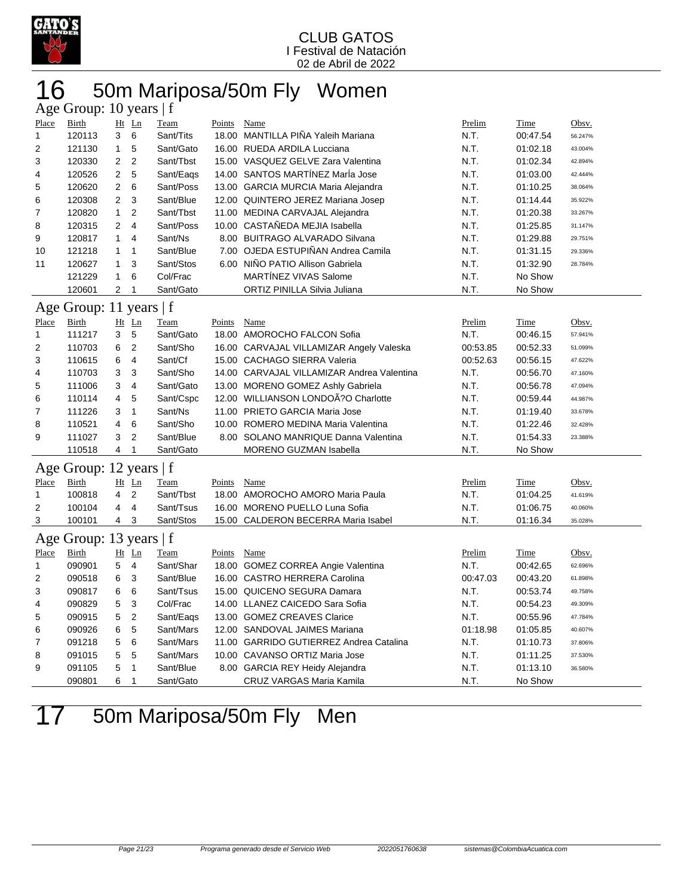

## 16 50m Mariposa/50m Fly Women

| Age Group: 10 years   f |                         |                |                |             |        |                                                                          |          |             |         |  |  |  |
|-------------------------|-------------------------|----------------|----------------|-------------|--------|--------------------------------------------------------------------------|----------|-------------|---------|--|--|--|
| Place                   | <b>Birth</b>            |                | $Ht$ Ln        | Team        | Points | Name                                                                     | Prelim   | Time        | Obsv.   |  |  |  |
| $\mathbf{1}$            | 120113                  | 3              | 6              | Sant/Tits   |        | 18.00 MANTILLA PIÑA Yaleih Mariana                                       | N.T.     | 00:47.54    | 56.247% |  |  |  |
| $\overline{2}$          | 121130                  | $\mathbf{1}$   | 5              | Sant/Gato   |        | 16.00 RUEDA ARDILA Lucciana                                              | N.T.     | 01:02.18    | 43.004% |  |  |  |
| 3                       | 120330                  | 2              | $\overline{2}$ | Sant/Tbst   |        | 15.00 VASQUEZ GELVE Zara Valentina                                       | N.T.     | 01:02.34    | 42.894% |  |  |  |
| 4                       | 120526                  | 2              | 5              | Sant/Eags   |        | 14.00 SANTOS MARTINEZ Marla Jose                                         | N.T.     | 01:03.00    | 42.444% |  |  |  |
| 5                       | 120620                  | 2              | 6              | Sant/Poss   |        | 13.00 GARCIA MURCIA Maria Alejandra                                      | N.T.     | 01:10.25    | 38.064% |  |  |  |
| 6                       | 120308                  | $\overline{2}$ | 3              | Sant/Blue   |        | 12.00 QUINTERO JEREZ Mariana Josep                                       | N.T.     | 01:14.44    | 35.922% |  |  |  |
| 7                       | 120820                  | $\mathbf{1}$   | $\overline{2}$ | Sant/Tbst   |        | 11.00 MEDINA CARVAJAL Alejandra                                          | N.T.     | 01:20.38    | 33.267% |  |  |  |
| 8                       | 120315                  | 2              | $\overline{4}$ | Sant/Poss   |        | 10.00 CASTAÑEDA MEJIA Isabella                                           | N.T.     | 01:25.85    | 31.147% |  |  |  |
| 9                       | 120817                  | 1              | $\overline{4}$ | Sant/Ns     |        | 8.00 BUITRAGO ALVARADO Silvana                                           | N.T.     | 01:29.88    | 29.751% |  |  |  |
| 10                      | 121218                  | 1              | $\mathbf{1}$   | Sant/Blue   |        | 7.00 OJEDA ESTUPIÑAN Andrea Camila                                       | N.T.     | 01:31.15    | 29.336% |  |  |  |
| 11                      | 120627                  | $\mathbf{1}$   | 3              | Sant/Stos   | 6.00   | NIÑO PATIO Allison Gabriela                                              | N.T.     | 01:32.90    | 28.784% |  |  |  |
|                         | 121229                  | $\mathbf{1}$   | 6              | Col/Frac    |        | <b>MARTÍNEZ VIVAS Salome</b>                                             | N.T.     | No Show     |         |  |  |  |
|                         | 120601                  | 2              | 1              | Sant/Gato   |        | ORTIZ PINILLA Silvia Juliana                                             | N.T.     | No Show     |         |  |  |  |
|                         | Age Group: 11 years   f |                |                |             |        |                                                                          |          |             |         |  |  |  |
| Place                   | <b>Birth</b>            |                | Ht Ln          | <b>Team</b> | Points | Name                                                                     | Prelim   | <u>Time</u> | Obsv.   |  |  |  |
| $\mathbf{1}$            | 111217                  | 3              | 5              | Sant/Gato   |        | 18.00 AMOROCHO FALCON Sofia                                              | N.T.     | 00:46.15    | 57.941% |  |  |  |
| $\overline{2}$          | 110703                  | 6              | $\overline{2}$ | Sant/Sho    |        | 16.00 CARVAJAL VILLAMIZAR Angely Valeska                                 | 00:53.85 | 00:52.33    | 51.099% |  |  |  |
| 3                       | 110615                  | 6              | 4              | Sant/Cf     |        | 15.00 CACHAGO SIERRA Valeria                                             | 00:52.63 | 00:56.15    | 47.622% |  |  |  |
| 4                       | 110703                  | 3              | 3              | Sant/Sho    |        | 14.00 CARVAJAL VILLAMIZAR Andrea Valentina                               | N.T.     | 00:56.70    | 47.160% |  |  |  |
| 5                       | 111006                  | 3              | $\overline{4}$ | Sant/Gato   |        |                                                                          | N.T.     | 00:56.78    |         |  |  |  |
| 6                       | 110114                  | 4              | 5              |             |        | 13.00 MORENO GOMEZ Ashly Gabriela<br>12.00 WILLIANSON LONDOA?O Charlotte | N.T.     | 00:59.44    | 47.094% |  |  |  |
|                         |                         |                |                | Sant/Cspc   |        |                                                                          |          |             | 44.987% |  |  |  |
| 7                       | 111226                  | 3              | $\mathbf{1}$   | Sant/Ns     |        | 11.00 PRIETO GARCIA Maria Jose                                           | N.T.     | 01:19.40    | 33.678% |  |  |  |
| 8                       | 110521                  | 4              | 6              | Sant/Sho    |        | 10.00 ROMERO MEDINA Maria Valentina                                      | N.T.     | 01:22.46    | 32.428% |  |  |  |
| 9                       | 111027                  | 3              | $\overline{2}$ | Sant/Blue   |        | 8.00 SOLANO MANRIQUE Danna Valentina                                     | N.T.     | 01:54.33    | 23.388% |  |  |  |
|                         | 110518                  | 4              | 1              | Sant/Gato   |        | <b>MORENO GUZMAN Isabella</b>                                            | N.T.     | No Show     |         |  |  |  |
|                         | Age Group: 12 years   f |                |                |             |        |                                                                          |          |             |         |  |  |  |
| Place                   | <b>Birth</b>            |                | Ht Ln          | Team        | Points | Name                                                                     | Prelim   | <b>Time</b> | Obsv.   |  |  |  |
| $\mathbf{1}$            | 100818                  | 4              | $\overline{2}$ | Sant/Tbst   |        | 18.00 AMOROCHO AMORO Maria Paula                                         | N.T.     | 01:04.25    | 41.619% |  |  |  |
| $\overline{2}$          | 100104                  | 4              | $\overline{4}$ | Sant/Tsus   |        | 16.00 MORENO PUELLO Luna Sofia                                           | N.T.     | 01:06.75    | 40.060% |  |  |  |
| 3                       | 100101                  | $\overline{4}$ | 3              | Sant/Stos   |        | 15.00 CALDERON BECERRA Maria Isabel                                      | N.T.     | 01:16.34    | 35.028% |  |  |  |
|                         | Age Group: 13 years   f |                |                |             |        |                                                                          |          |             |         |  |  |  |
| Place                   | Birth                   |                | $Ht$ Ln        | Team        | Points | Name                                                                     | Prelim   | Time        | Obsv.   |  |  |  |
| 1                       | 090901                  | 5              | $\overline{4}$ | Sant/Shar   |        | 18.00 GOMEZ CORREA Angie Valentina                                       | N.T.     | 00:42.65    | 62.696% |  |  |  |
| 2                       | 090518                  | 6              | 3              | Sant/Blue   |        | 16.00 CASTRO HERRERA Carolina                                            | 00:47.03 | 00:43.20    | 61.898% |  |  |  |
| 3                       | 090817                  | 6              | 6              | Sant/Tsus   |        | 15.00 QUICENO SEGURA Damara                                              | N.T.     | 00:53.74    | 49.758% |  |  |  |
| 4                       | 090829                  | 5              | 3              | Col/Frac    |        | 14.00 LLANEZ CAICEDO Sara Sofia                                          | N.T.     | 00:54.23    | 49.309% |  |  |  |
| 5                       | 090915                  | 5              | $\overline{2}$ | Sant/Eags   |        | 13.00 GOMEZ CREAVES Clarice                                              | N.T.     | 00:55.96    | 47.784% |  |  |  |
| 6                       | 090926                  | 6              | 5              | Sant/Mars   |        | 12.00 SANDOVAL JAIMES Mariana                                            | 01:18.98 | 01:05.85    | 40.607% |  |  |  |
| 7                       | 091218                  | 5              | 6              | Sant/Mars   |        | 11.00 GARRIDO GUTIERREZ Andrea Catalina                                  | N.T.     | 01:10.73    | 37.806% |  |  |  |
| 8                       | 091015                  | 5              | 5              | Sant/Mars   |        | 10.00 CAVANSO ORTIZ Maria Jose                                           | N.T.     | 01:11.25    | 37.530% |  |  |  |
| 9                       | 091105                  | 5              | $\mathbf{1}$   | Sant/Blue   |        | 8.00 GARCIA REY Heidy Alejandra                                          | N.T.     | 01:13.10    | 36.580% |  |  |  |
|                         |                         | 6              | 1              | Sant/Gato   |        |                                                                          | N.T.     |             |         |  |  |  |
|                         | 090801                  |                |                |             |        | CRUZ VARGAS Maria Kamila                                                 |          | No Show     |         |  |  |  |

# 50m Mariposa/50m Fly Men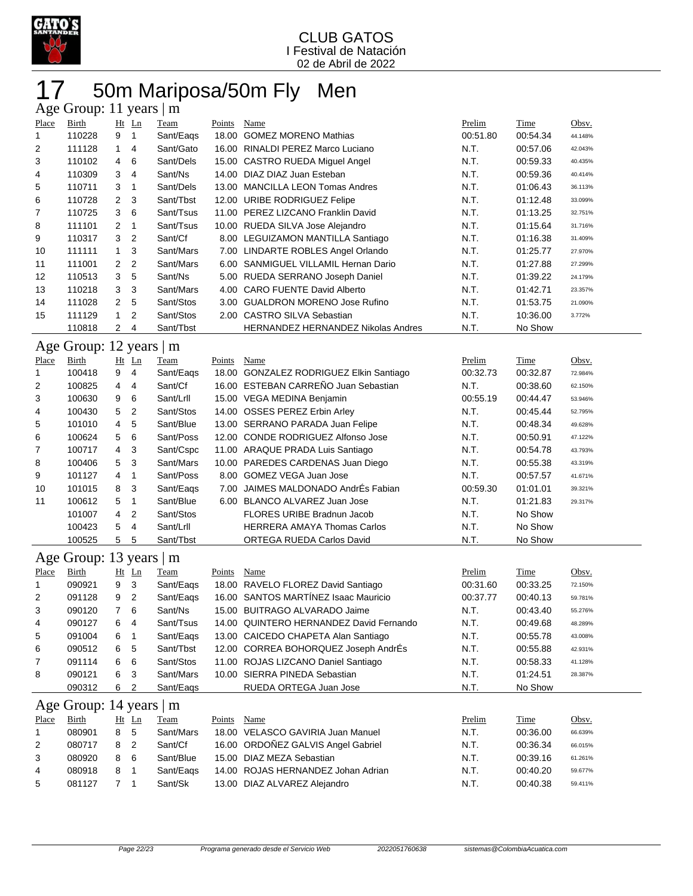

## 17 50m Mariposa/50m Fly Men

|       | Age Group: 11 years<br>m |                |                |           |        |                                           |          |          |         |  |  |  |  |
|-------|--------------------------|----------------|----------------|-----------|--------|-------------------------------------------|----------|----------|---------|--|--|--|--|
| Place | Birth                    |                | $Ht$ Ln        | Team      | Points | Name                                      | Prelim   | Time     | Obsv.   |  |  |  |  |
| 1     | 110228                   | 9              | -1             | Sant/Eags | 18.00  | <b>GOMEZ MORENO Mathias</b>               | 00:51.80 | 00:54.34 | 44.148% |  |  |  |  |
| 2     | 111128                   | $\mathbf{1}$   | $\overline{4}$ | Sant/Gato | 16.00  | RINALDI PEREZ Marco Luciano               | N.T.     | 00:57.06 | 42.043% |  |  |  |  |
| 3     | 110102                   | 4              | 6              | Sant/Dels |        | 15.00 CASTRO RUEDA Miquel Angel           | N.T.     | 00:59.33 | 40.435% |  |  |  |  |
| 4     | 110309                   | 3              | 4              | Sant/Ns   |        | 14.00 DIAZ DIAZ Juan Esteban              | N.T.     | 00:59.36 | 40.414% |  |  |  |  |
| 5     | 110711                   | 3              | -1             | Sant/Dels |        | 13.00 MANCILLA LEON Tomas Andres          | N.T.     | 01:06.43 | 36.113% |  |  |  |  |
| 6     | 110728                   | 2              | 3              | Sant/Tbst |        | 12.00 URIBE RODRIGUEZ Felipe              | N.T.     | 01:12.48 | 33.099% |  |  |  |  |
| 7     | 110725                   | 3              | -6             | Sant/Tsus | 11.00  | PEREZ LIZCANO Franklin David              | N.T.     | 01:13.25 | 32.751% |  |  |  |  |
| 8     | 111101                   | 2              | -1             | Sant/Tsus |        | 10.00 RUEDA SILVA Jose Alejandro          | N.T.     | 01:15.64 | 31.716% |  |  |  |  |
| 9     | 110317                   | 3              | $\overline{2}$ | Sant/Cf   |        | 8.00 LEGUIZAMON MANTILLA Santiago         | N.T.     | 01:16.38 | 31.409% |  |  |  |  |
| 10    | 111111                   | $\mathbf{1}$   | -3             | Sant/Mars |        | 7.00 LINDARTE ROBLES Angel Orlando        | N.T.     | 01:25.77 | 27.970% |  |  |  |  |
| 11    | 111001                   | $\overline{2}$ | 2              | Sant/Mars |        | 6.00 SANMIGUEL VILLAMIL Hernan Dario      | N.T.     | 01:27.88 | 27.299% |  |  |  |  |
| 12    | 110513                   | 3              | -5             | Sant/Ns   |        | 5.00 RUEDA SERRANO Joseph Daniel          | N.T.     | 01:39.22 | 24.179% |  |  |  |  |
| 13    | 110218                   | 3              | -3             | Sant/Mars | 4.00   | CARO FUENTE David Alberto                 | N.T.     | 01:42.71 | 23.357% |  |  |  |  |
| 14    | 111028                   | $\overline{2}$ | 5              | Sant/Stos |        | 3.00 GUALDRON MORENO Jose Rufino          | N.T.     | 01:53.75 | 21.090% |  |  |  |  |
| 15    | 111129                   | $\overline{1}$ | 2              | Sant/Stos |        | 2.00 CASTRO SILVA Sebastian               | N.T.     | 10:36.00 | 3.772%  |  |  |  |  |
|       | 110818                   | $\mathbf{2}$   | 4              | Sant/Tbst |        | <b>HERNANDEZ HERNANDEZ Nikolas Andres</b> | N.T.     | No Show  |         |  |  |  |  |
|       | Age Group: 12 years<br>m |                |                |           |        |                                           |          |          |         |  |  |  |  |

| Place          | Birth  |                | $Ht$ Ln        | Team      | Points | Name                                    | Prelim   | Time     | Obsv.   |
|----------------|--------|----------------|----------------|-----------|--------|-----------------------------------------|----------|----------|---------|
| 1              | 100418 | 9              | 4              | Sant/Eags |        | 18.00 GONZALEZ RODRIGUEZ Elkin Santiago | 00:32.73 | 00:32.87 | 72.984% |
| 2              | 100825 | 4              | 4              | Sant/Cf   |        | 16.00 ESTEBAN CARREÑO Juan Sebastian    | N.T.     | 00:38.60 | 62.150% |
| 3              | 100630 | 9              | 6              | Sant/Lrll |        | 15.00 VEGA MEDINA Benjamin              | 00:55.19 | 00:44.47 | 53.946% |
| 4              | 100430 | 5              | $\overline{2}$ | Sant/Stos |        | 14.00 OSSES PEREZ Erbin Arley           | N.T.     | 00:45.44 | 52.795% |
| 5              | 101010 | $\overline{4}$ | 5              | Sant/Blue |        | 13.00 SERRANO PARADA Juan Felipe        | N.T.     | 00:48.34 | 49.628% |
| 6              | 100624 | 5              | - 6            | Sant/Poss |        | 12.00 CONDE RODRIGUEZ Alfonso Jose      | N.T.     | 00:50.91 | 47.122% |
| $\overline{7}$ | 100717 | 4              | -3             | Sant/Cspc |        | 11.00 ARAQUE PRADA Luis Santiago        | N.T.     | 00:54.78 | 43.793% |
| 8              | 100406 | 5              | -3             | Sant/Mars |        | 10.00 PAREDES CARDENAS Juan Diego       | N.T.     | 00:55.38 | 43.319% |
| 9              | 101127 | 4              |                | Sant/Poss |        | 8.00 GOMEZ VEGA Juan Jose               | N.T.     | 00:57.57 | 41.671% |
| 10             | 101015 | 8              | -3             | Sant/Eags |        | 7.00 JAIMES MALDONADO AndrÉs Fabian     | 00:59.30 | 01:01.01 | 39.321% |
| 11             | 100612 | 5              |                | Sant/Blue |        | 6.00 BLANCO ALVAREZ Juan Jose           | N.T.     | 01:21.83 | 29.317% |
|                | 101007 | $\overline{4}$ | $\overline{2}$ | Sant/Stos |        | FLORES URIBE Bradnun Jacob              | N.T.     | No Show  |         |
|                | 100423 | 5              | $\overline{4}$ | Sant/Lrll |        | <b>HERRERA AMAYA Thomas Carlos</b>      | N.T.     | No Show  |         |
|                | 100525 | 5              | 5              | Sant/Tbst |        | <b>ORTEGA RUEDA Carlos David</b>        | N.T.     | No Show  |         |

#### Age Group: 13 years | m

| Place          | <b>Birth</b> | Ht | $\mathbf{L}$ n | Team      | Points | Name                                    | Prelim   | <b>Time</b> | Obsv.   |
|----------------|--------------|----|----------------|-----------|--------|-----------------------------------------|----------|-------------|---------|
| 1              | 090921       | 9  | -3             | Sant/Eags |        | 18.00 RAVELO FLOREZ David Santiago      | 00:31.60 | 00:33.25    | 72.150% |
| 2              | 091128       | 9  | -2             | Sant/Eags |        | 16.00 SANTOS MARTÍNEZ Isaac Mauricio    | 00:37.77 | 00:40.13    | 59.781% |
| 3              | 090120       |    | -6             | Sant/Ns   |        | 15.00 BUITRAGO ALVARADO Jaime           | N.T.     | 00:43.40    | 55.276% |
| 4              | 090127       | 6  | 4              | Sant/Tsus |        | 14.00 QUINTERO HERNANDEZ David Fernando | N.T.     | 00:49.68    | 48.289% |
| 5              | 091004       | 6  |                | Sant/Eags |        | 13.00 CAICEDO CHAPETA Alan Santiago     | N.T.     | 00:55.78    | 43.008% |
| 6              | 090512       | 6  | -5             | Sant/Tbst |        | 12.00 CORREA BOHORQUEZ Joseph AndrÉs    | N.T.     | 00:55.88    | 42.931% |
| $\overline{7}$ | 091114       | 6  | - 6            | Sant/Stos |        | 11.00 ROJAS LIZCANO Daniel Santiago     | N.T.     | 00:58.33    | 41.128% |
| 8              | 090121       | 6  | -3             | Sant/Mars |        | 10.00 SIERRA PINEDA Sebastian           | N.T.     | 01:24.51    | 28.387% |
|                | 090312       | 6  | 2              | Sant/Eags |        | RUEDA ORTEGA Juan Jose                  | N.T.     | No Show     |         |

## Age Group: 14 years | m

| Place | Birth  | Ht Ln     | Team      | Points | Name                               | Prelim | Time     | Obsv.   |
|-------|--------|-----------|-----------|--------|------------------------------------|--------|----------|---------|
|       | 080901 | 85        | Sant/Mars |        | 18.00 VELASCO GAVIRIA Juan Manuel  | N.T.   | 00:36.00 | 66.639% |
| 2     | 080717 |           | Sant/Cf   |        | 16.00 ORDOÑEZ GALVIS Angel Gabriel | N.T.   | 00:36.34 | 66.015% |
| 3     | 080920 | - 6<br>8. | Sant/Blue |        | 15.00 DIAZ MEZA Sebastian          | N.T.   | 00:39.16 | 61.261% |
| 4     | 080918 | 81        | Sant/Eags |        | 14.00 ROJAS HERNANDEZ Johan Adrian | N.T.   | 00:40.20 | 59.677% |
| 5     | 081127 |           | Sant/Sk   |        | 13.00 DIAZ ALVAREZ Alejandro       | N.T.   | 00:40.38 | 59.411% |